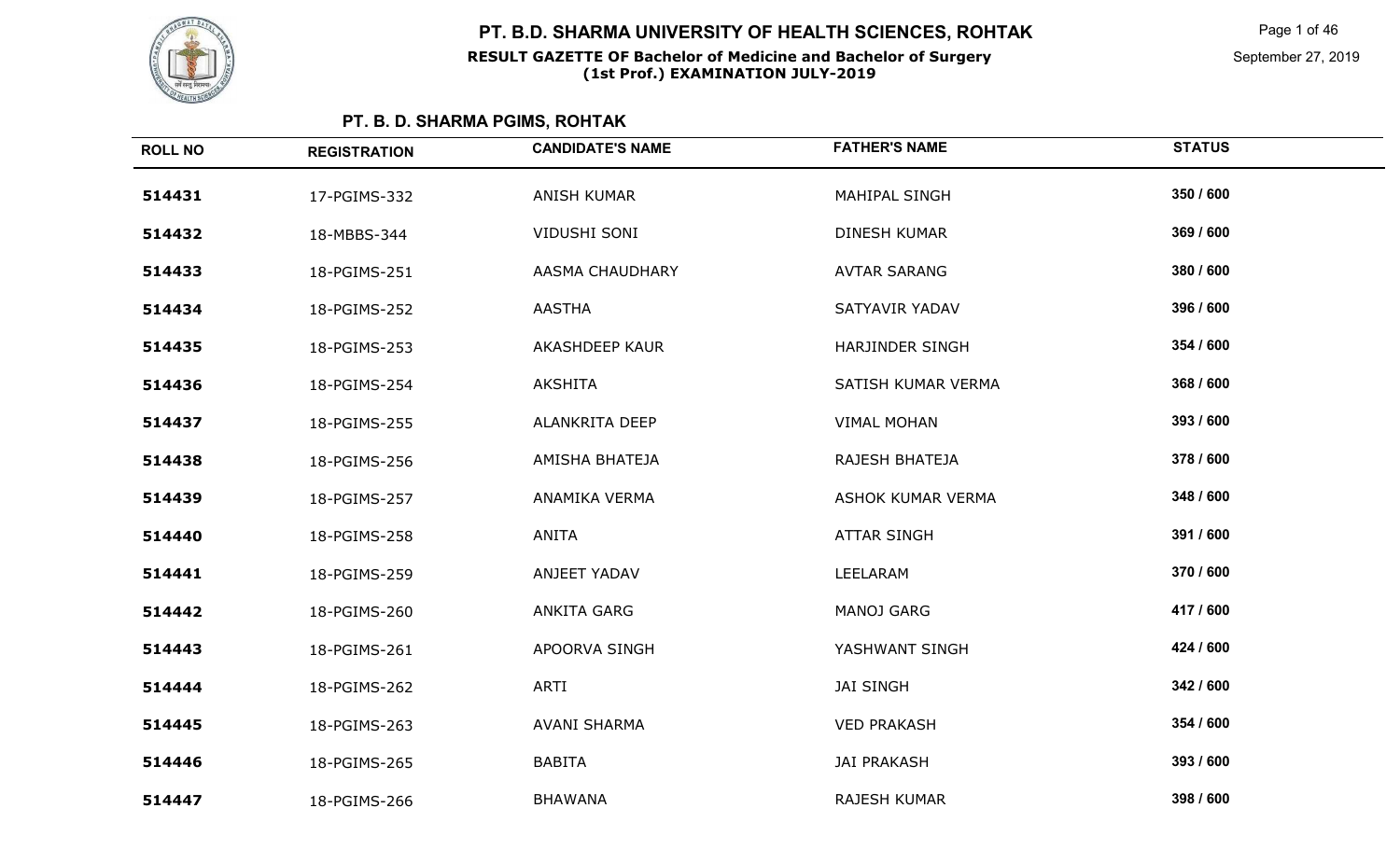

Page 1 of 46

September 27, 2019

| <b>ROLL NO</b> | <b>REGISTRATION</b> | <b>CANDIDATE'S NAME</b> | <b>FATHER'S NAME</b> | <b>STATUS</b> |
|----------------|---------------------|-------------------------|----------------------|---------------|
| 514431         | 17-PGIMS-332        | <b>ANISH KUMAR</b>      | MAHIPAL SINGH        | 350 / 600     |
| 514432         | 18-MBBS-344         | VIDUSHI SONI            | DINESH KUMAR         | 369 / 600     |
| 514433         | 18-PGIMS-251        | AASMA CHAUDHARY         | <b>AVTAR SARANG</b>  | 380 / 600     |
| 514434         | 18-PGIMS-252        | <b>AASTHA</b>           | SATYAVIR YADAV       | 396 / 600     |
| 514435         | 18-PGIMS-253        | <b>AKASHDEEP KAUR</b>   | HARJINDER SINGH      | 354 / 600     |
| 514436         | 18-PGIMS-254        | AKSHITA                 | SATISH KUMAR VERMA   | 368 / 600     |
| 514437         | 18-PGIMS-255        | ALANKRITA DEEP          | <b>VIMAL MOHAN</b>   | 393 / 600     |
| 514438         | 18-PGIMS-256        | AMISHA BHATEJA          | RAJESH BHATEJA       | 378 / 600     |
| 514439         | 18-PGIMS-257        | ANAMIKA VERMA           | ASHOK KUMAR VERMA    | 348 / 600     |
| 514440         | 18-PGIMS-258        | <b>ANITA</b>            | <b>ATTAR SINGH</b>   | 391 / 600     |
| 514441         | 18-PGIMS-259        | ANJEET YADAV            | LEELARAM             | 370 / 600     |
| 514442         | 18-PGIMS-260        | ANKITA GARG             | <b>MANOJ GARG</b>    | 417 / 600     |
| 514443         | 18-PGIMS-261        | APOORVA SINGH           | YASHWANT SINGH       | 424 / 600     |
| 514444         | 18-PGIMS-262        | <b>ARTI</b>             | <b>JAI SINGH</b>     | 342 / 600     |
| 514445         | 18-PGIMS-263        | <b>AVANI SHARMA</b>     | <b>VED PRAKASH</b>   | 354 / 600     |
| 514446         | 18-PGIMS-265        | <b>BABITA</b>           | <b>JAI PRAKASH</b>   | 393 / 600     |
| 514447         | 18-PGIMS-266        | <b>BHAWANA</b>          | RAJESH KUMAR         | 398 / 600     |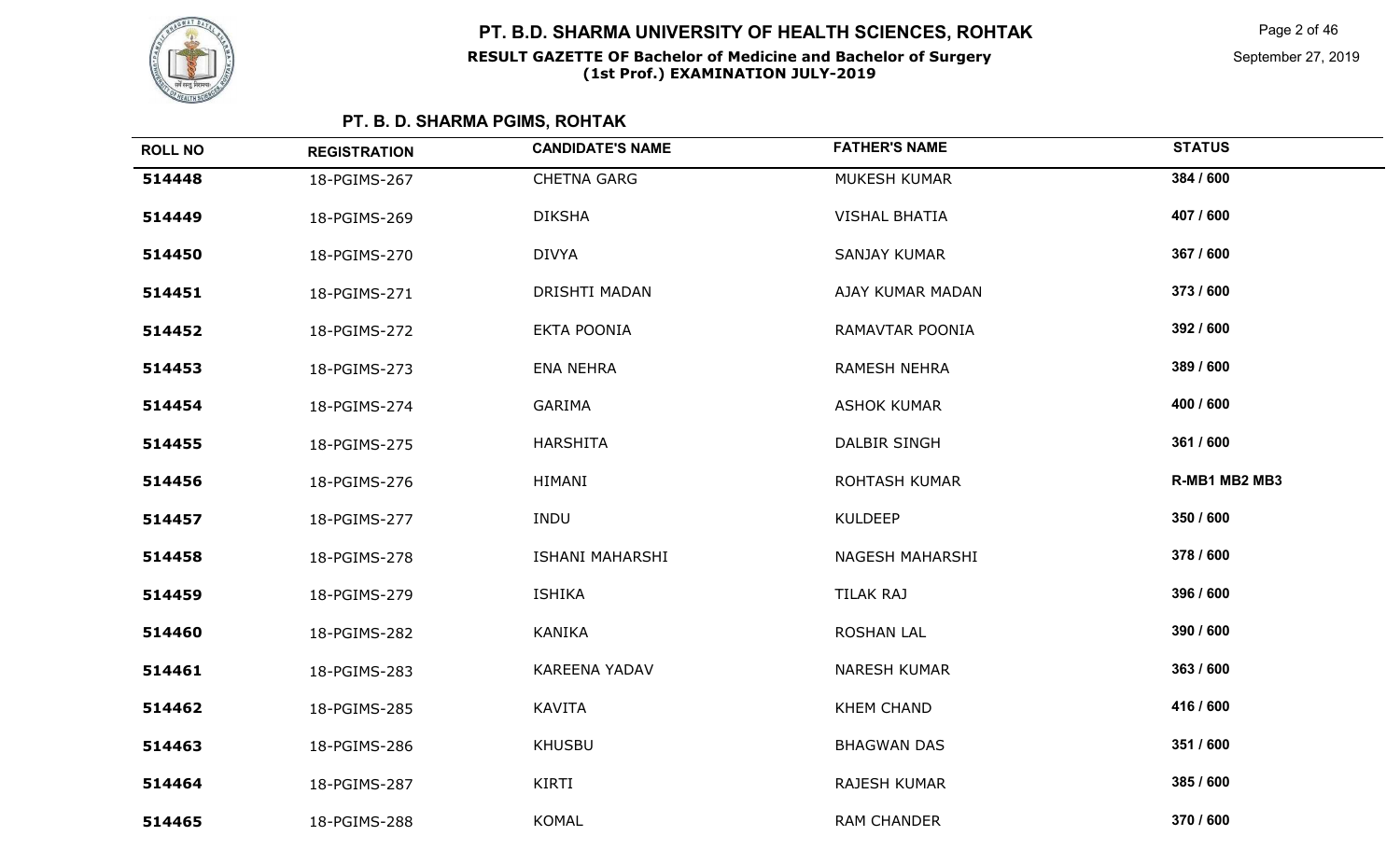

Page 2 of 46

| <b>ROLL NO</b> | <b>REGISTRATION</b> | <b>CANDIDATE'S NAME</b> | <b>FATHER'S NAME</b> | <b>STATUS</b> |
|----------------|---------------------|-------------------------|----------------------|---------------|
| 514448         | 18-PGIMS-267        | <b>CHETNA GARG</b>      | MUKESH KUMAR         | 384 / 600     |
| 514449         | 18-PGIMS-269        | <b>DIKSHA</b>           | <b>VISHAL BHATIA</b> | 407 / 600     |
| 514450         | 18-PGIMS-270        | <b>DIVYA</b>            | <b>SANJAY KUMAR</b>  | 367 / 600     |
| 514451         | 18-PGIMS-271        | DRISHTI MADAN           | AJAY KUMAR MADAN     | 373 / 600     |
| 514452         | 18-PGIMS-272        | <b>EKTA POONIA</b>      | RAMAVTAR POONIA      | 392 / 600     |
| 514453         | 18-PGIMS-273        | <b>ENA NEHRA</b>        | <b>RAMESH NEHRA</b>  | 389 / 600     |
| 514454         | 18-PGIMS-274        | GARIMA                  | <b>ASHOK KUMAR</b>   | 400 / 600     |
| 514455         | 18-PGIMS-275        | <b>HARSHITA</b>         | DALBIR SINGH         | 361 / 600     |
| 514456         | 18-PGIMS-276        | HIMANI                  | <b>ROHTASH KUMAR</b> | R-MB1 MB2 MB3 |
| 514457         | 18-PGIMS-277        | <b>INDU</b>             | <b>KULDEEP</b>       | 350 / 600     |
| 514458         | 18-PGIMS-278        | <b>ISHANI MAHARSHI</b>  | NAGESH MAHARSHI      | 378 / 600     |
| 514459         | 18-PGIMS-279        | <b>ISHIKA</b>           | TILAK RAJ            | 396 / 600     |
| 514460         | 18-PGIMS-282        | <b>KANIKA</b>           | <b>ROSHAN LAL</b>    | 390 / 600     |
| 514461         | 18-PGIMS-283        | KAREENA YADAV           | <b>NARESH KUMAR</b>  | 363 / 600     |
| 514462         | 18-PGIMS-285        | <b>KAVITA</b>           | <b>KHEM CHAND</b>    | 416 / 600     |
| 514463         | 18-PGIMS-286        | <b>KHUSBU</b>           | <b>BHAGWAN DAS</b>   | 351 / 600     |
| 514464         | 18-PGIMS-287        | KIRTI                   | RAJESH KUMAR         | 385 / 600     |
| 514465         | 18-PGIMS-288        | <b>KOMAL</b>            | <b>RAM CHANDER</b>   | 370 / 600     |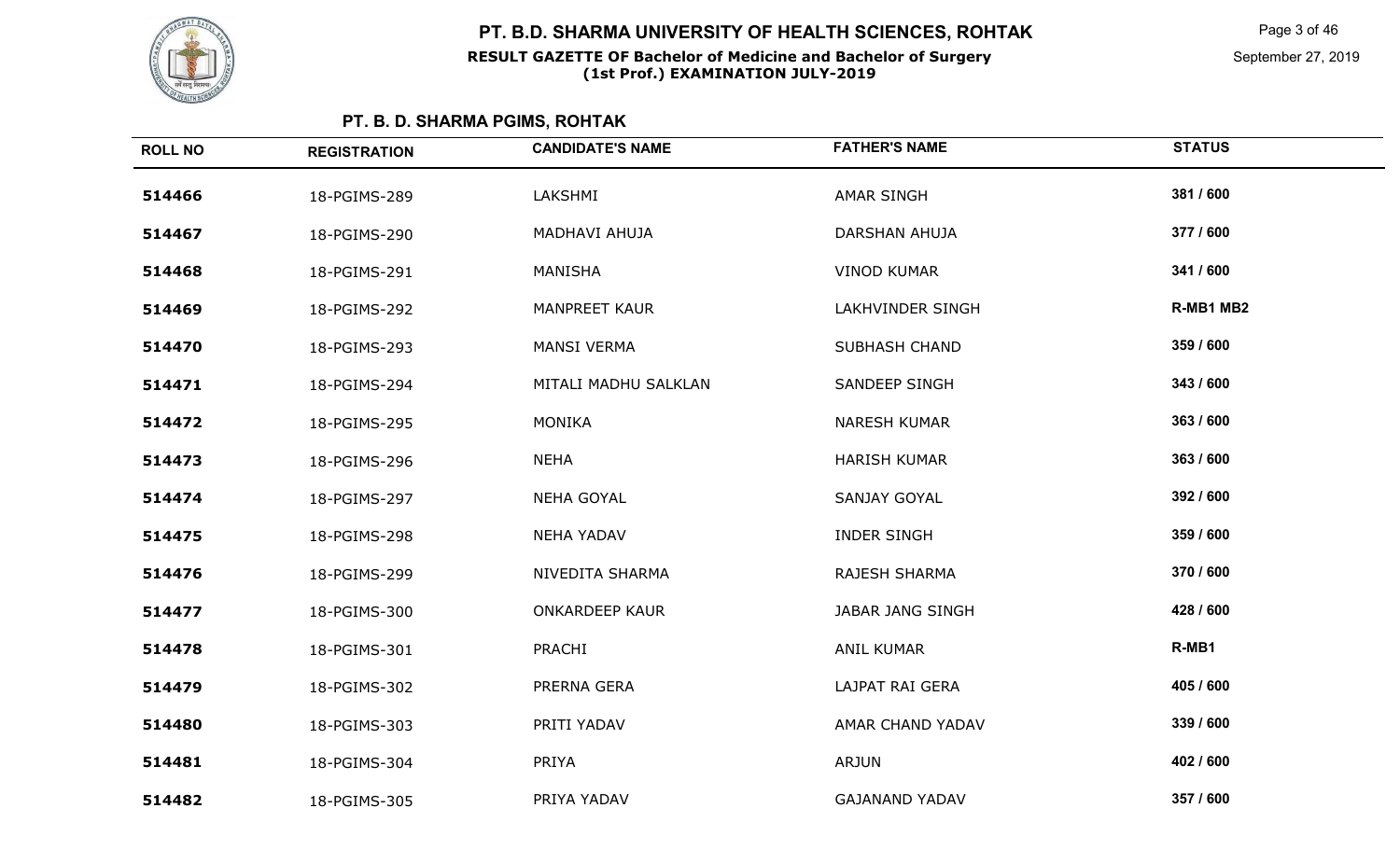

Page 3 of 46

September 27, 2019

| <b>ROLL NO</b> | <b>REGISTRATION</b> | <b>CANDIDATE'S NAME</b> | <b>FATHER'S NAME</b>    | <b>STATUS</b> |
|----------------|---------------------|-------------------------|-------------------------|---------------|
| 514466         | 18-PGIMS-289        | LAKSHMI                 | <b>AMAR SINGH</b>       | 381 / 600     |
| 514467         | 18-PGIMS-290        | MADHAVI AHUJA           | <b>DARSHAN AHUJA</b>    | 377 / 600     |
| 514468         | 18-PGIMS-291        | MANISHA                 | <b>VINOD KUMAR</b>      | 341 / 600     |
| 514469         | 18-PGIMS-292        | MANPREET KAUR           | LAKHVINDER SINGH        | R-MB1 MB2     |
| 514470         | 18-PGIMS-293        | <b>MANSI VERMA</b>      | <b>SUBHASH CHAND</b>    | 359 / 600     |
| 514471         | 18-PGIMS-294        | MITALI MADHU SALKLAN    | SANDEEP SINGH           | 343 / 600     |
| 514472         | 18-PGIMS-295        | <b>MONIKA</b>           | <b>NARESH KUMAR</b>     | 363 / 600     |
| 514473         | 18-PGIMS-296        | <b>NEHA</b>             | <b>HARISH KUMAR</b>     | 363 / 600     |
| 514474         | 18-PGIMS-297        | <b>NEHA GOYAL</b>       | <b>SANJAY GOYAL</b>     | 392 / 600     |
| 514475         | 18-PGIMS-298        | <b>NEHA YADAV</b>       | <b>INDER SINGH</b>      | 359 / 600     |
| 514476         | 18-PGIMS-299        | NIVEDITA SHARMA         | RAJESH SHARMA           | 370 / 600     |
| 514477         | 18-PGIMS-300        | <b>ONKARDEEP KAUR</b>   | <b>JABAR JANG SINGH</b> | 428 / 600     |
| 514478         | 18-PGIMS-301        | <b>PRACHI</b>           | <b>ANIL KUMAR</b>       | R-MB1         |
| 514479         | 18-PGIMS-302        | PRERNA GERA             | LAJPAT RAI GERA         | 405 / 600     |
| 514480         | 18-PGIMS-303        | PRITI YADAV             | AMAR CHAND YADAV        | 339 / 600     |
| 514481         | 18-PGIMS-304        | PRIYA                   | <b>ARJUN</b>            | 402 / 600     |
| 514482         | 18-PGIMS-305        | PRIYA YADAV             | <b>GAJANAND YADAV</b>   | 357 / 600     |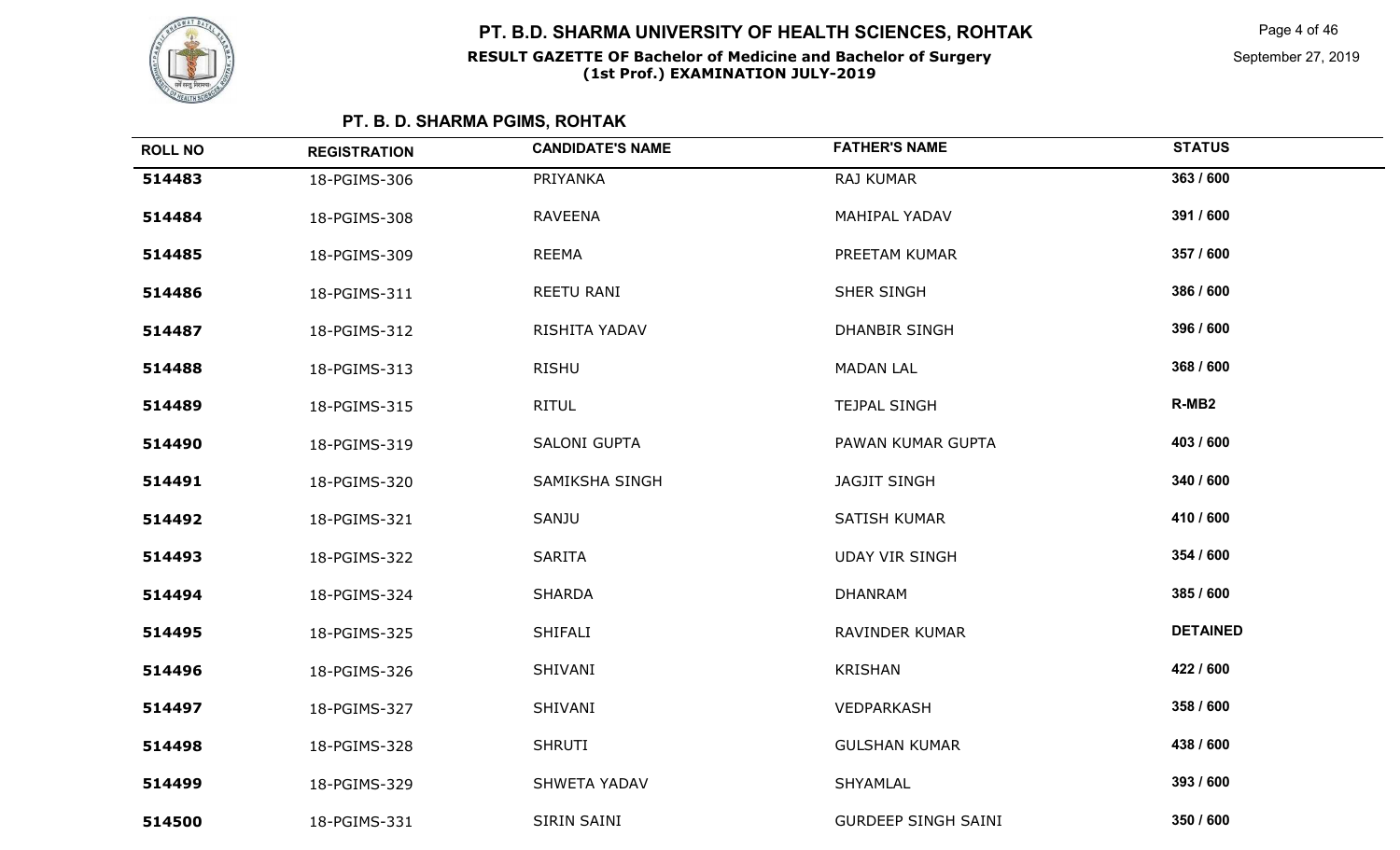

Page 4 of 46

| <b>ROLL NO</b> | <b>REGISTRATION</b> | <b>CANDIDATE'S NAME</b> | <b>FATHER'S NAME</b>       | <b>STATUS</b>     |
|----------------|---------------------|-------------------------|----------------------------|-------------------|
| 514483         | 18-PGIMS-306        | PRIYANKA                | RAJ KUMAR                  | 363 / 600         |
| 514484         | 18-PGIMS-308        | <b>RAVEENA</b>          | MAHIPAL YADAV              | 391 / 600         |
| 514485         | 18-PGIMS-309        | <b>REEMA</b>            | PREETAM KUMAR              | 357 / 600         |
| 514486         | 18-PGIMS-311        | REETU RANI              | <b>SHER SINGH</b>          | 386 / 600         |
| 514487         | 18-PGIMS-312        | RISHITA YADAV           | <b>DHANBIR SINGH</b>       | 396 / 600         |
| 514488         | 18-PGIMS-313        | RISHU                   | <b>MADAN LAL</b>           | 368 / 600         |
| 514489         | 18-PGIMS-315        | <b>RITUL</b>            | <b>TEJPAL SINGH</b>        | R-MB <sub>2</sub> |
| 514490         | 18-PGIMS-319        | <b>SALONI GUPTA</b>     | PAWAN KUMAR GUPTA          | 403 / 600         |
| 514491         | 18-PGIMS-320        | SAMIKSHA SINGH          | <b>JAGJIT SINGH</b>        | 340 / 600         |
| 514492         | 18-PGIMS-321        | SANJU                   | SATISH KUMAR               | 410 / 600         |
| 514493         | 18-PGIMS-322        | <b>SARITA</b>           | <b>UDAY VIR SINGH</b>      | 354 / 600         |
| 514494         | 18-PGIMS-324        | <b>SHARDA</b>           | <b>DHANRAM</b>             | 385 / 600         |
| 514495         | 18-PGIMS-325        | SHIFALI                 | RAVINDER KUMAR             | <b>DETAINED</b>   |
| 514496         | 18-PGIMS-326        | SHIVANI                 | <b>KRISHAN</b>             | 422 / 600         |
| 514497         | 18-PGIMS-327        | SHIVANI                 | VEDPARKASH                 | 358 / 600         |
| 514498         | 18-PGIMS-328        | <b>SHRUTI</b>           | <b>GULSHAN KUMAR</b>       | 438 / 600         |
| 514499         | 18-PGIMS-329        | <b>SHWETA YADAV</b>     | SHYAMLAL                   | 393 / 600         |
| 514500         | 18-PGIMS-331        | SIRIN SAINI             | <b>GURDEEP SINGH SAINI</b> | 350 / 600         |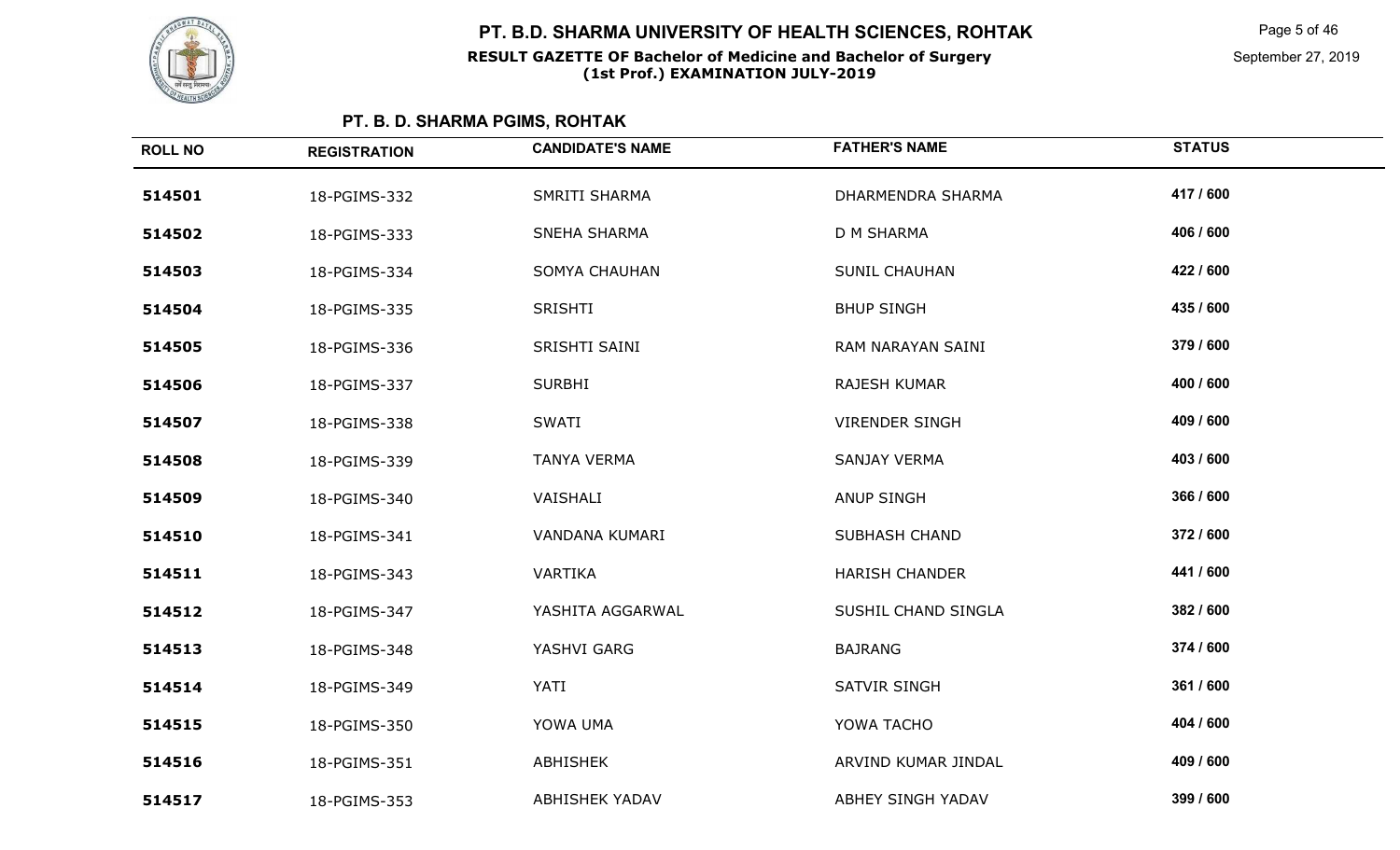

Page 5 of 46

September 27, 2019

| <b>ROLL NO</b> | <b>REGISTRATION</b> | <b>CANDIDATE'S NAME</b> | <b>FATHER'S NAME</b>  | <b>STATUS</b> |
|----------------|---------------------|-------------------------|-----------------------|---------------|
| 514501         | 18-PGIMS-332        | SMRITI SHARMA           | DHARMENDRA SHARMA     | 417 / 600     |
| 514502         | 18-PGIMS-333        | SNEHA SHARMA            | D M SHARMA            | 406 / 600     |
| 514503         | 18-PGIMS-334        | <b>SOMYA CHAUHAN</b>    | <b>SUNIL CHAUHAN</b>  | 422 / 600     |
| 514504         | 18-PGIMS-335        | <b>SRISHTI</b>          | <b>BHUP SINGH</b>     | 435 / 600     |
| 514505         | 18-PGIMS-336        | SRISHTI SAINI           | RAM NARAYAN SAINI     | 379 / 600     |
| 514506         | 18-PGIMS-337        | <b>SURBHI</b>           | <b>RAJESH KUMAR</b>   | 400 / 600     |
| 514507         | 18-PGIMS-338        | <b>SWATI</b>            | <b>VIRENDER SINGH</b> | 409 / 600     |
| 514508         | 18-PGIMS-339        | <b>TANYA VERMA</b>      | SANJAY VERMA          | 403 / 600     |
| 514509         | 18-PGIMS-340        | VAISHALI                | <b>ANUP SINGH</b>     | 366 / 600     |
| 514510         | 18-PGIMS-341        | VANDANA KUMARI          | <b>SUBHASH CHAND</b>  | 372 / 600     |
| 514511         | 18-PGIMS-343        | VARTIKA                 | <b>HARISH CHANDER</b> | 441 / 600     |
| 514512         | 18-PGIMS-347        | YASHITA AGGARWAL        | SUSHIL CHAND SINGLA   | 382 / 600     |
| 514513         | 18-PGIMS-348        | YASHVI GARG             | <b>BAJRANG</b>        | 374 / 600     |
| 514514         | 18-PGIMS-349        | YATI                    | <b>SATVIR SINGH</b>   | 361 / 600     |
| 514515         | 18-PGIMS-350        | YOWA UMA                | YOWA TACHO            | 404 / 600     |
| 514516         | 18-PGIMS-351        | ABHISHEK                | ARVIND KUMAR JINDAL   | 409 / 600     |
| 514517         | 18-PGIMS-353        | <b>ABHISHEK YADAV</b>   | ABHEY SINGH YADAV     | 399 / 600     |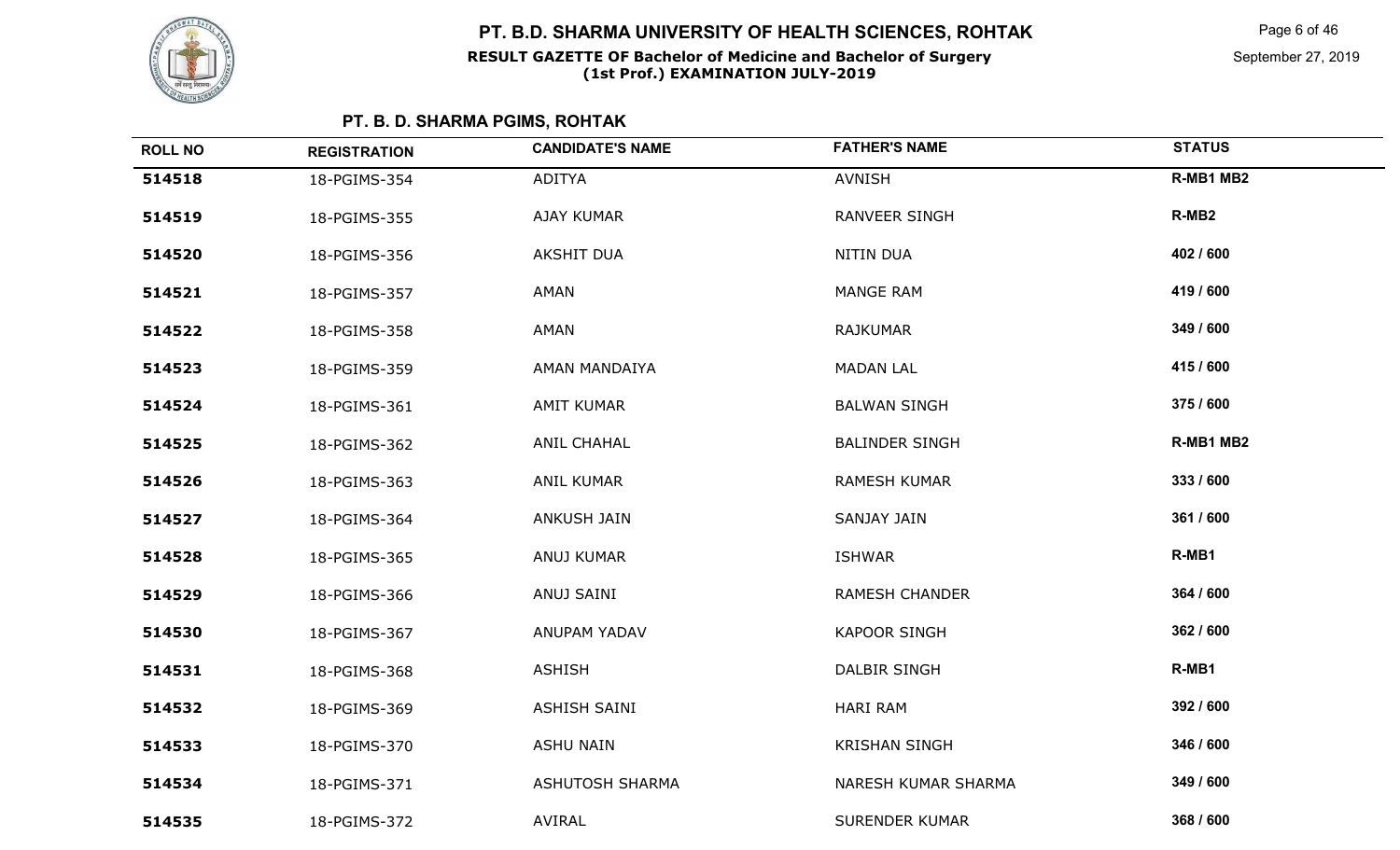

Page 6 of 46

| <b>ROLL NO</b> | <b>REGISTRATION</b> | <b>CANDIDATE'S NAME</b> | <b>FATHER'S NAME</b>  | <b>STATUS</b>     |
|----------------|---------------------|-------------------------|-----------------------|-------------------|
| 514518         | 18-PGIMS-354        | <b>ADITYA</b>           | <b>AVNISH</b>         | R-MB1 MB2         |
| 514519         | 18-PGIMS-355        | AJAY KUMAR              | RANVEER SINGH         | R-MB <sub>2</sub> |
| 514520         | 18-PGIMS-356        | <b>AKSHIT DUA</b>       | NITIN DUA             | 402 / 600         |
| 514521         | 18-PGIMS-357        | AMAN                    | <b>MANGE RAM</b>      | 419 / 600         |
| 514522         | 18-PGIMS-358        | AMAN                    | <b>RAJKUMAR</b>       | 349 / 600         |
| 514523         | 18-PGIMS-359        | AMAN MANDAIYA           | <b>MADAN LAL</b>      | 415 / 600         |
| 514524         | 18-PGIMS-361        | AMIT KUMAR              | <b>BALWAN SINGH</b>   | 375 / 600         |
| 514525         | 18-PGIMS-362        | <b>ANIL CHAHAL</b>      | <b>BALINDER SINGH</b> | R-MB1 MB2         |
| 514526         | 18-PGIMS-363        | <b>ANIL KUMAR</b>       | <b>RAMESH KUMAR</b>   | 333 / 600         |
| 514527         | 18-PGIMS-364        | <b>ANKUSH JAIN</b>      | SANJAY JAIN           | 361 / 600         |
| 514528         | 18-PGIMS-365        | ANUJ KUMAR              | <b>ISHWAR</b>         | R-MB1             |
| 514529         | 18-PGIMS-366        | ANUJ SAINI              | <b>RAMESH CHANDER</b> | 364 / 600         |
| 514530         | 18-PGIMS-367        | ANUPAM YADAV            | <b>KAPOOR SINGH</b>   | 362 / 600         |
| 514531         | 18-PGIMS-368        | <b>ASHISH</b>           | DALBIR SINGH          | R-MB1             |
| 514532         | 18-PGIMS-369        | ASHISH SAINI            | <b>HARI RAM</b>       | 392 / 600         |
| 514533         | 18-PGIMS-370        | <b>ASHU NAIN</b>        | <b>KRISHAN SINGH</b>  | 346 / 600         |
| 514534         | 18-PGIMS-371        | ASHUTOSH SHARMA         | NARESH KUMAR SHARMA   | 349 / 600         |
| 514535         | 18-PGIMS-372        | AVIRAL                  | <b>SURENDER KUMAR</b> | 368 / 600         |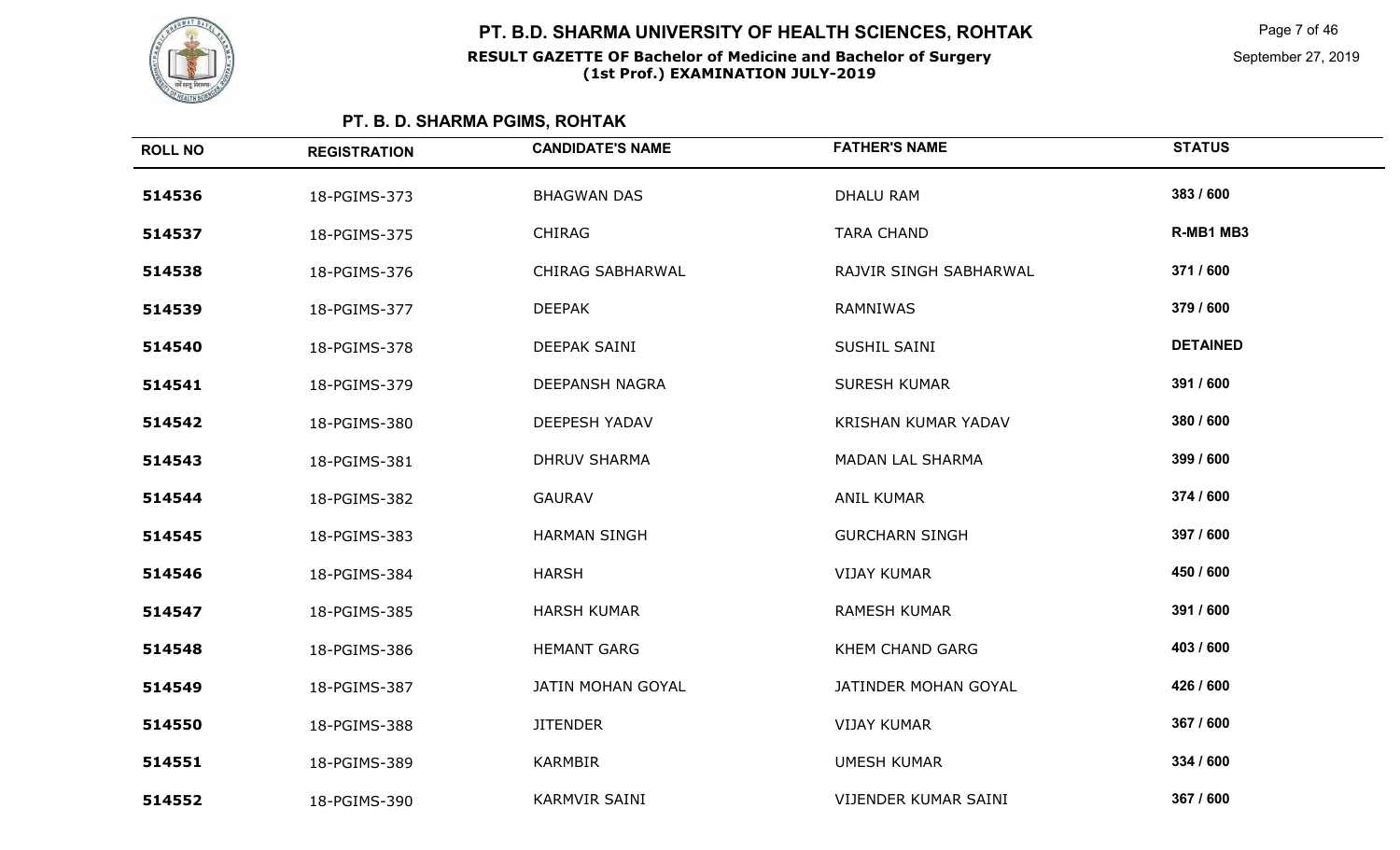

Page 7 of 46

| <b>ROLL NO</b> | <b>REGISTRATION</b> | <b>CANDIDATE'S NAME</b> | <b>FATHER'S NAME</b>    | <b>STATUS</b>   |
|----------------|---------------------|-------------------------|-------------------------|-----------------|
| 514536         | 18-PGIMS-373        | <b>BHAGWAN DAS</b>      | <b>DHALU RAM</b>        | 383 / 600       |
| 514537         | 18-PGIMS-375        | <b>CHIRAG</b>           | <b>TARA CHAND</b>       | R-MB1 MB3       |
| 514538         | 18-PGIMS-376        | <b>CHIRAG SABHARWAL</b> | RAJVIR SINGH SABHARWAL  | 371 / 600       |
| 514539         | 18-PGIMS-377        | <b>DEEPAK</b>           | RAMNIWAS                | 379 / 600       |
| 514540         | 18-PGIMS-378        | DEEPAK SAINI            | SUSHIL SAINI            | <b>DETAINED</b> |
| 514541         | 18-PGIMS-379        | <b>DEEPANSH NAGRA</b>   | <b>SURESH KUMAR</b>     | 391 / 600       |
| 514542         | 18-PGIMS-380        | <b>DEEPESH YADAV</b>    | KRISHAN KUMAR YADAV     | 380 / 600       |
| 514543         | 18-PGIMS-381        | <b>DHRUV SHARMA</b>     | <b>MADAN LAL SHARMA</b> | 399 / 600       |
| 514544         | 18-PGIMS-382        | <b>GAURAV</b>           | <b>ANIL KUMAR</b>       | 374 / 600       |
| 514545         | 18-PGIMS-383        | HARMAN SINGH            | <b>GURCHARN SINGH</b>   | 397 / 600       |
| 514546         | 18-PGIMS-384        | <b>HARSH</b>            | <b>VIJAY KUMAR</b>      | 450 / 600       |
| 514547         | 18-PGIMS-385        | <b>HARSH KUMAR</b>      | <b>RAMESH KUMAR</b>     | 391 / 600       |
| 514548         | 18-PGIMS-386        | <b>HEMANT GARG</b>      | KHEM CHAND GARG         | 403 / 600       |
| 514549         | 18-PGIMS-387        | JATIN MOHAN GOYAL       | JATINDER MOHAN GOYAL    | 426 / 600       |
| 514550         | 18-PGIMS-388        | <b>JITENDER</b>         | <b>VIJAY KUMAR</b>      | 367 / 600       |
| 514551         | 18-PGIMS-389        | <b>KARMBIR</b>          | <b>UMESH KUMAR</b>      | 334 / 600       |
| 514552         | 18-PGIMS-390        | <b>KARMVIR SAINI</b>    | VIJENDER KUMAR SAINI    | 367 / 600       |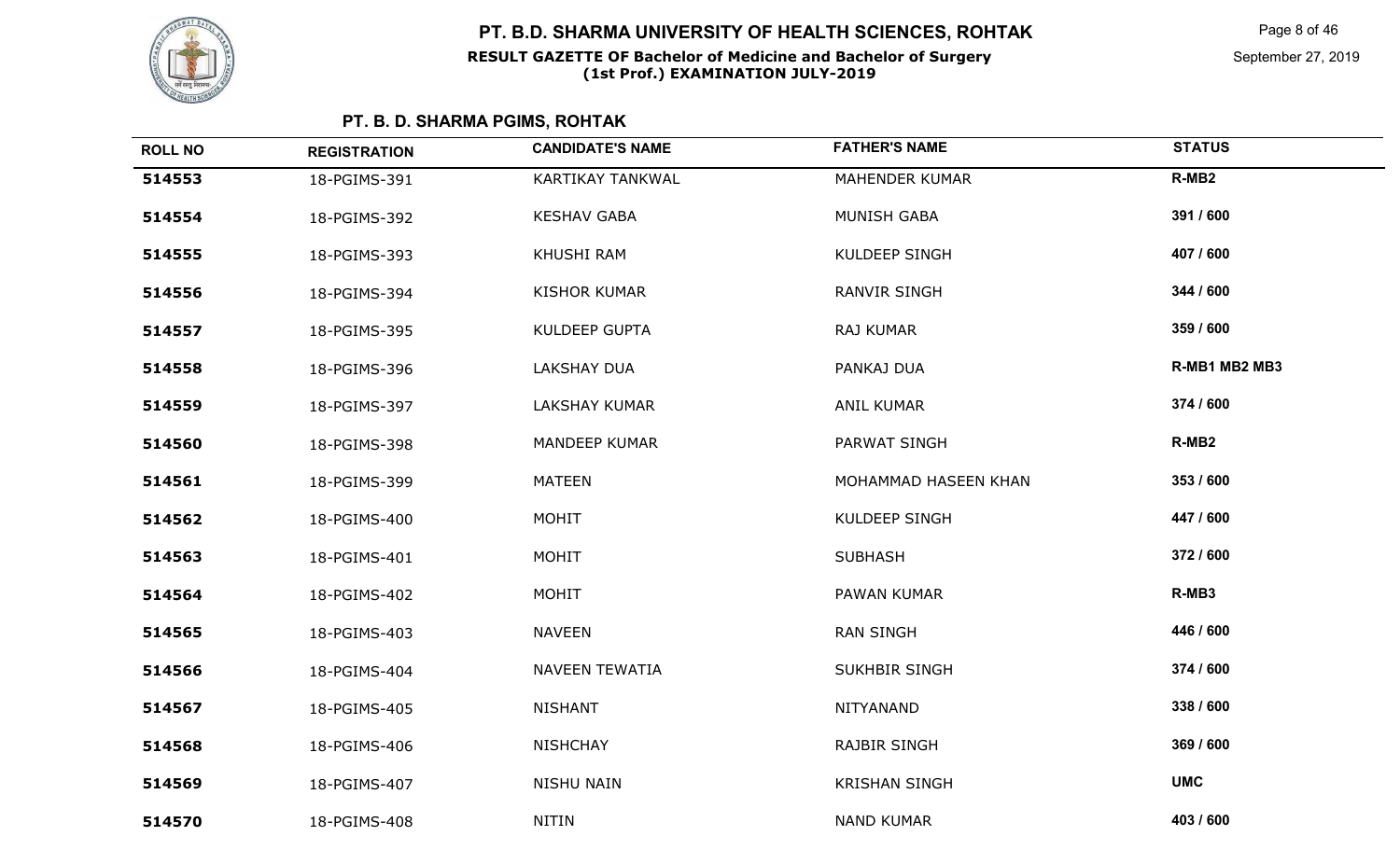

Page 8 of 46

| <b>ROLL NO</b> | <b>REGISTRATION</b> | <b>CANDIDATE'S NAME</b> | <b>FATHER'S NAME</b>  | <b>STATUS</b>     |
|----------------|---------------------|-------------------------|-----------------------|-------------------|
| 514553         | 18-PGIMS-391        | KARTIKAY TANKWAL        | <b>MAHENDER KUMAR</b> | R-MB <sub>2</sub> |
| 514554         | 18-PGIMS-392        | <b>KESHAV GABA</b>      | <b>MUNISH GABA</b>    | 391 / 600         |
| 514555         | 18-PGIMS-393        | KHUSHI RAM              | KULDEEP SINGH         | 407 / 600         |
| 514556         | 18-PGIMS-394        | <b>KISHOR KUMAR</b>     | <b>RANVIR SINGH</b>   | 344 / 600         |
| 514557         | 18-PGIMS-395        | KULDEEP GUPTA           | RAJ KUMAR             | 359 / 600         |
| 514558         | 18-PGIMS-396        | <b>LAKSHAY DUA</b>      | PANKAJ DUA            | R-MB1 MB2 MB3     |
| 514559         | 18-PGIMS-397        | <b>LAKSHAY KUMAR</b>    | <b>ANIL KUMAR</b>     | 374 / 600         |
| 514560         | 18-PGIMS-398        | MANDEEP KUMAR           | PARWAT SINGH          | R-MB <sub>2</sub> |
| 514561         | 18-PGIMS-399        | <b>MATEEN</b>           | MOHAMMAD HASEEN KHAN  | 353 / 600         |
| 514562         | 18-PGIMS-400        | <b>MOHIT</b>            | KULDEEP SINGH         | 447 / 600         |
| 514563         | 18-PGIMS-401        | <b>MOHIT</b>            | <b>SUBHASH</b>        | 372 / 600         |
| 514564         | 18-PGIMS-402        | <b>MOHIT</b>            | PAWAN KUMAR           | R-MB3             |
| 514565         | 18-PGIMS-403        | <b>NAVEEN</b>           | <b>RAN SINGH</b>      | 446 / 600         |
| 514566         | 18-PGIMS-404        | <b>NAVEEN TEWATIA</b>   | <b>SUKHBIR SINGH</b>  | 374 / 600         |
| 514567         | 18-PGIMS-405        | <b>NISHANT</b>          | NITYANAND             | 338 / 600         |
| 514568         | 18-PGIMS-406        | <b>NISHCHAY</b>         | <b>RAJBIR SINGH</b>   | 369 / 600         |
| 514569         | 18-PGIMS-407        | <b>NISHU NAIN</b>       | <b>KRISHAN SINGH</b>  | <b>UMC</b>        |
| 514570         | 18-PGIMS-408        | <b>NITIN</b>            | <b>NAND KUMAR</b>     | 403 / 600         |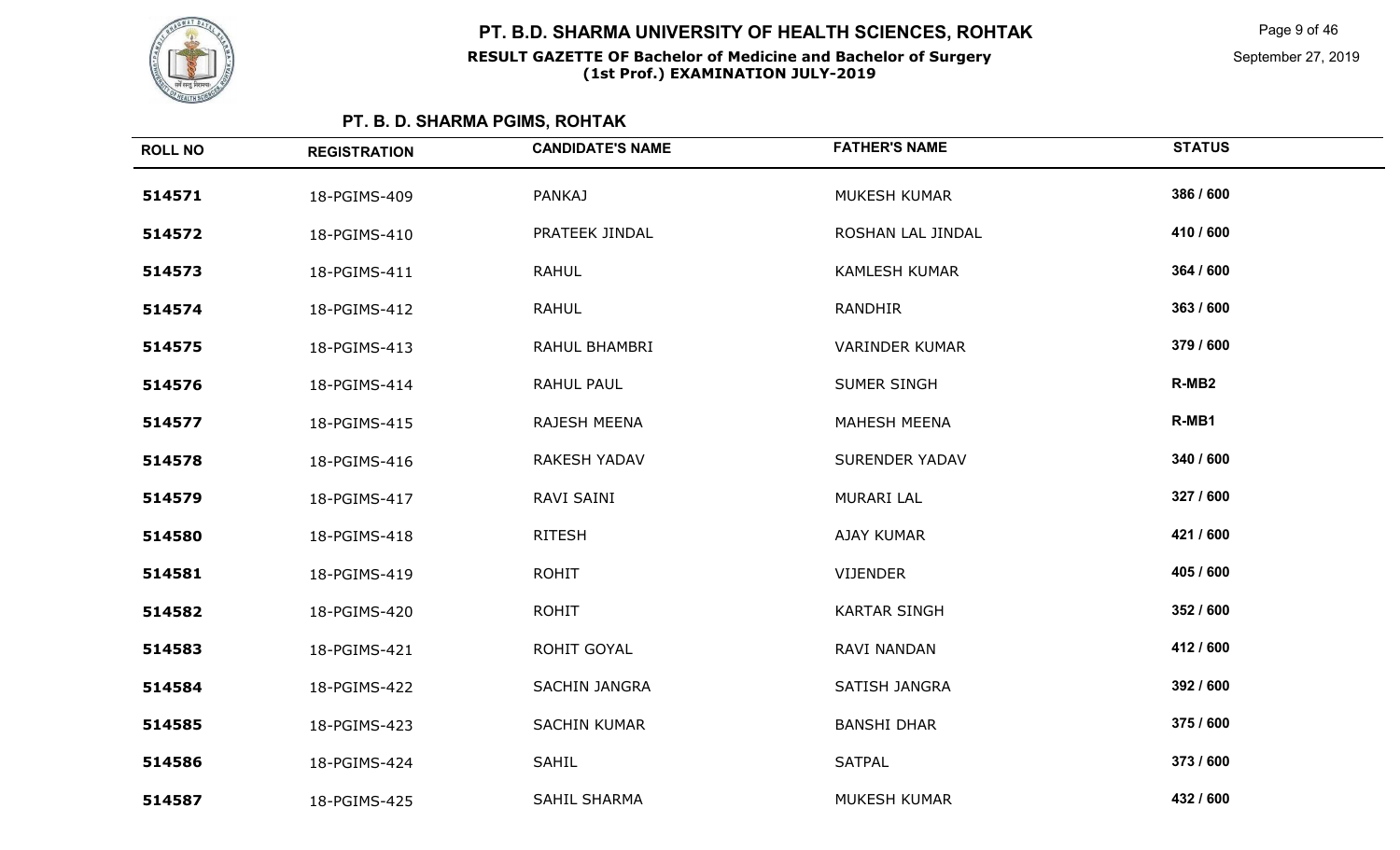

Page 9 of 46

September 27, 2019

| <b>ROLL NO</b> | <b>REGISTRATION</b> | <b>CANDIDATE'S NAME</b> | <b>FATHER'S NAME</b>  | <b>STATUS</b>     |
|----------------|---------------------|-------------------------|-----------------------|-------------------|
| 514571         | 18-PGIMS-409        | <b>PANKAJ</b>           | MUKESH KUMAR          | 386 / 600         |
| 514572         | 18-PGIMS-410        | PRATEEK JINDAL          | ROSHAN LAL JINDAL     | 410 / 600         |
| 514573         | 18-PGIMS-411        | <b>RAHUL</b>            | <b>KAMLESH KUMAR</b>  | 364 / 600         |
| 514574         | 18-PGIMS-412        | <b>RAHUL</b>            | RANDHIR               | 363 / 600         |
| 514575         | 18-PGIMS-413        | RAHUL BHAMBRI           | VARINDER KUMAR        | 379 / 600         |
| 514576         | 18-PGIMS-414        | RAHUL PAUL              | SUMER SINGH           | R-MB <sub>2</sub> |
| 514577         | 18-PGIMS-415        | RAJESH MEENA            | <b>MAHESH MEENA</b>   | R-MB1             |
| 514578         | 18-PGIMS-416        | RAKESH YADAV            | <b>SURENDER YADAV</b> | 340 / 600         |
| 514579         | 18-PGIMS-417        | RAVI SAINI              | <b>MURARI LAL</b>     | 327 / 600         |
| 514580         | 18-PGIMS-418        | <b>RITESH</b>           | <b>AJAY KUMAR</b>     | 421 / 600         |
| 514581         | 18-PGIMS-419        | <b>ROHIT</b>            | VIJENDER              | 405 / 600         |
| 514582         | 18-PGIMS-420        | <b>ROHIT</b>            | <b>KARTAR SINGH</b>   | 352 / 600         |
| 514583         | 18-PGIMS-421        | ROHIT GOYAL             | RAVI NANDAN           | 412 / 600         |
| 514584         | 18-PGIMS-422        | SACHIN JANGRA           | SATISH JANGRA         | 392 / 600         |
| 514585         | 18-PGIMS-423        | <b>SACHIN KUMAR</b>     | <b>BANSHI DHAR</b>    | 375 / 600         |
| 514586         | 18-PGIMS-424        | SAHIL                   | <b>SATPAL</b>         | 373 / 600         |
| 514587         | 18-PGIMS-425        | SAHIL SHARMA            | MUKESH KUMAR          | 432 / 600         |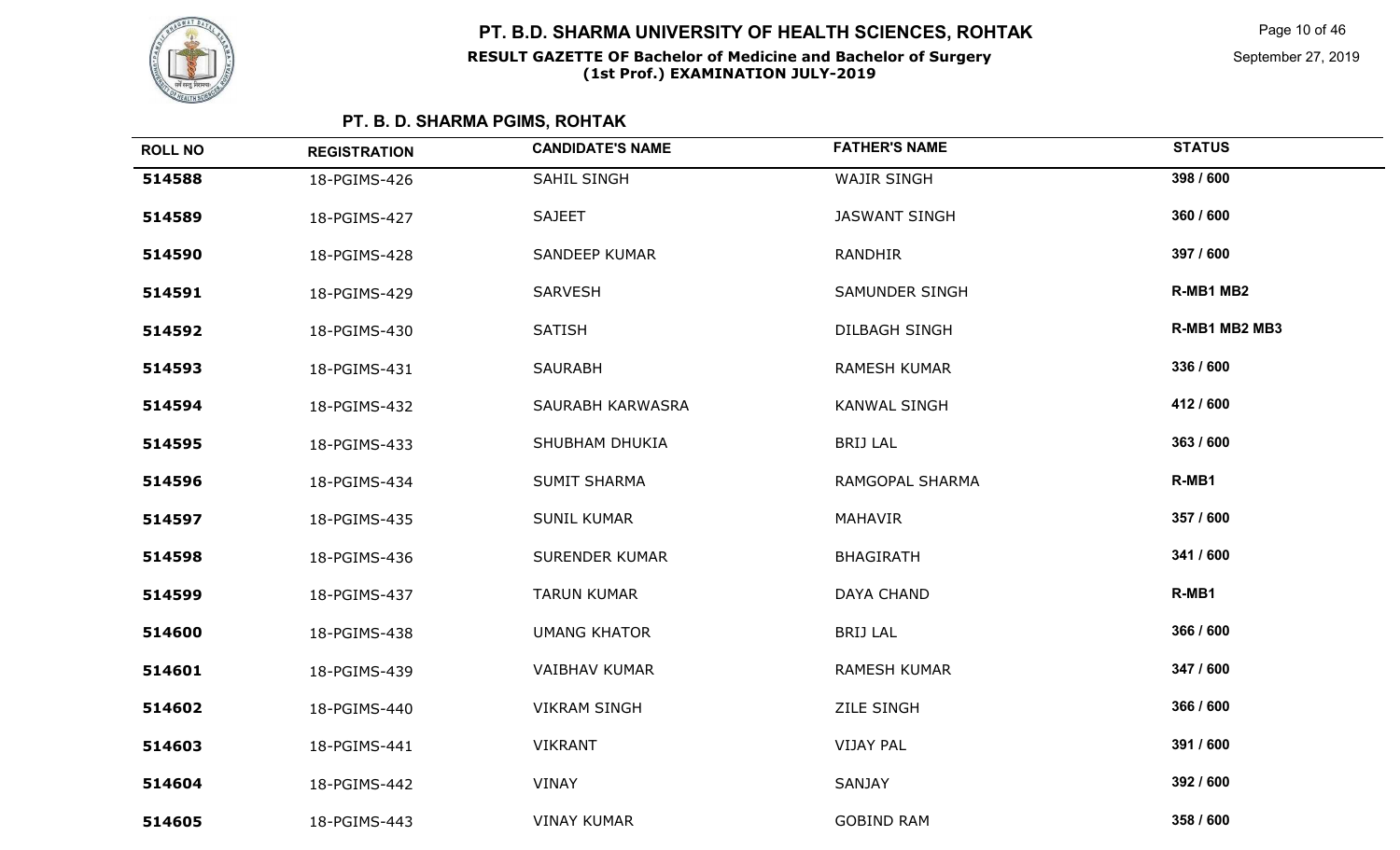

Page 10 of 46

| <b>ROLL NO</b> | <b>REGISTRATION</b> | <b>CANDIDATE'S NAME</b> | <b>FATHER'S NAME</b> | <b>STATUS</b> |
|----------------|---------------------|-------------------------|----------------------|---------------|
| 514588         | 18-PGIMS-426        | SAHIL SINGH             | <b>WAJIR SINGH</b>   | 398 / 600     |
| 514589         | 18-PGIMS-427        | <b>SAJEET</b>           | <b>JASWANT SINGH</b> | 360 / 600     |
| 514590         | 18-PGIMS-428        | <b>SANDEEP KUMAR</b>    | <b>RANDHIR</b>       | 397 / 600     |
| 514591         | 18-PGIMS-429        | <b>SARVESH</b>          | SAMUNDER SINGH       | R-MB1 MB2     |
| 514592         | 18-PGIMS-430        | <b>SATISH</b>           | <b>DILBAGH SINGH</b> | R-MB1 MB2 MB3 |
| 514593         | 18-PGIMS-431        | <b>SAURABH</b>          | <b>RAMESH KUMAR</b>  | 336 / 600     |
| 514594         | 18-PGIMS-432        | SAURABH KARWASRA        | <b>KANWAL SINGH</b>  | 412 / 600     |
| 514595         | 18-PGIMS-433        | SHUBHAM DHUKIA          | <b>BRIJ LAL</b>      | 363 / 600     |
| 514596         | 18-PGIMS-434        | <b>SUMIT SHARMA</b>     | RAMGOPAL SHARMA      | R-MB1         |
| 514597         | 18-PGIMS-435        | <b>SUNIL KUMAR</b>      | <b>MAHAVIR</b>       | 357 / 600     |
| 514598         | 18-PGIMS-436        | <b>SURENDER KUMAR</b>   | <b>BHAGIRATH</b>     | 341 / 600     |
| 514599         | 18-PGIMS-437        | <b>TARUN KUMAR</b>      | DAYA CHAND           | R-MB1         |
| 514600         | 18-PGIMS-438        | <b>UMANG KHATOR</b>     | <b>BRIJ LAL</b>      | 366 / 600     |
| 514601         | 18-PGIMS-439        | <b>VAIBHAV KUMAR</b>    | <b>RAMESH KUMAR</b>  | 347 / 600     |
| 514602         | 18-PGIMS-440        | <b>VIKRAM SINGH</b>     | <b>ZILE SINGH</b>    | 366 / 600     |
| 514603         | 18-PGIMS-441        | <b>VIKRANT</b>          | <b>VIJAY PAL</b>     | 391 / 600     |
| 514604         | 18-PGIMS-442        | VINAY                   | <b>SANJAY</b>        | 392 / 600     |
| 514605         | 18-PGIMS-443        | <b>VINAY KUMAR</b>      | <b>GOBIND RAM</b>    | 358 / 600     |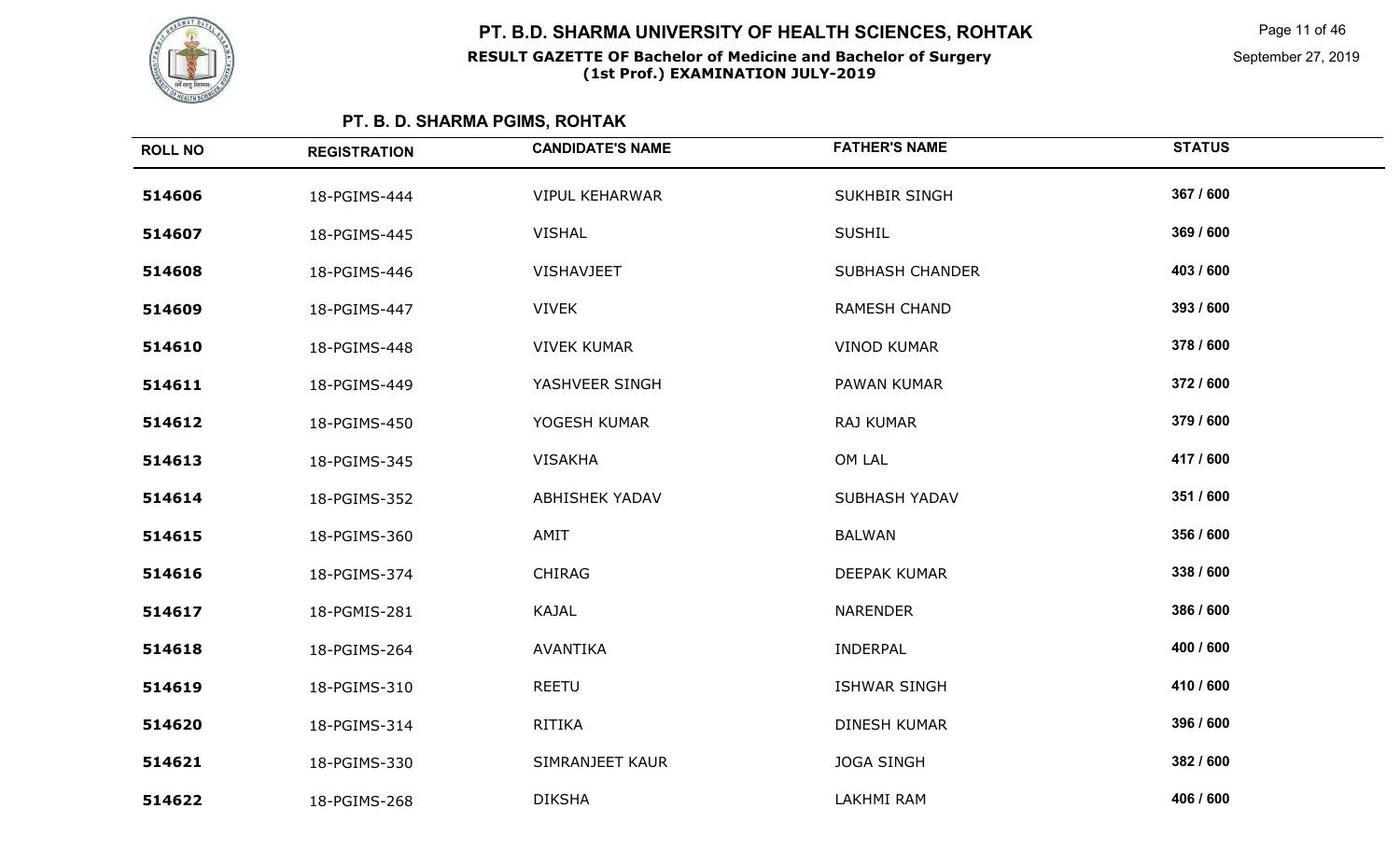

Page 11 of 46

| <b>ROLL NO</b> | <b>REGISTRATION</b> | <b>CANDIDATE'S NAME</b> | <b>FATHER'S NAME</b>   | <b>STATUS</b> |
|----------------|---------------------|-------------------------|------------------------|---------------|
| 514606         | 18-PGIMS-444        | <b>VIPUL KEHARWAR</b>   | <b>SUKHBIR SINGH</b>   | 367 / 600     |
| 514607         | 18-PGIMS-445        | <b>VISHAL</b>           | <b>SUSHIL</b>          | 369 / 600     |
| 514608         | 18-PGIMS-446        | VISHAVJEET              | <b>SUBHASH CHANDER</b> | 403 / 600     |
| 514609         | 18-PGIMS-447        | <b>VIVEK</b>            | RAMESH CHAND           | 393 / 600     |
| 514610         | 18-PGIMS-448        | <b>VIVEK KUMAR</b>      | <b>VINOD KUMAR</b>     | 378 / 600     |
| 514611         | 18-PGIMS-449        | YASHVEER SINGH          | PAWAN KUMAR            | 372 / 600     |
| 514612         | 18-PGIMS-450        | YOGESH KUMAR            | RAJ KUMAR              | 379 / 600     |
| 514613         | 18-PGIMS-345        | <b>VISAKHA</b>          | OM LAL                 | 417 / 600     |
| 514614         | 18-PGIMS-352        | <b>ABHISHEK YADAV</b>   | SUBHASH YADAV          | 351 / 600     |
| 514615         | 18-PGIMS-360        | AMIT                    | <b>BALWAN</b>          | 356 / 600     |
| 514616         | 18-PGIMS-374        | <b>CHIRAG</b>           | DEEPAK KUMAR           | 338 / 600     |
| 514617         | 18-PGMIS-281        | KAJAL                   | <b>NARENDER</b>        | 386 / 600     |
| 514618         | 18-PGIMS-264        | AVANTIKA                | <b>INDERPAL</b>        | 400 / 600     |
| 514619         | 18-PGIMS-310        | <b>REETU</b>            | <b>ISHWAR SINGH</b>    | 410 / 600     |
| 514620         | 18-PGIMS-314        | <b>RITIKA</b>           | DINESH KUMAR           | 396 / 600     |
| 514621         | 18-PGIMS-330        | SIMRANJEET KAUR         | <b>JOGA SINGH</b>      | 382 / 600     |
| 514622         | 18-PGIMS-268        | <b>DIKSHA</b>           | LAKHMI RAM             | 406 / 600     |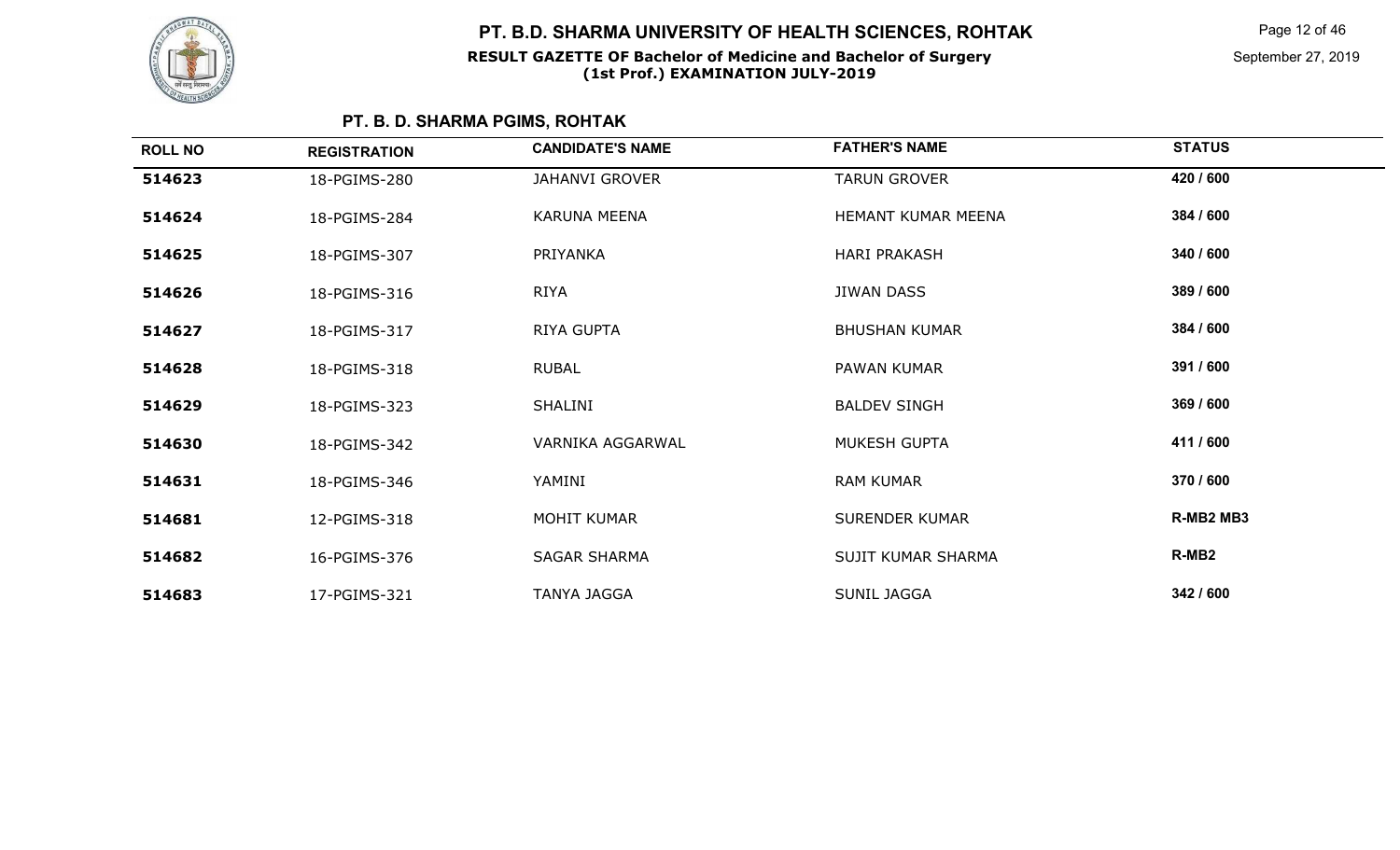

Page 12 of 46

| <b>ROLL NO</b> | <b>REGISTRATION</b> | <b>CANDIDATE'S NAME</b> | <b>FATHER'S NAME</b>  | <b>STATUS</b>     |
|----------------|---------------------|-------------------------|-----------------------|-------------------|
| 514623         | 18-PGIMS-280        | <b>JAHANVI GROVER</b>   | <b>TARUN GROVER</b>   | 420 / 600         |
| 514624         | 18-PGIMS-284        | KARUNA MEENA            | HEMANT KUMAR MEENA    | 384 / 600         |
| 514625         | 18-PGIMS-307        | PRIYANKA                | <b>HARI PRAKASH</b>   | 340 / 600         |
| 514626         | 18-PGIMS-316        | <b>RIYA</b>             | JIWAN DASS            | 389 / 600         |
| 514627         | 18-PGIMS-317        | RIYA GUPTA              | <b>BHUSHAN KUMAR</b>  | 384 / 600         |
| 514628         | 18-PGIMS-318        | <b>RUBAL</b>            | PAWAN KUMAR           | 391 / 600         |
| 514629         | 18-PGIMS-323        | SHALINI                 | <b>BALDEV SINGH</b>   | 369 / 600         |
| 514630         | 18-PGIMS-342        | VARNIKA AGGARWAL        | MUKESH GUPTA          | 411 / 600         |
| 514631         | 18-PGIMS-346        | YAMINI                  | <b>RAM KUMAR</b>      | 370 / 600         |
| 514681         | 12-PGIMS-318        | <b>MOHIT KUMAR</b>      | <b>SURENDER KUMAR</b> | R-MB2 MB3         |
| 514682         | 16-PGIMS-376        | <b>SAGAR SHARMA</b>     | SUJIT KUMAR SHARMA    | R-MB <sub>2</sub> |
| 514683         | 17-PGIMS-321        | <b>TANYA JAGGA</b>      | <b>SUNIL JAGGA</b>    | 342 / 600         |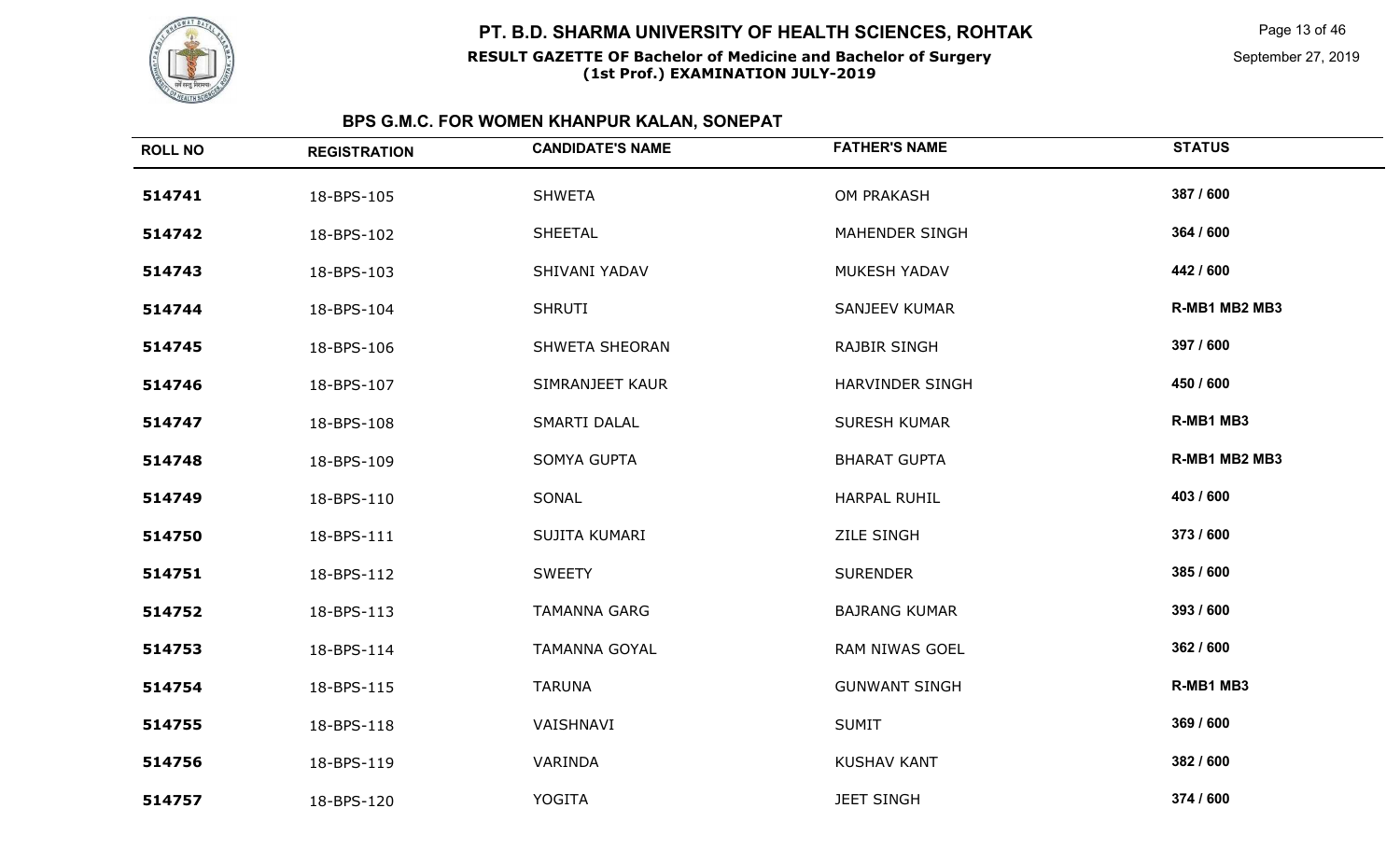

#### **RESULT GAZETTE OF Bachelor of Medicine and Bachelor of Surgery(1st Prof.) EXAMINATION JULY-2019**

Page 13 of 46

September 27, 2019

| <b>ROLL NO</b> | <b>REGISTRATION</b> | <b>CANDIDATE'S NAME</b> | <b>FATHER'S NAME</b> | <b>STATUS</b> |
|----------------|---------------------|-------------------------|----------------------|---------------|
| 514741         | 18-BPS-105          | <b>SHWETA</b>           | OM PRAKASH           | 387 / 600     |
| 514742         | 18-BPS-102          | SHEETAL                 | MAHENDER SINGH       | 364 / 600     |
| 514743         | 18-BPS-103          | SHIVANI YADAV           | MUKESH YADAV         | 442 / 600     |
| 514744         | 18-BPS-104          | <b>SHRUTI</b>           | SANJEEV KUMAR        | R-MB1 MB2 MB3 |
| 514745         | 18-BPS-106          | SHWETA SHEORAN          | <b>RAJBIR SINGH</b>  | 397 / 600     |
| 514746         | 18-BPS-107          | SIMRANJEET KAUR         | HARVINDER SINGH      | 450 / 600     |
| 514747         | 18-BPS-108          | SMARTI DALAL            | <b>SURESH KUMAR</b>  | R-MB1 MB3     |
| 514748         | 18-BPS-109          | SOMYA GUPTA             | <b>BHARAT GUPTA</b>  | R-MB1 MB2 MB3 |
| 514749         | 18-BPS-110          | SONAL                   | <b>HARPAL RUHIL</b>  | 403 / 600     |
| 514750         | 18-BPS-111          | SUJITA KUMARI           | <b>ZILE SINGH</b>    | 373 / 600     |
| 514751         | 18-BPS-112          | <b>SWEETY</b>           | <b>SURENDER</b>      | 385 / 600     |
| 514752         | 18-BPS-113          | <b>TAMANNA GARG</b>     | <b>BAJRANG KUMAR</b> | 393 / 600     |
| 514753         | 18-BPS-114          | <b>TAMANNA GOYAL</b>    | RAM NIWAS GOEL       | 362 / 600     |
| 514754         | 18-BPS-115          | <b>TARUNA</b>           | <b>GUNWANT SINGH</b> | R-MB1 MB3     |
| 514755         | 18-BPS-118          | VAISHNAVI               | <b>SUMIT</b>         | 369 / 600     |
| 514756         | 18-BPS-119          | VARINDA                 | <b>KUSHAV KANT</b>   | 382 / 600     |
| 514757         | 18-BPS-120          | <b>YOGITA</b>           | <b>JEET SINGH</b>    | 374 / 600     |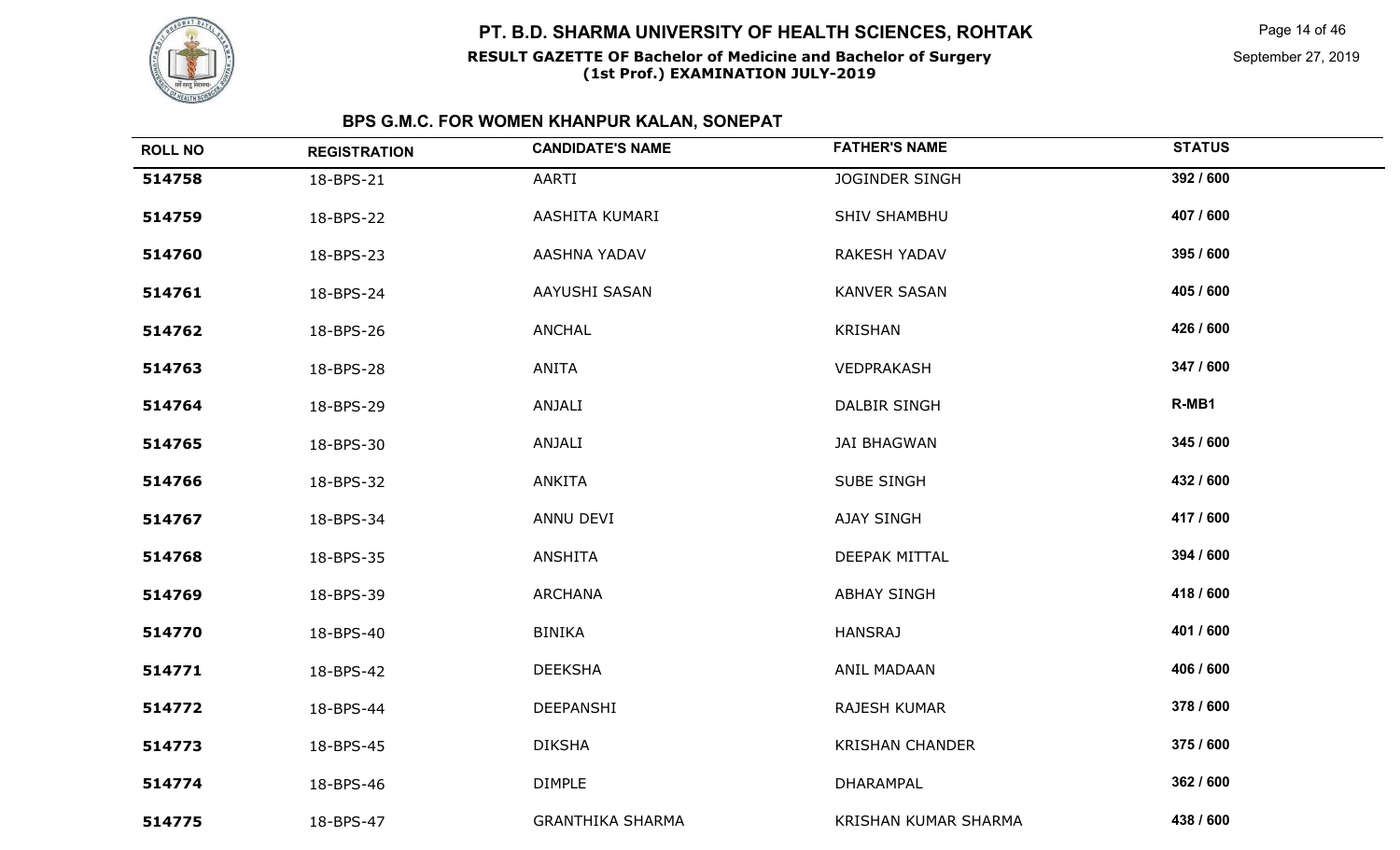

### **RESULT GAZETTE OF Bachelor of Medicine and Bachelor of SurgeryPT. B.D. SHARMA UNIVERSITY OF HEALTH SCIENCES, ROHTAK**

# **(1st Prof.) EXAMINATION JULY-2019**

Page 14 of 46

September 27, 2019

| <b>ROLL NO</b> | <b>REGISTRATION</b> | <b>CANDIDATE'S NAME</b> | <b>FATHER'S NAME</b>   | <b>STATUS</b> |
|----------------|---------------------|-------------------------|------------------------|---------------|
| 514758         | 18-BPS-21           | AARTI                   | <b>JOGINDER SINGH</b>  | 392 / 600     |
| 514759         | 18-BPS-22           | AASHITA KUMARI          | <b>SHIV SHAMBHU</b>    | 407 / 600     |
| 514760         | 18-BPS-23           | AASHNA YADAV            | <b>RAKESH YADAV</b>    | 395 / 600     |
| 514761         | 18-BPS-24           | AAYUSHI SASAN           | <b>KANVER SASAN</b>    | 405 / 600     |
| 514762         | 18-BPS-26           | <b>ANCHAL</b>           | <b>KRISHAN</b>         | 426 / 600     |
| 514763         | 18-BPS-28           | <b>ANITA</b>            | VEDPRAKASH             | 347 / 600     |
| 514764         | 18-BPS-29           | ANJALI                  | <b>DALBIR SINGH</b>    | R-MB1         |
| 514765         | 18-BPS-30           | ANJALI                  | <b>JAI BHAGWAN</b>     | 345 / 600     |
| 514766         | 18-BPS-32           | <b>ANKITA</b>           | <b>SUBE SINGH</b>      | 432 / 600     |
| 514767         | 18-BPS-34           | ANNU DEVI               | <b>AJAY SINGH</b>      | 417 / 600     |
| 514768         | 18-BPS-35           | <b>ANSHITA</b>          | DEEPAK MITTAL          | 394 / 600     |
| 514769         | 18-BPS-39           | <b>ARCHANA</b>          | <b>ABHAY SINGH</b>     | 418 / 600     |
| 514770         | 18-BPS-40           | <b>BINIKA</b>           | <b>HANSRAJ</b>         | 401 / 600     |
| 514771         | 18-BPS-42           | <b>DEEKSHA</b>          | ANIL MADAAN            | 406 / 600     |
| 514772         | 18-BPS-44           | DEEPANSHI               | RAJESH KUMAR           | 378 / 600     |
| 514773         | 18-BPS-45           | <b>DIKSHA</b>           | <b>KRISHAN CHANDER</b> | 375 / 600     |
| 514774         | 18-BPS-46           | <b>DIMPLE</b>           | DHARAMPAL              | 362 / 600     |
| 514775         | 18-BPS-47           | <b>GRANTHIKA SHARMA</b> | KRISHAN KUMAR SHARMA   | 438 / 600     |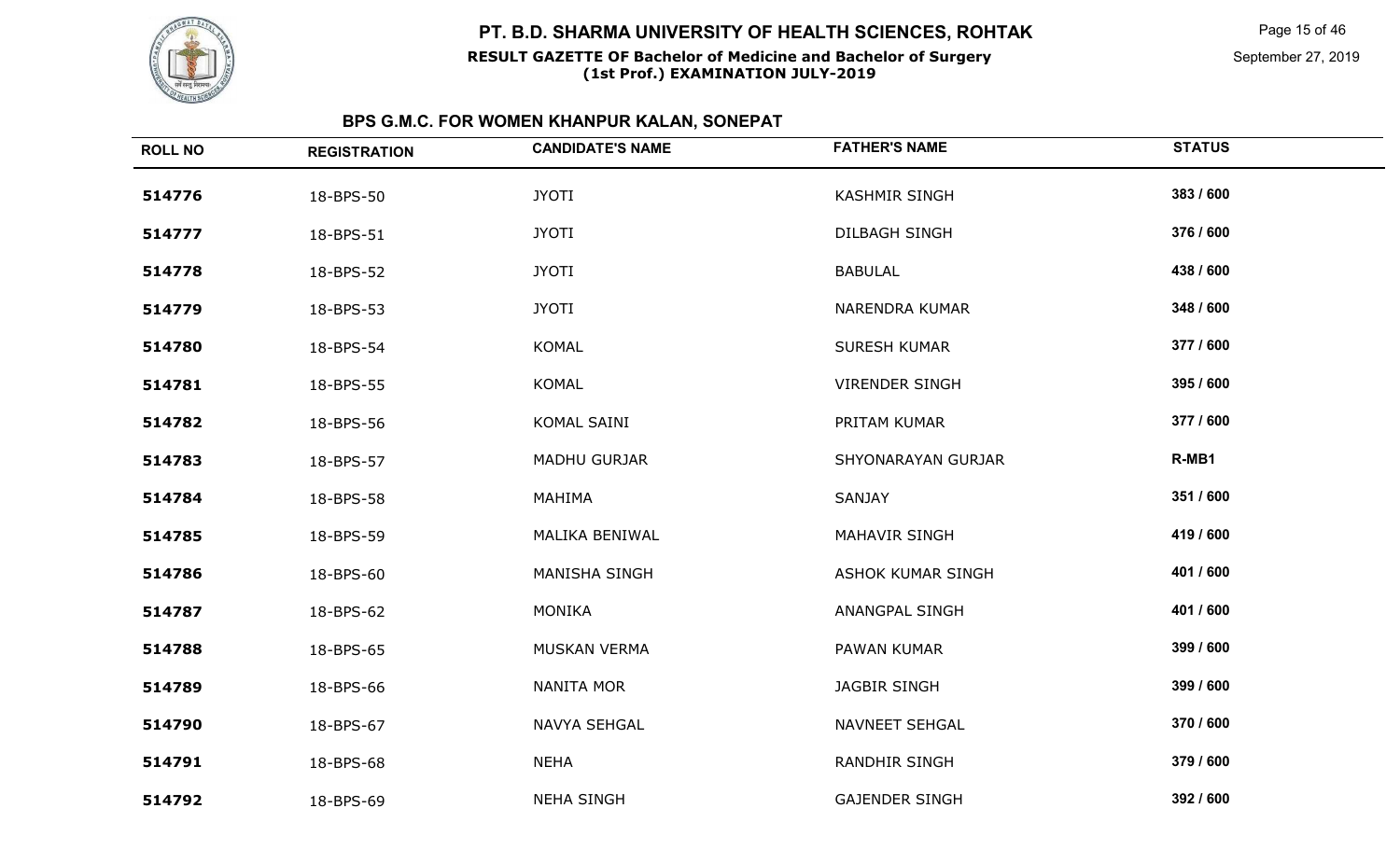

#### **RESULT GAZETTE OF Bachelor of Medicine and Bachelor of Surgery(1st Prof.) EXAMINATION JULY-2019**

Page 15 of 46

September 27, 2019

| <b>ROLL NO</b> | <b>REGISTRATION</b> | <b>CANDIDATE'S NAME</b> | <b>FATHER'S NAME</b>  | <b>STATUS</b> |
|----------------|---------------------|-------------------------|-----------------------|---------------|
| 514776         | 18-BPS-50           | <b>JYOTI</b>            | <b>KASHMIR SINGH</b>  | 383 / 600     |
| 514777         | 18-BPS-51           | <b>JYOTI</b>            | <b>DILBAGH SINGH</b>  | 376 / 600     |
| 514778         | 18-BPS-52           | <b>JYOTI</b>            | <b>BABULAL</b>        | 438 / 600     |
| 514779         | 18-BPS-53           | <b>JYOTI</b>            | NARENDRA KUMAR        | 348 / 600     |
| 514780         | 18-BPS-54           | <b>KOMAL</b>            | <b>SURESH KUMAR</b>   | 377 / 600     |
| 514781         | 18-BPS-55           | <b>KOMAL</b>            | <b>VIRENDER SINGH</b> | 395 / 600     |
| 514782         | 18-BPS-56           | KOMAL SAINI             | PRITAM KUMAR          | 377 / 600     |
| 514783         | 18-BPS-57           | <b>MADHU GURJAR</b>     | SHYONARAYAN GURJAR    | R-MB1         |
| 514784         | 18-BPS-58           | MAHIMA                  | SANJAY                | 351 / 600     |
| 514785         | 18-BPS-59           | MALIKA BENIWAL          | <b>MAHAVIR SINGH</b>  | 419 / 600     |
| 514786         | 18-BPS-60           | MANISHA SINGH           | ASHOK KUMAR SINGH     | 401 / 600     |
| 514787         | 18-BPS-62           | <b>MONIKA</b>           | <b>ANANGPAL SINGH</b> | 401 / 600     |
| 514788         | 18-BPS-65           | <b>MUSKAN VERMA</b>     | PAWAN KUMAR           | 399 / 600     |
| 514789         | 18-BPS-66           | <b>NANITA MOR</b>       | JAGBIR SINGH          | 399 / 600     |
| 514790         | 18-BPS-67           | NAVYA SEHGAL            | NAVNEET SEHGAL        | 370 / 600     |
| 514791         | 18-BPS-68           | <b>NEHA</b>             | <b>RANDHIR SINGH</b>  | 379 / 600     |
| 514792         | 18-BPS-69           | <b>NEHA SINGH</b>       | <b>GAJENDER SINGH</b> | 392 / 600     |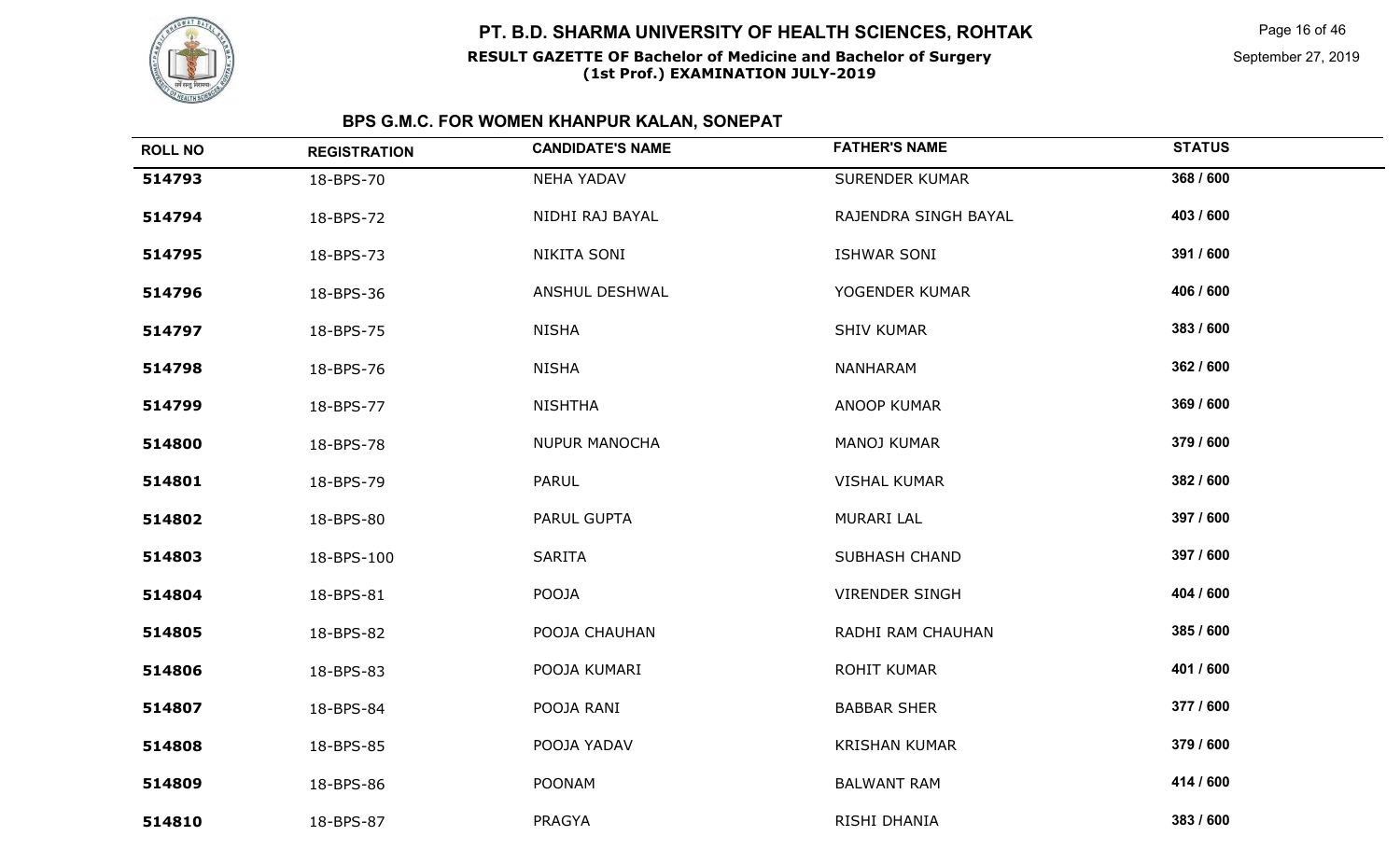

## **RESULT GAZETTE OF Bachelor of Medicine and Bachelor of SurgeryPT. B.D. SHARMA UNIVERSITY OF HEALTH SCIENCES, ROHTAK**

# **(1st Prof.) EXAMINATION JULY-2019**

Page 16 of 46

September 27, 2019

| <b>ROLL NO</b> | <b>REGISTRATION</b> | <b>CANDIDATE'S NAME</b> | <b>FATHER'S NAME</b>  | <b>STATUS</b> |
|----------------|---------------------|-------------------------|-----------------------|---------------|
| 514793         | 18-BPS-70           | <b>NEHA YADAV</b>       | <b>SURENDER KUMAR</b> | 368 / 600     |
| 514794         | 18-BPS-72           | NIDHI RAJ BAYAL         | RAJENDRA SINGH BAYAL  | 403 / 600     |
| 514795         | 18-BPS-73           | NIKITA SONI             | ISHWAR SONI           | 391 / 600     |
| 514796         | 18-BPS-36           | ANSHUL DESHWAL          | YOGENDER KUMAR        | 406 / 600     |
| 514797         | 18-BPS-75           | <b>NISHA</b>            | <b>SHIV KUMAR</b>     | 383 / 600     |
| 514798         | 18-BPS-76           | <b>NISHA</b>            | NANHARAM              | 362 / 600     |
| 514799         | 18-BPS-77           | <b>NISHTHA</b>          | <b>ANOOP KUMAR</b>    | 369 / 600     |
| 514800         | 18-BPS-78           | <b>NUPUR MANOCHA</b>    | <b>MANOJ KUMAR</b>    | 379 / 600     |
| 514801         | 18-BPS-79           | PARUL                   | <b>VISHAL KUMAR</b>   | 382 / 600     |
| 514802         | 18-BPS-80           | PARUL GUPTA             | <b>MURARI LAL</b>     | 397 / 600     |
| 514803         | 18-BPS-100          | SARITA                  | <b>SUBHASH CHAND</b>  | 397 / 600     |
| 514804         | 18-BPS-81           | POOJA                   | <b>VIRENDER SINGH</b> | 404 / 600     |
| 514805         | 18-BPS-82           | POOJA CHAUHAN           | RADHI RAM CHAUHAN     | 385 / 600     |
| 514806         | 18-BPS-83           | POOJA KUMARI            | ROHIT KUMAR           | 401 / 600     |
| 514807         | 18-BPS-84           | POOJA RANI              | <b>BABBAR SHER</b>    | 377 / 600     |
| 514808         | 18-BPS-85           | POOJA YADAV             | <b>KRISHAN KUMAR</b>  | 379 / 600     |
| 514809         | 18-BPS-86           | <b>POONAM</b>           | <b>BALWANT RAM</b>    | 414 / 600     |
| 514810         | 18-BPS-87           | PRAGYA                  | RISHI DHANIA          | 383 / 600     |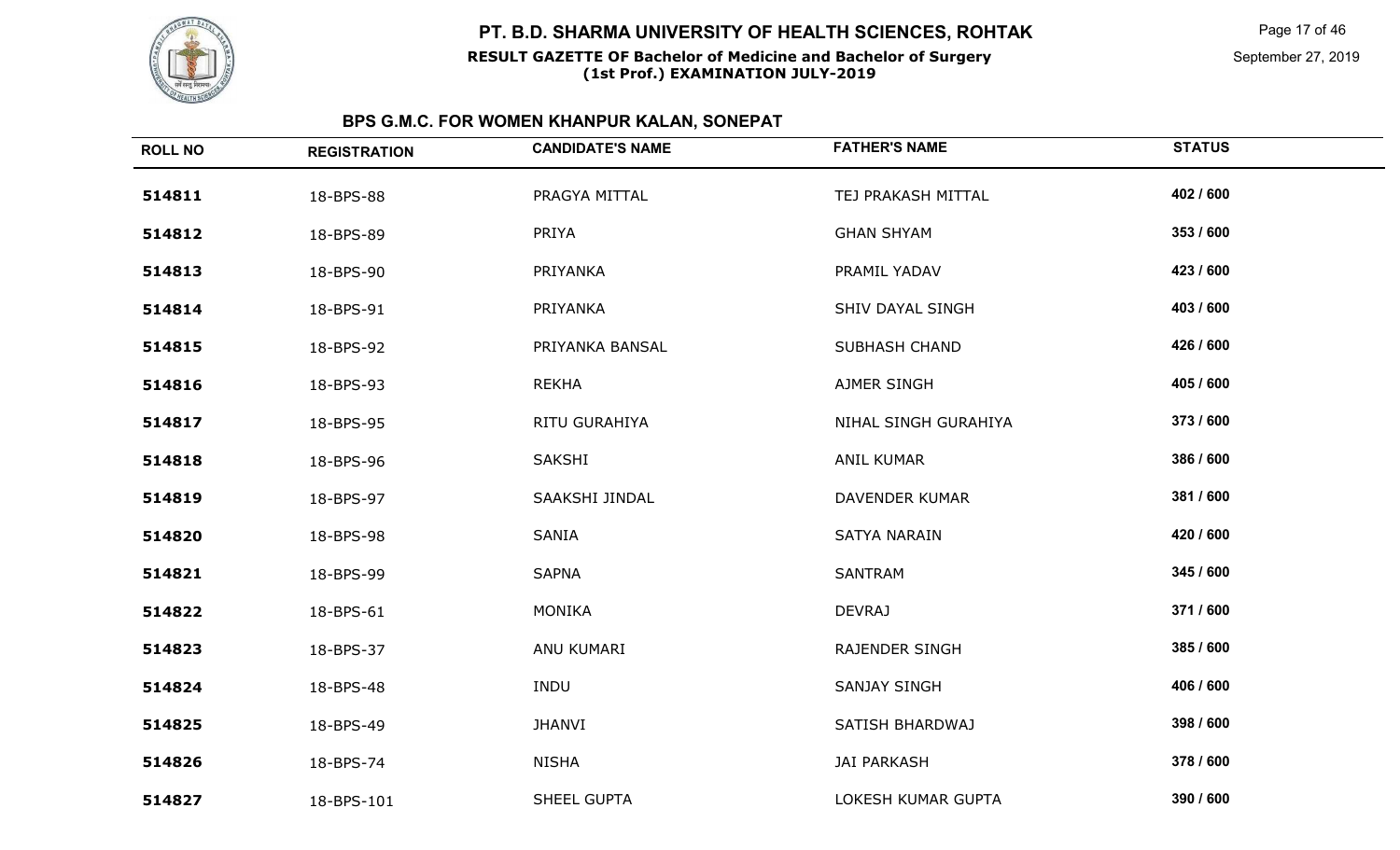

#### **RESULT GAZETTE OF Bachelor of Medicine and Bachelor of Surgery(1st Prof.) EXAMINATION JULY-2019**

Page 17 of 46

| <b>ROLL NO</b> | <b>REGISTRATION</b> | <b>CANDIDATE'S NAME</b> | <b>FATHER'S NAME</b>  | <b>STATUS</b> |
|----------------|---------------------|-------------------------|-----------------------|---------------|
| 514811         | 18-BPS-88           | PRAGYA MITTAL           | TEJ PRAKASH MITTAL    | 402 / 600     |
| 514812         | 18-BPS-89           | PRIYA                   | <b>GHAN SHYAM</b>     | 353 / 600     |
| 514813         | 18-BPS-90           | PRIYANKA                | PRAMIL YADAV          | 423 / 600     |
| 514814         | 18-BPS-91           | PRIYANKA                | SHIV DAYAL SINGH      | 403 / 600     |
| 514815         | 18-BPS-92           | PRIYANKA BANSAL         | <b>SUBHASH CHAND</b>  | 426 / 600     |
| 514816         | 18-BPS-93           | <b>REKHA</b>            | AJMER SINGH           | 405 / 600     |
| 514817         | 18-BPS-95           | RITU GURAHIYA           | NIHAL SINGH GURAHIYA  | 373 / 600     |
| 514818         | 18-BPS-96           | SAKSHI                  | <b>ANIL KUMAR</b>     | 386 / 600     |
| 514819         | 18-BPS-97           | SAAKSHI JINDAL          | <b>DAVENDER KUMAR</b> | 381 / 600     |
| 514820         | 18-BPS-98           | <b>SANIA</b>            | SATYA NARAIN          | 420 / 600     |
| 514821         | 18-BPS-99           | <b>SAPNA</b>            | <b>SANTRAM</b>        | 345 / 600     |
| 514822         | 18-BPS-61           | <b>MONIKA</b>           | <b>DEVRAJ</b>         | 371/600       |
| 514823         | 18-BPS-37           | ANU KUMARI              | RAJENDER SINGH        | 385 / 600     |
| 514824         | 18-BPS-48           | INDU                    | <b>SANJAY SINGH</b>   | 406 / 600     |
| 514825         | 18-BPS-49           | <b>JHANVI</b>           | SATISH BHARDWAJ       | 398 / 600     |
| 514826         | 18-BPS-74           | <b>NISHA</b>            | <b>JAI PARKASH</b>    | 378 / 600     |
| 514827         | 18-BPS-101          | SHEEL GUPTA             | LOKESH KUMAR GUPTA    | 390 / 600     |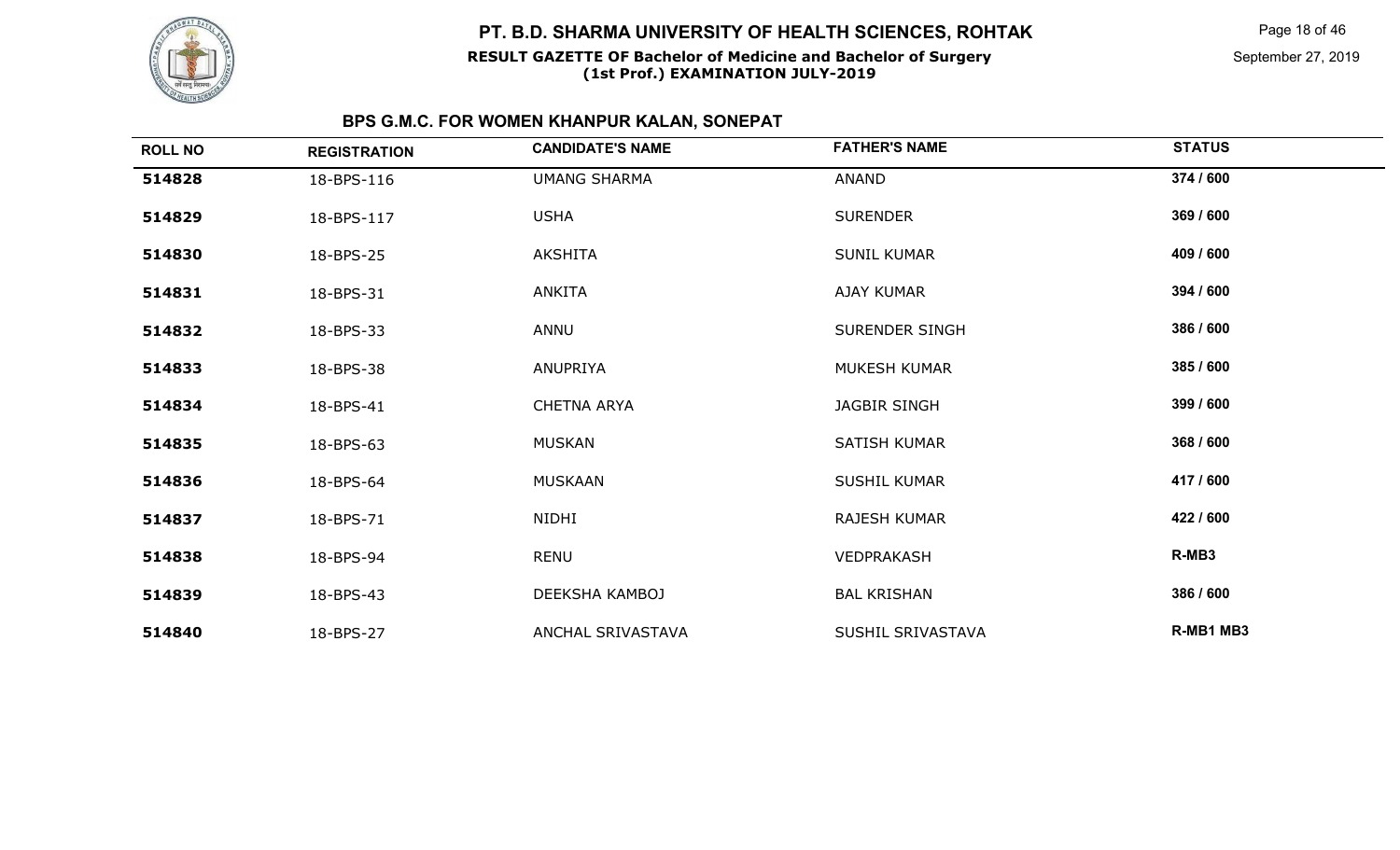

#### **RESULT GAZETTE OF Bachelor of Medicine and Bachelor of Surgery(1st Prof.) EXAMINATION JULY-2019**

Page 18 of 46

September 27, 2019

| <b>ROLL NO</b> | <b>REGISTRATION</b> | <b>CANDIDATE'S NAME</b> | <b>FATHER'S NAME</b> | <b>STATUS</b> |
|----------------|---------------------|-------------------------|----------------------|---------------|
| 514828         | 18-BPS-116          | <b>UMANG SHARMA</b>     | ANAND                | 374 / 600     |
| 514829         | 18-BPS-117          | <b>USHA</b>             | <b>SURENDER</b>      | 369 / 600     |
| 514830         | 18-BPS-25           | <b>AKSHITA</b>          | <b>SUNIL KUMAR</b>   | 409 / 600     |
| 514831         | 18-BPS-31           | ANKITA                  | <b>AJAY KUMAR</b>    | 394 / 600     |
| 514832         | 18-BPS-33           | ANNU                    | SURENDER SINGH       | 386 / 600     |
| 514833         | 18-BPS-38           | ANUPRIYA                | <b>MUKESH KUMAR</b>  | 385 / 600     |
| 514834         | 18-BPS-41           | <b>CHETNA ARYA</b>      | JAGBIR SINGH         | 399 / 600     |
| 514835         | 18-BPS-63           | <b>MUSKAN</b>           | SATISH KUMAR         | 368 / 600     |
| 514836         | 18-BPS-64           | <b>MUSKAAN</b>          | <b>SUSHIL KUMAR</b>  | 417 / 600     |
| 514837         | 18-BPS-71           | NIDHI                   | RAJESH KUMAR         | 422 / 600     |
| 514838         | 18-BPS-94           | RENU                    | VEDPRAKASH           | R-MB3         |
| 514839         | 18-BPS-43           | DEEKSHA KAMBOJ          | <b>BAL KRISHAN</b>   | 386 / 600     |
| 514840         | 18-BPS-27           | ANCHAL SRIVASTAVA       | SUSHIL SRIVASTAVA    | R-MB1 MB3     |
|                |                     |                         |                      |               |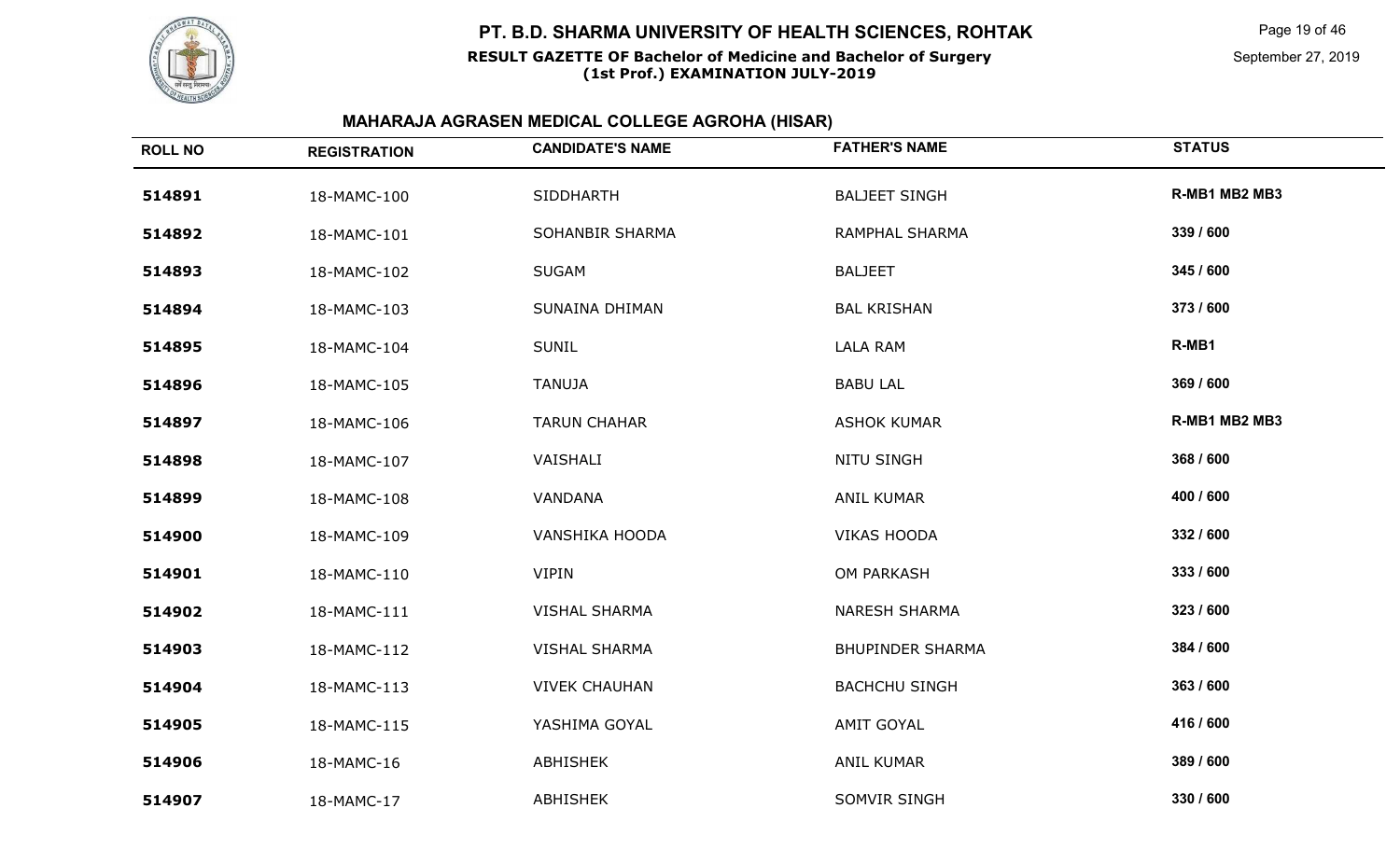

#### **RESULT GAZETTE OF Bachelor of Medicine and Bachelor of Surgery(1st Prof.) EXAMINATION JULY-2019**

Page 19 of 46

September 27, 2019

| <b>REGISTRATION</b> | <b>CANDIDATE'S NAME</b> | <b>FATHER'S NAME</b>    | <b>STATUS</b> |
|---------------------|-------------------------|-------------------------|---------------|
| 18-MAMC-100         | <b>SIDDHARTH</b>        | <b>BALJEET SINGH</b>    | R-MB1 MB2 MB3 |
| 18-MAMC-101         | SOHANBIR SHARMA         | RAMPHAL SHARMA          | 339 / 600     |
| 18-MAMC-102         | <b>SUGAM</b>            | <b>BALJEET</b>          | 345 / 600     |
| 18-MAMC-103         | SUNAINA DHIMAN          | <b>BAL KRISHAN</b>      | 373 / 600     |
| 18-MAMC-104         | <b>SUNIL</b>            | <b>LALA RAM</b>         | R-MB1         |
| 18-MAMC-105         | <b>TANUJA</b>           | <b>BABU LAL</b>         | 369 / 600     |
| 18-MAMC-106         | <b>TARUN CHAHAR</b>     | <b>ASHOK KUMAR</b>      | R-MB1 MB2 MB3 |
| 18-MAMC-107         | VAISHALI                | <b>NITU SINGH</b>       | 368 / 600     |
| 18-MAMC-108         | VANDANA                 | <b>ANIL KUMAR</b>       | 400 / 600     |
| 18-MAMC-109         | <b>VANSHIKA HOODA</b>   | <b>VIKAS HOODA</b>      | 332 / 600     |
| 18-MAMC-110         | <b>VIPIN</b>            | OM PARKASH              | 333 / 600     |
| 18-MAMC-111         | <b>VISHAL SHARMA</b>    | <b>NARESH SHARMA</b>    | 323 / 600     |
| 18-MAMC-112         | <b>VISHAL SHARMA</b>    | <b>BHUPINDER SHARMA</b> | 384 / 600     |
| 18-MAMC-113         | <b>VIVEK CHAUHAN</b>    | <b>BACHCHU SINGH</b>    | 363 / 600     |
| 18-MAMC-115         | YASHIMA GOYAL           | <b>AMIT GOYAL</b>       | 416 / 600     |
| 18-MAMC-16          | ABHISHEK                | <b>ANIL KUMAR</b>       | 389 / 600     |
| 18-MAMC-17          | <b>ABHISHEK</b>         | SOMVIR SINGH            | 330 / 600     |
|                     |                         |                         |               |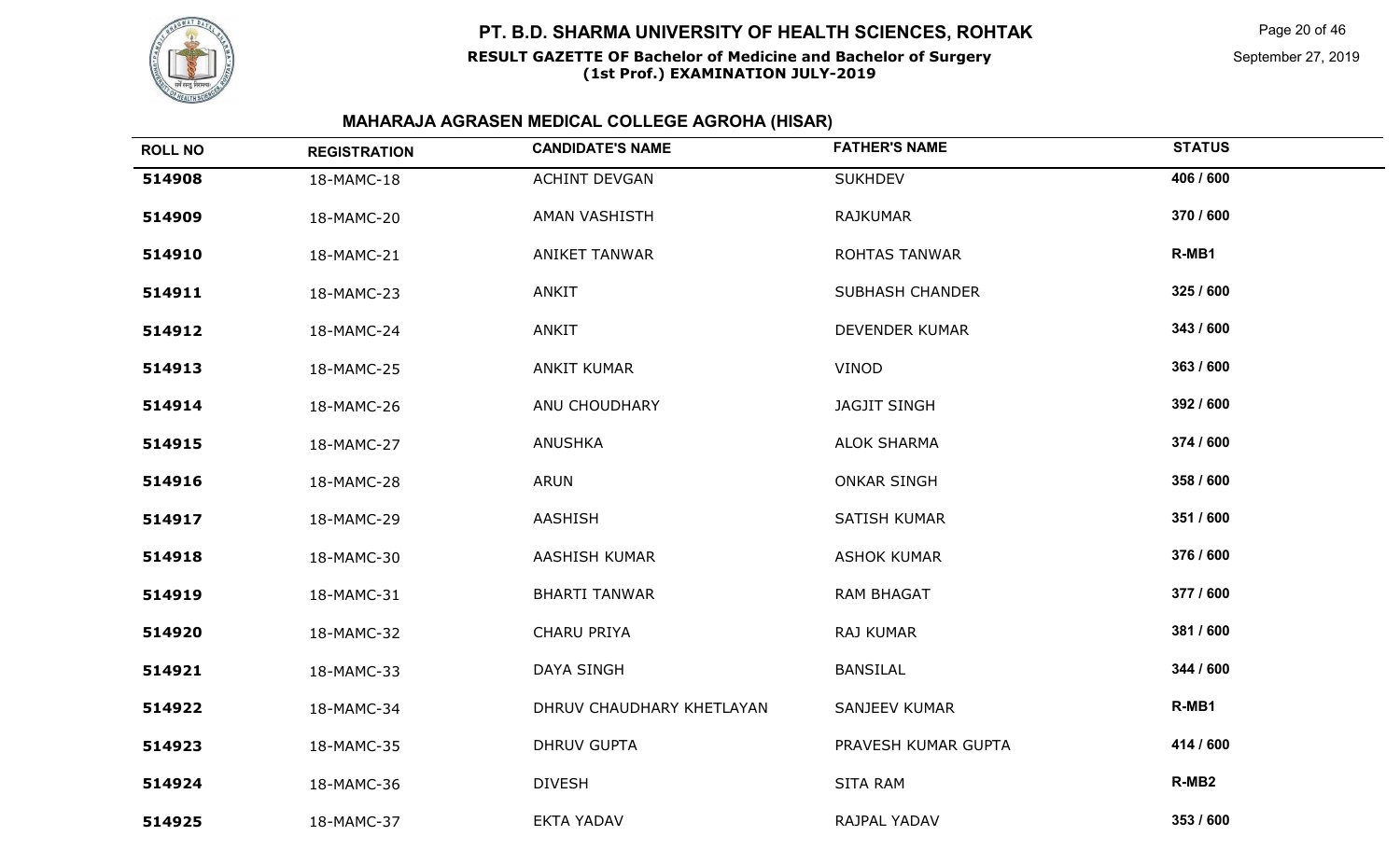

#### **RESULT GAZETTE OF Bachelor of Medicine and Bachelor of Surgery(1st Prof.) EXAMINATION JULY-2019**

Page 20 of 46

September 27, 2019

| <b>ROLL NO</b> | <b>REGISTRATION</b> | <b>CANDIDATE'S NAME</b>   | <b>FATHER'S NAME</b>   | <b>STATUS</b>     |
|----------------|---------------------|---------------------------|------------------------|-------------------|
| 514908         | 18-MAMC-18          | <b>ACHINT DEVGAN</b>      | <b>SUKHDEV</b>         | 406 / 600         |
| 514909         | 18-MAMC-20          | AMAN VASHISTH             | <b>RAJKUMAR</b>        | 370 / 600         |
| 514910         | 18-MAMC-21          | <b>ANIKET TANWAR</b>      | ROHTAS TANWAR          | R-MB1             |
| 514911         | 18-MAMC-23          | <b>ANKIT</b>              | <b>SUBHASH CHANDER</b> | 325 / 600         |
| 514912         | 18-MAMC-24          | <b>ANKIT</b>              | DEVENDER KUMAR         | 343 / 600         |
| 514913         | 18-MAMC-25          | <b>ANKIT KUMAR</b>        | <b>VINOD</b>           | 363 / 600         |
| 514914         | 18-MAMC-26          | ANU CHOUDHARY             | <b>JAGJIT SINGH</b>    | 392 / 600         |
| 514915         | 18-MAMC-27          | <b>ANUSHKA</b>            | <b>ALOK SHARMA</b>     | 374 / 600         |
| 514916         | 18-MAMC-28          | ARUN                      | <b>ONKAR SINGH</b>     | 358 / 600         |
| 514917         | 18-MAMC-29          | <b>AASHISH</b>            | <b>SATISH KUMAR</b>    | 351 / 600         |
| 514918         | 18-MAMC-30          | <b>AASHISH KUMAR</b>      | <b>ASHOK KUMAR</b>     | 376 / 600         |
| 514919         | 18-MAMC-31          | <b>BHARTI TANWAR</b>      | <b>RAM BHAGAT</b>      | 377 / 600         |
| 514920         | 18-MAMC-32          | <b>CHARU PRIYA</b>        | RAJ KUMAR              | 381 / 600         |
| 514921         | 18-MAMC-33          | <b>DAYA SINGH</b>         | <b>BANSILAL</b>        | 344 / 600         |
| 514922         | 18-MAMC-34          | DHRUV CHAUDHARY KHETLAYAN | <b>SANJEEV KUMAR</b>   | R-MB1             |
| 514923         | 18-MAMC-35          | <b>DHRUV GUPTA</b>        | PRAVESH KUMAR GUPTA    | 414 / 600         |
| 514924         | 18-MAMC-36          | <b>DIVESH</b>             | <b>SITA RAM</b>        | R-MB <sub>2</sub> |
| 514925         | 18-MAMC-37          | <b>EKTA YADAV</b>         | RAJPAL YADAV           | 353 / 600         |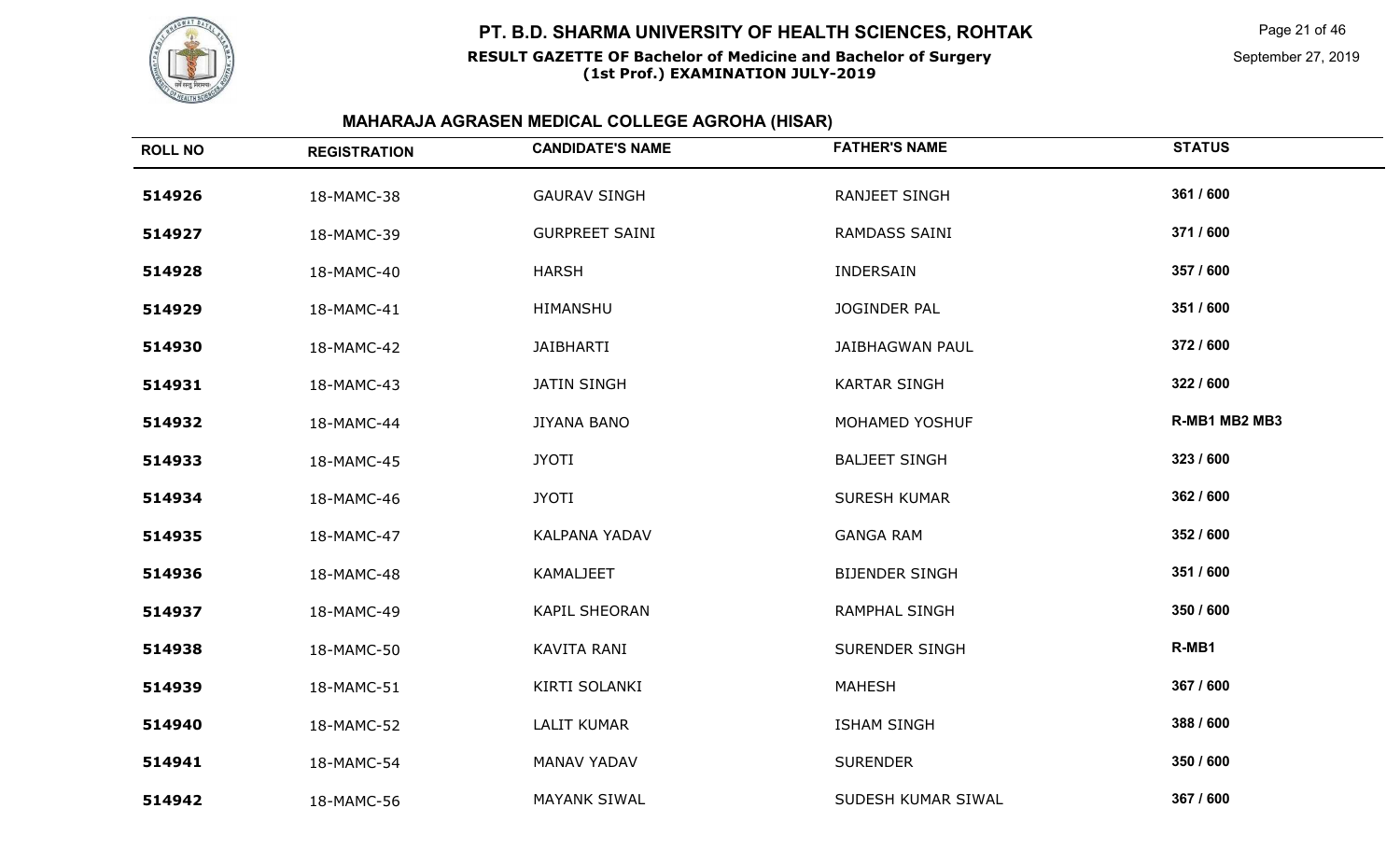

#### **RESULT GAZETTE OF Bachelor of Medicine and Bachelor of Surgery(1st Prof.) EXAMINATION JULY-2019**

Page 21 of 46

September 27, 2019

| <b>ROLL NO</b> | <b>REGISTRATION</b> | <b>CANDIDATE'S NAME</b> | <b>FATHER'S NAME</b>   | <b>STATUS</b> |
|----------------|---------------------|-------------------------|------------------------|---------------|
| 514926         | 18-MAMC-38          | <b>GAURAV SINGH</b>     | <b>RANJEET SINGH</b>   | 361 / 600     |
| 514927         | 18-MAMC-39          | <b>GURPREET SAINI</b>   | <b>RAMDASS SAINI</b>   | 371 / 600     |
| 514928         | 18-MAMC-40          | <b>HARSH</b>            | INDERSAIN              | 357 / 600     |
| 514929         | 18-MAMC-41          | HIMANSHU                | JOGINDER PAL           | 351 / 600     |
| 514930         | 18-MAMC-42          | <b>JAIBHARTI</b>        | <b>JAIBHAGWAN PAUL</b> | 372 / 600     |
| 514931         | 18-MAMC-43          | <b>JATIN SINGH</b>      | <b>KARTAR SINGH</b>    | 322 / 600     |
| 514932         | 18-MAMC-44          | <b>JIYANA BANO</b>      | MOHAMED YOSHUF         | R-MB1 MB2 MB3 |
| 514933         | 18-MAMC-45          | <b>JYOTI</b>            | <b>BALJEET SINGH</b>   | 323 / 600     |
| 514934         | 18-MAMC-46          | <b>JYOTI</b>            | <b>SURESH KUMAR</b>    | 362 / 600     |
| 514935         | 18-MAMC-47          | <b>KALPANA YADAV</b>    | <b>GANGA RAM</b>       | 352 / 600     |
| 514936         | 18-MAMC-48          | KAMALJEET               | <b>BIJENDER SINGH</b>  | 351 / 600     |
| 514937         | 18-MAMC-49          | <b>KAPIL SHEORAN</b>    | <b>RAMPHAL SINGH</b>   | 350 / 600     |
| 514938         | 18-MAMC-50          | KAVITA RANI             | <b>SURENDER SINGH</b>  | R-MB1         |
| 514939         | 18-MAMC-51          | KIRTI SOLANKI           | <b>MAHESH</b>          | 367 / 600     |
| 514940         | 18-MAMC-52          | LALIT KUMAR             | <b>ISHAM SINGH</b>     | 388 / 600     |
| 514941         | 18-MAMC-54          | MANAV YADAV             | <b>SURENDER</b>        | 350 / 600     |
| 514942         | 18-MAMC-56          | MAYANK SIWAL            | SUDESH KUMAR SIWAL     | 367 / 600     |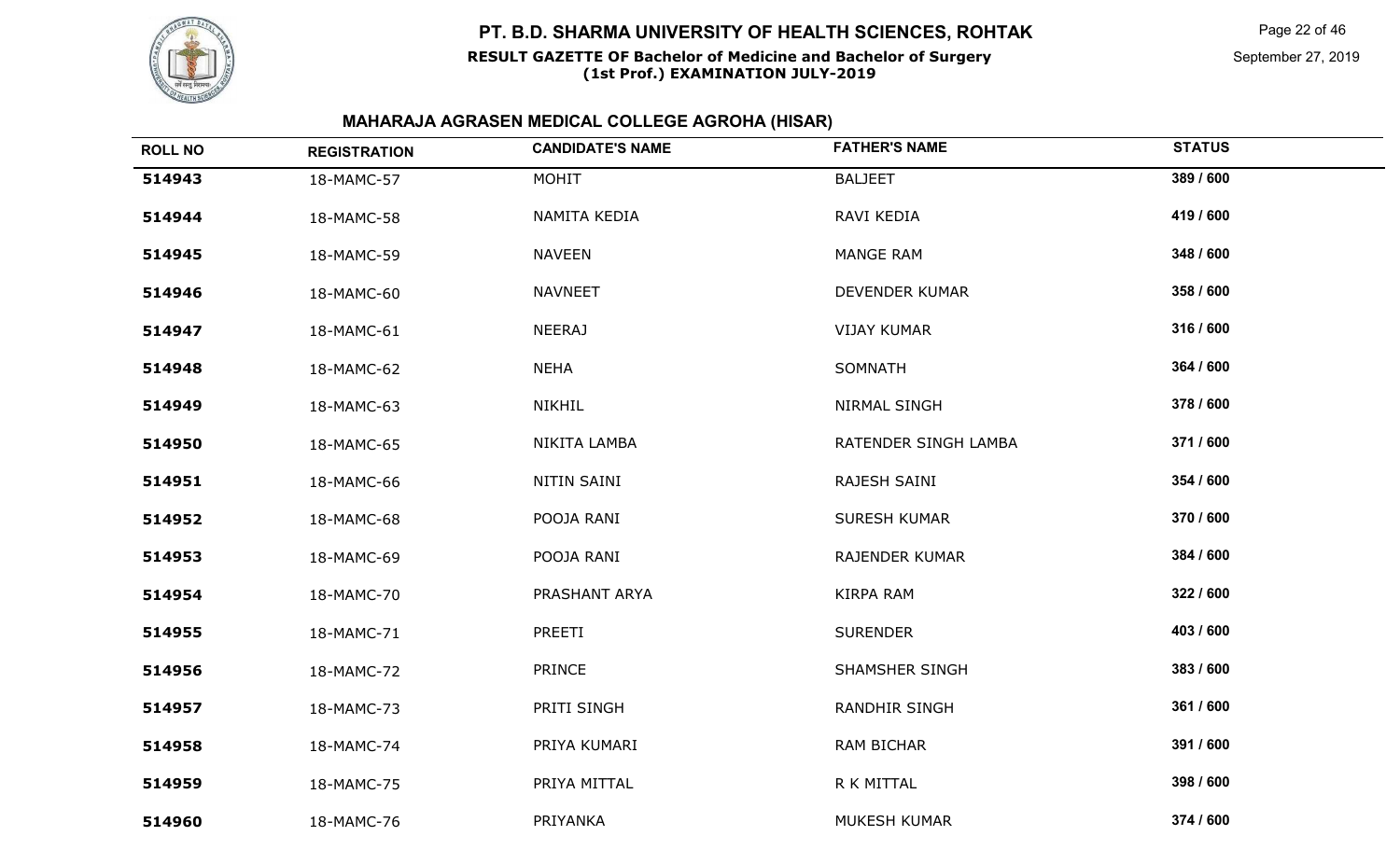

#### **RESULT GAZETTE OF Bachelor of Medicine and Bachelor of Surgery(1st Prof.) EXAMINATION JULY-2019**

Page 22 of 46

September 27, 2019

| <b>ROLL NO</b> | <b>REGISTRATION</b> | <b>CANDIDATE'S NAME</b> | <b>FATHER'S NAME</b>  | <b>STATUS</b> |
|----------------|---------------------|-------------------------|-----------------------|---------------|
| 514943         | 18-MAMC-57          | MOHIT                   | <b>BALJEET</b>        | 389 / 600     |
| 514944         | 18-MAMC-58          | NAMITA KEDIA            | RAVI KEDIA            | 419 / 600     |
| 514945         | 18-MAMC-59          | <b>NAVEEN</b>           | <b>MANGE RAM</b>      | 348 / 600     |
| 514946         | 18-MAMC-60          | <b>NAVNEET</b>          | DEVENDER KUMAR        | 358 / 600     |
| 514947         | 18-MAMC-61          | <b>NEERAJ</b>           | <b>VIJAY KUMAR</b>    | 316 / 600     |
| 514948         | 18-MAMC-62          | <b>NEHA</b>             | SOMNATH               | 364 / 600     |
| 514949         | 18-MAMC-63          | NIKHIL                  | NIRMAL SINGH          | 378 / 600     |
| 514950         | 18-MAMC-65          | NIKITA LAMBA            | RATENDER SINGH LAMBA  | 371 / 600     |
| 514951         | 18-MAMC-66          | NITIN SAINI             | RAJESH SAINI          | 354 / 600     |
| 514952         | 18-MAMC-68          | POOJA RANI              | <b>SURESH KUMAR</b>   | 370 / 600     |
| 514953         | 18-MAMC-69          | POOJA RANI              | <b>RAJENDER KUMAR</b> | 384 / 600     |
| 514954         | 18-MAMC-70          | PRASHANT ARYA           | <b>KIRPA RAM</b>      | 322 / 600     |
| 514955         | 18-MAMC-71          | PREETI                  | <b>SURENDER</b>       | 403 / 600     |
| 514956         | 18-MAMC-72          | <b>PRINCE</b>           | <b>SHAMSHER SINGH</b> | 383 / 600     |
| 514957         | 18-MAMC-73          | PRITI SINGH             | <b>RANDHIR SINGH</b>  | 361 / 600     |
| 514958         | 18-MAMC-74          | PRIYA KUMARI            | RAM BICHAR            | 391 / 600     |
| 514959         | 18-MAMC-75          | PRIYA MITTAL            | R K MITTAL            | 398 / 600     |
| 514960         | 18-MAMC-76          | PRIYANKA                | MUKESH KUMAR          | 374 / 600     |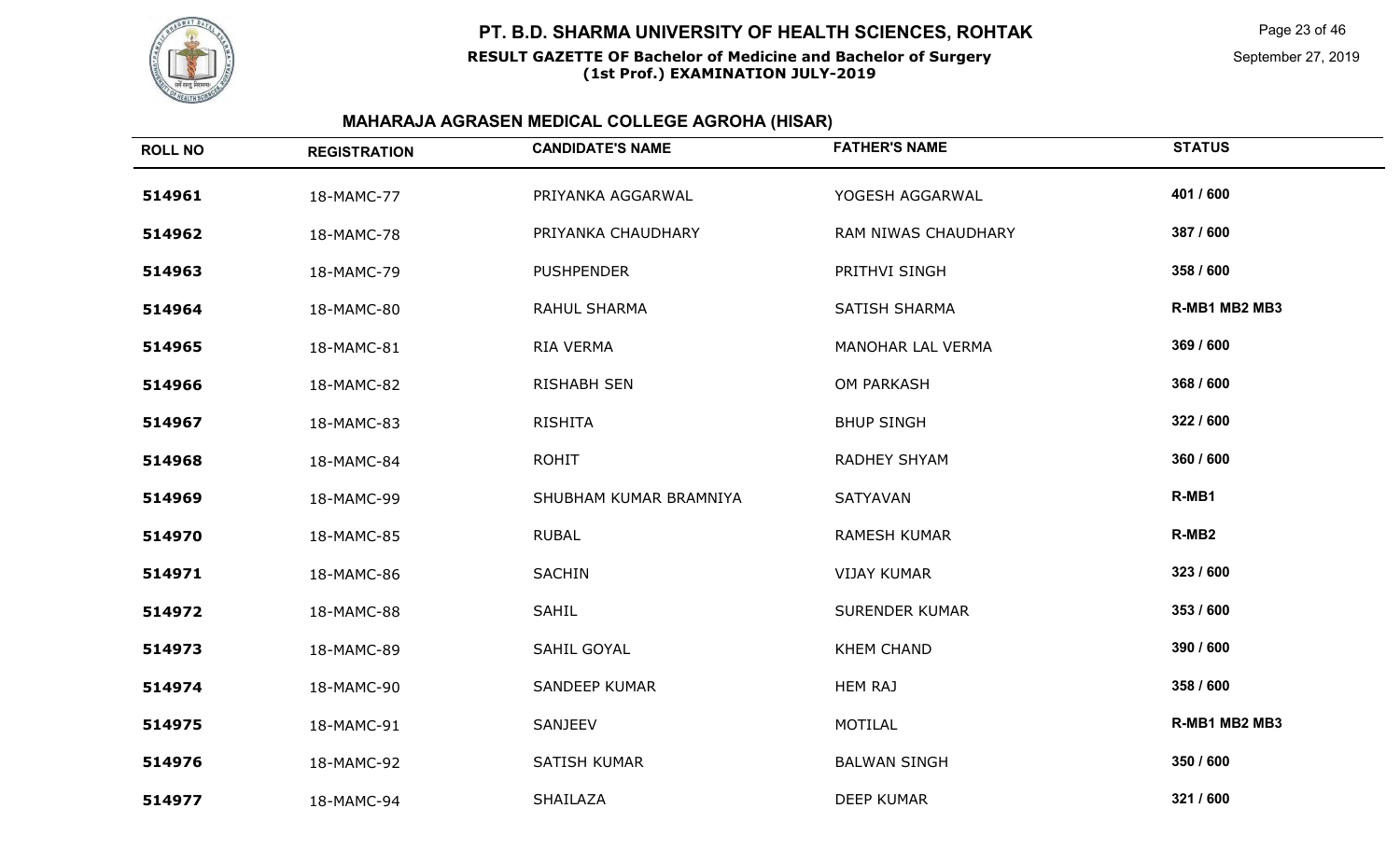

Page 23 of 46

September 27, 2019

| <b>ROLL NO</b> | <b>REGISTRATION</b> | <b>CANDIDATE'S NAME</b> | <b>FATHER'S NAME</b>  | <b>STATUS</b>     |
|----------------|---------------------|-------------------------|-----------------------|-------------------|
| 514961         | 18-MAMC-77          | PRIYANKA AGGARWAL       | YOGESH AGGARWAL       | 401 / 600         |
| 514962         | 18-MAMC-78          | PRIYANKA CHAUDHARY      | RAM NIWAS CHAUDHARY   | 387 / 600         |
| 514963         | 18-MAMC-79          | <b>PUSHPENDER</b>       | PRITHVI SINGH         | 358 / 600         |
| 514964         | 18-MAMC-80          | RAHUL SHARMA            | SATISH SHARMA         | R-MB1 MB2 MB3     |
| 514965         | 18-MAMC-81          | RIA VERMA               | MANOHAR LAL VERMA     | 369 / 600         |
| 514966         | 18-MAMC-82          | <b>RISHABH SEN</b>      | <b>OM PARKASH</b>     | 368 / 600         |
| 514967         | 18-MAMC-83          | <b>RISHITA</b>          | <b>BHUP SINGH</b>     | 322 / 600         |
| 514968         | 18-MAMC-84          | <b>ROHIT</b>            | RADHEY SHYAM          | 360 / 600         |
| 514969         | 18-MAMC-99          | SHUBHAM KUMAR BRAMNIYA  | SATYAVAN              | R-MB1             |
| 514970         | 18-MAMC-85          | <b>RUBAL</b>            | <b>RAMESH KUMAR</b>   | R-MB <sub>2</sub> |
| 514971         | 18-MAMC-86          | <b>SACHIN</b>           | <b>VIJAY KUMAR</b>    | 323 / 600         |
| 514972         | 18-MAMC-88          | <b>SAHIL</b>            | <b>SURENDER KUMAR</b> | 353 / 600         |
| 514973         | 18-MAMC-89          | SAHIL GOYAL             | <b>KHEM CHAND</b>     | 390 / 600         |
| 514974         | 18-MAMC-90          | <b>SANDEEP KUMAR</b>    | <b>HEM RAJ</b>        | 358 / 600         |
| 514975         | 18-MAMC-91          | SANJEEV                 | MOTILAL               | R-MB1 MB2 MB3     |
| 514976         | 18-MAMC-92          | SATISH KUMAR            | <b>BALWAN SINGH</b>   | 350 / 600         |
| 514977         | 18-MAMC-94          | SHAILAZA                | <b>DEEP KUMAR</b>     | 321 / 600         |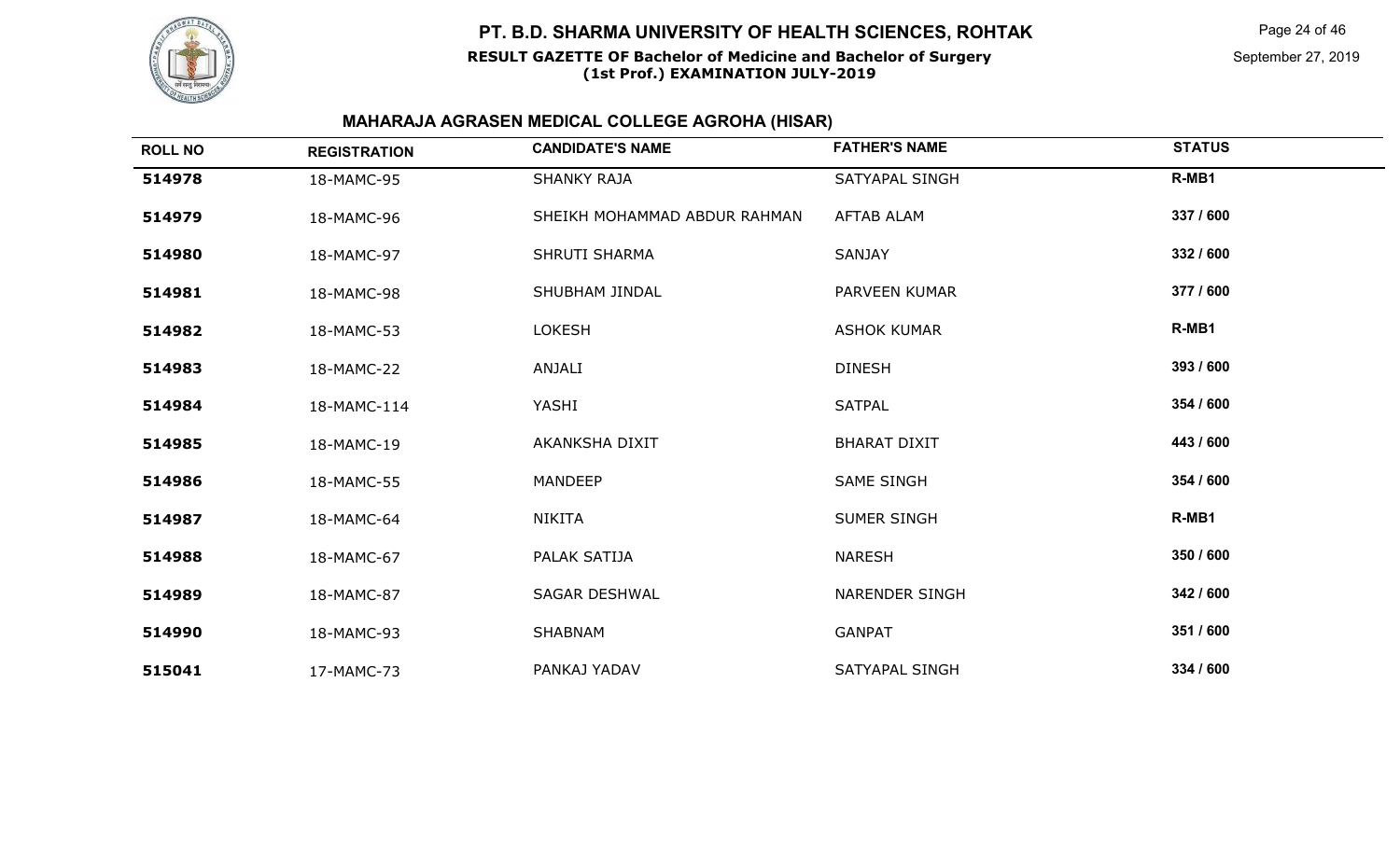

Page 24 of 46

September 27, 2019

| <b>ROLL NO</b> | <b>REGISTRATION</b> | <b>CANDIDATE'S NAME</b>      | <b>FATHER'S NAME</b>  | <b>STATUS</b> |
|----------------|---------------------|------------------------------|-----------------------|---------------|
| 514978         | 18-MAMC-95          | <b>SHANKY RAJA</b>           | SATYAPAL SINGH        | R-MB1         |
| 514979         | 18-MAMC-96          | SHEIKH MOHAMMAD ABDUR RAHMAN | <b>AFTAB ALAM</b>     | 337 / 600     |
| 514980         | 18-MAMC-97          | <b>SHRUTI SHARMA</b>         | <b>SANJAY</b>         | 332 / 600     |
| 514981         | 18-MAMC-98          | SHUBHAM JINDAL               | PARVEEN KUMAR         | 377 / 600     |
| 514982         | 18-MAMC-53          | <b>LOKESH</b>                | <b>ASHOK KUMAR</b>    | R-MB1         |
| 514983         | 18-MAMC-22          | ANJALI                       | <b>DINESH</b>         | 393 / 600     |
| 514984         | 18-MAMC-114         | YASHI                        | <b>SATPAL</b>         | 354 / 600     |
| 514985         | 18-MAMC-19          | AKANKSHA DIXIT               | <b>BHARAT DIXIT</b>   | 443 / 600     |
| 514986         | 18-MAMC-55          | <b>MANDEEP</b>               | <b>SAME SINGH</b>     | 354 / 600     |
| 514987         | 18-MAMC-64          | <b>NIKITA</b>                | <b>SUMER SINGH</b>    | R-MB1         |
| 514988         | 18-MAMC-67          | PALAK SATIJA                 | <b>NARESH</b>         | 350 / 600     |
| 514989         | 18-MAMC-87          | <b>SAGAR DESHWAL</b>         | <b>NARENDER SINGH</b> | 342 / 600     |
| 514990         | 18-MAMC-93          | <b>SHABNAM</b>               | <b>GANPAT</b>         | 351 / 600     |
| 515041         | 17-MAMC-73          | PANKAJ YADAV                 | SATYAPAL SINGH        | 334 / 600     |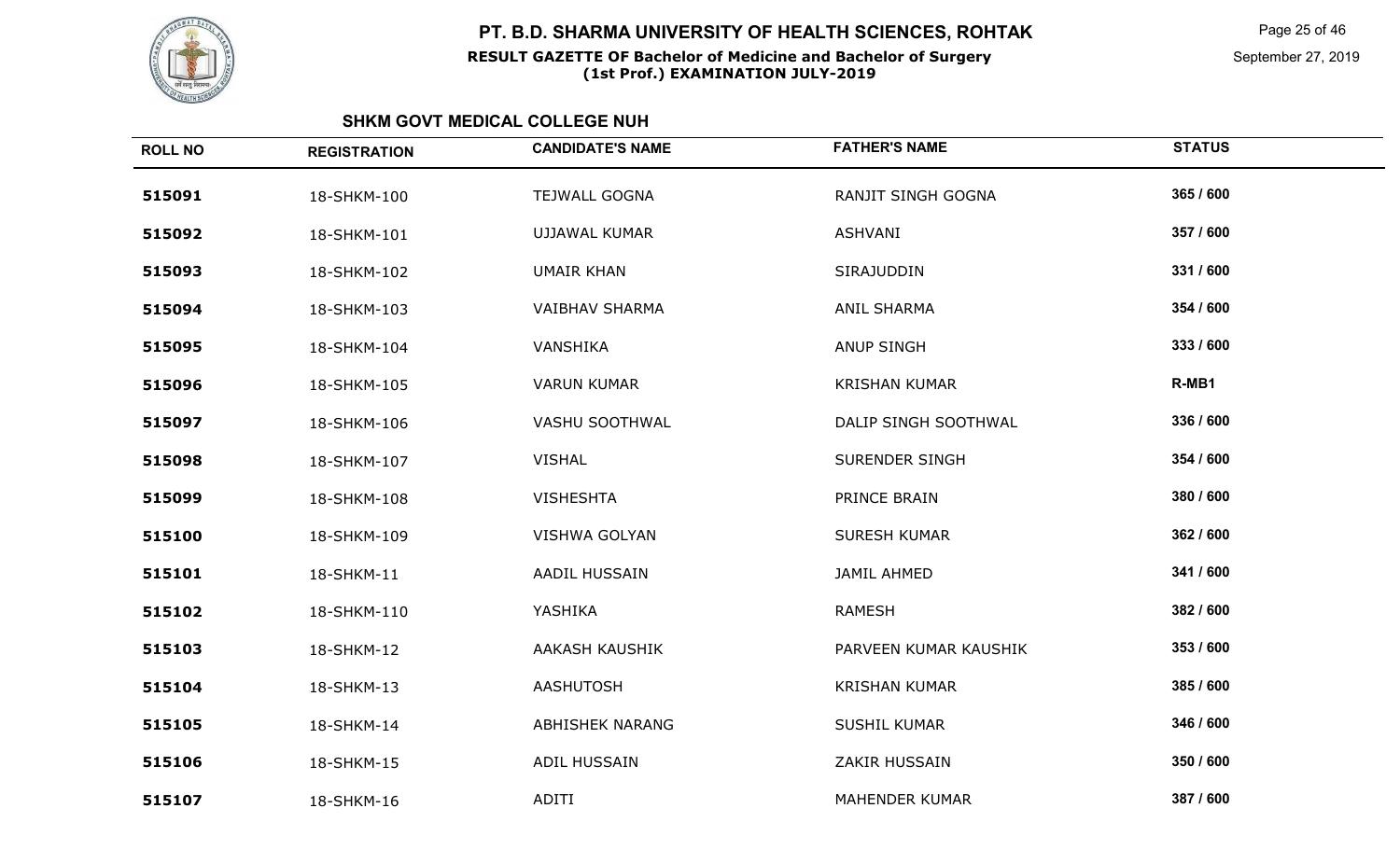

Page 25 of 46

September 27, 2019

| <b>ROLL NO</b> | <b>REGISTRATION</b> | <b>CANDIDATE'S NAME</b> | <b>FATHER'S NAME</b>  | <b>STATUS</b> |
|----------------|---------------------|-------------------------|-----------------------|---------------|
| 515091         | 18-SHKM-100         | <b>TEJWALL GOGNA</b>    | RANJIT SINGH GOGNA    | 365 / 600     |
| 515092         | 18-SHKM-101         | <b>UJJAWAL KUMAR</b>    | ASHVANI               | 357 / 600     |
| 515093         | 18-SHKM-102         | <b>UMAIR KHAN</b>       | SIRAJUDDIN            | 331 / 600     |
| 515094         | 18-SHKM-103         | <b>VAIBHAV SHARMA</b>   | <b>ANIL SHARMA</b>    | 354 / 600     |
| 515095         | 18-SHKM-104         | VANSHIKA                | <b>ANUP SINGH</b>     | 333 / 600     |
| 515096         | 18-SHKM-105         | <b>VARUN KUMAR</b>      | <b>KRISHAN KUMAR</b>  | R-MB1         |
| 515097         | 18-SHKM-106         | VASHU SOOTHWAL          | DALIP SINGH SOOTHWAL  | 336 / 600     |
| 515098         | 18-SHKM-107         | <b>VISHAL</b>           | <b>SURENDER SINGH</b> | 354 / 600     |
| 515099         | 18-SHKM-108         | <b>VISHESHTA</b>        | PRINCE BRAIN          | 380 / 600     |
| 515100         | 18-SHKM-109         | <b>VISHWA GOLYAN</b>    | <b>SURESH KUMAR</b>   | 362 / 600     |
| 515101         | 18-SHKM-11          | AADIL HUSSAIN           | JAMIL AHMED           | 341 / 600     |
| 515102         | 18-SHKM-110         | YASHIKA                 | <b>RAMESH</b>         | 382 / 600     |
| 515103         | 18-SHKM-12          | AAKASH KAUSHIK          | PARVEEN KUMAR KAUSHIK | 353 / 600     |
| 515104         | 18-SHKM-13          | AASHUTOSH               | <b>KRISHAN KUMAR</b>  | 385 / 600     |
| 515105         | 18-SHKM-14          | ABHISHEK NARANG         | <b>SUSHIL KUMAR</b>   | 346 / 600     |
| 515106         | 18-SHKM-15          | ADIL HUSSAIN            | ZAKIR HUSSAIN         | 350 / 600     |
| 515107         | 18-SHKM-16          | ADITI                   | <b>MAHENDER KUMAR</b> | 387 / 600     |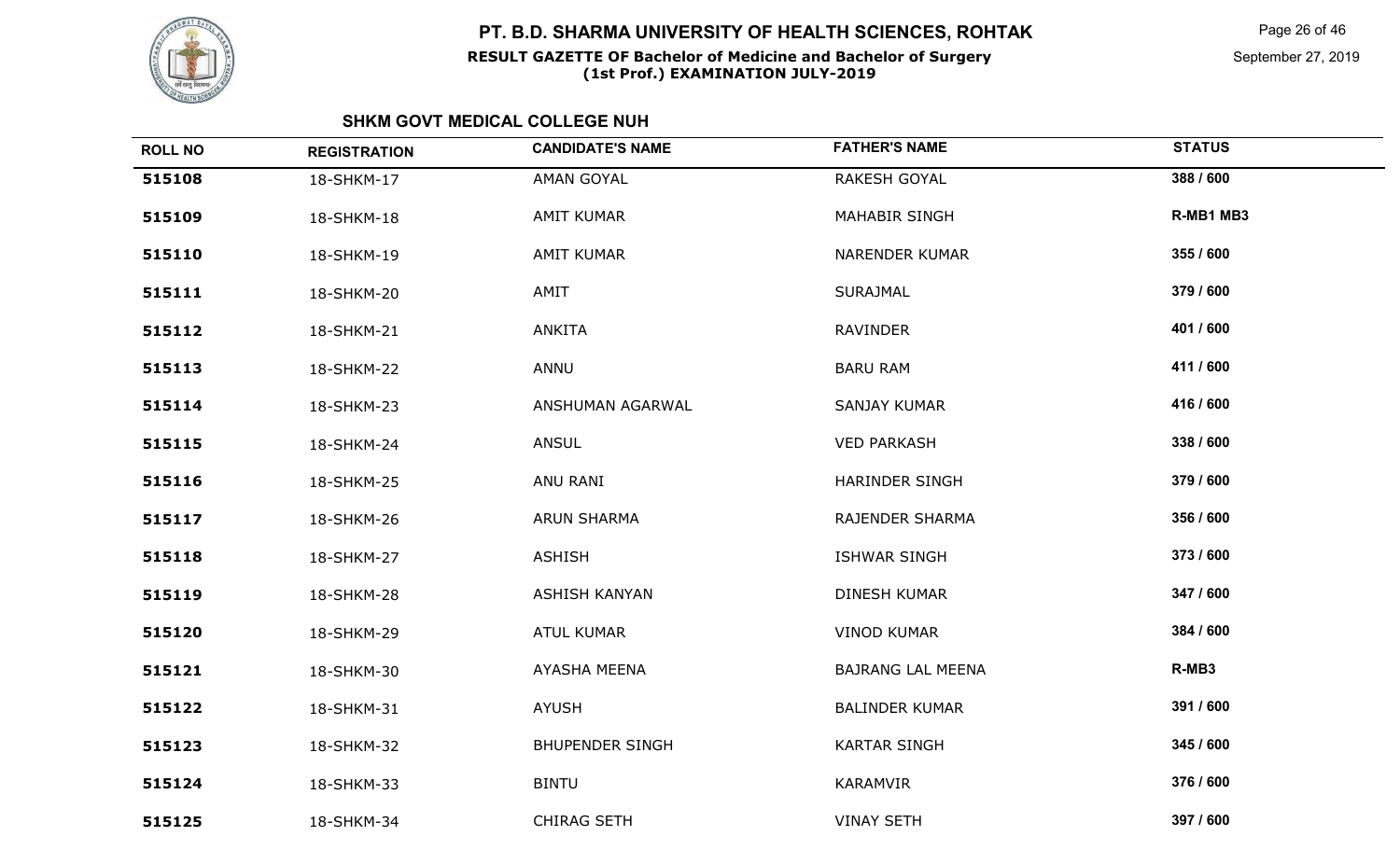

Page 26 of 46

September 27, 2019

| <b>ROLL NO</b> | <b>REGISTRATION</b> | <b>CANDIDATE'S NAME</b> | <b>FATHER'S NAME</b>     | <b>STATUS</b> |
|----------------|---------------------|-------------------------|--------------------------|---------------|
| 515108         | 18-SHKM-17          | AMAN GOYAL              | RAKESH GOYAL             | 388 / 600     |
| 515109         | 18-SHKM-18          | <b>AMIT KUMAR</b>       | <b>MAHABIR SINGH</b>     | R-MB1 MB3     |
| 515110         | 18-SHKM-19          | <b>AMIT KUMAR</b>       | <b>NARENDER KUMAR</b>    | 355 / 600     |
| 515111         | 18-SHKM-20          | AMIT                    | <b>SURAJMAL</b>          | 379 / 600     |
| 515112         | 18-SHKM-21          | <b>ANKITA</b>           | RAVINDER                 | 401 / 600     |
| 515113         | 18-SHKM-22          | ANNU                    | <b>BARU RAM</b>          | 411 / 600     |
| 515114         | 18-SHKM-23          | ANSHUMAN AGARWAL        | SANJAY KUMAR             | 416 / 600     |
| 515115         | 18-SHKM-24          | <b>ANSUL</b>            | <b>VED PARKASH</b>       | 338 / 600     |
| 515116         | 18-SHKM-25          | ANU RANI                | HARINDER SINGH           | 379 / 600     |
| 515117         | 18-SHKM-26          | ARUN SHARMA             | RAJENDER SHARMA          | 356 / 600     |
| 515118         | 18-SHKM-27          | <b>ASHISH</b>           | <b>ISHWAR SINGH</b>      | 373 / 600     |
| 515119         | 18-SHKM-28          | <b>ASHISH KANYAN</b>    | DINESH KUMAR             | 347 / 600     |
| 515120         | 18-SHKM-29          | <b>ATUL KUMAR</b>       | <b>VINOD KUMAR</b>       | 384 / 600     |
| 515121         | 18-SHKM-30          | AYASHA MEENA            | <b>BAJRANG LAL MEENA</b> | R-MB3         |
| 515122         | 18-SHKM-31          | <b>AYUSH</b>            | <b>BALINDER KUMAR</b>    | 391 / 600     |
| 515123         | 18-SHKM-32          | <b>BHUPENDER SINGH</b>  | <b>KARTAR SINGH</b>      | 345 / 600     |
| 515124         | 18-SHKM-33          | <b>BINTU</b>            | KARAMVIR                 | 376 / 600     |
| 515125         | 18-SHKM-34          | <b>CHIRAG SETH</b>      | <b>VINAY SETH</b>        | 397 / 600     |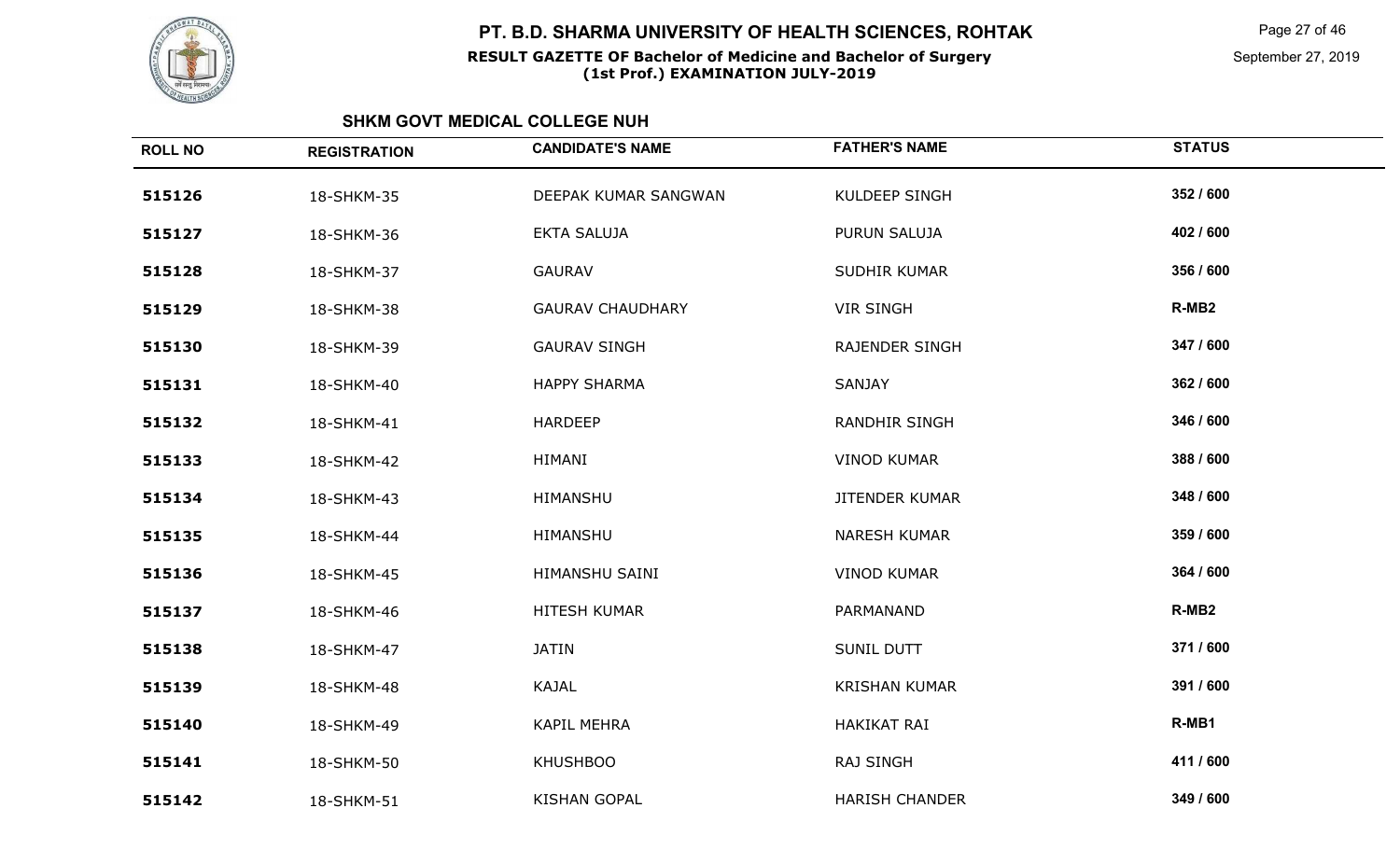

Page 27 of 46

September 27, 2019

| <b>ROLL NO</b> | <b>REGISTRATION</b> | <b>CANDIDATE'S NAME</b> | <b>FATHER'S NAME</b>  | <b>STATUS</b>     |
|----------------|---------------------|-------------------------|-----------------------|-------------------|
| 515126         | 18-SHKM-35          | DEEPAK KUMAR SANGWAN    | <b>KULDEEP SINGH</b>  | 352 / 600         |
| 515127         | 18-SHKM-36          | <b>EKTA SALUJA</b>      | PURUN SALUJA          | 402 / 600         |
| 515128         | 18-SHKM-37          | <b>GAURAV</b>           | <b>SUDHIR KUMAR</b>   | 356 / 600         |
| 515129         | 18-SHKM-38          | <b>GAURAV CHAUDHARY</b> | <b>VIR SINGH</b>      | R-MB <sub>2</sub> |
| 515130         | 18-SHKM-39          | <b>GAURAV SINGH</b>     | RAJENDER SINGH        | 347 / 600         |
| 515131         | 18-SHKM-40          | <b>HAPPY SHARMA</b>     | SANJAY                | 362 / 600         |
| 515132         | 18-SHKM-41          | <b>HARDEEP</b>          | <b>RANDHIR SINGH</b>  | 346 / 600         |
| 515133         | 18-SHKM-42          | HIMANI                  | <b>VINOD KUMAR</b>    | 388 / 600         |
| 515134         | 18-SHKM-43          | HIMANSHU                | <b>JITENDER KUMAR</b> | 348 / 600         |
| 515135         | 18-SHKM-44          | HIMANSHU                | <b>NARESH KUMAR</b>   | 359 / 600         |
| 515136         | 18-SHKM-45          | HIMANSHU SAINI          | <b>VINOD KUMAR</b>    | 364 / 600         |
| 515137         | 18-SHKM-46          | HITESH KUMAR            | PARMANAND             | R-MB <sub>2</sub> |
| 515138         | 18-SHKM-47          | <b>JATIN</b>            | <b>SUNIL DUTT</b>     | 371 / 600         |
| 515139         | 18-SHKM-48          | KAJAL                   | <b>KRISHAN KUMAR</b>  | 391 / 600         |
| 515140         | 18-SHKM-49          | <b>KAPIL MEHRA</b>      | <b>HAKIKAT RAI</b>    | R-MB1             |
| 515141         | 18-SHKM-50          | <b>KHUSHBOO</b>         | RAJ SINGH             | 411 / 600         |
| 515142         | 18-SHKM-51          | <b>KISHAN GOPAL</b>     | <b>HARISH CHANDER</b> | 349 / 600         |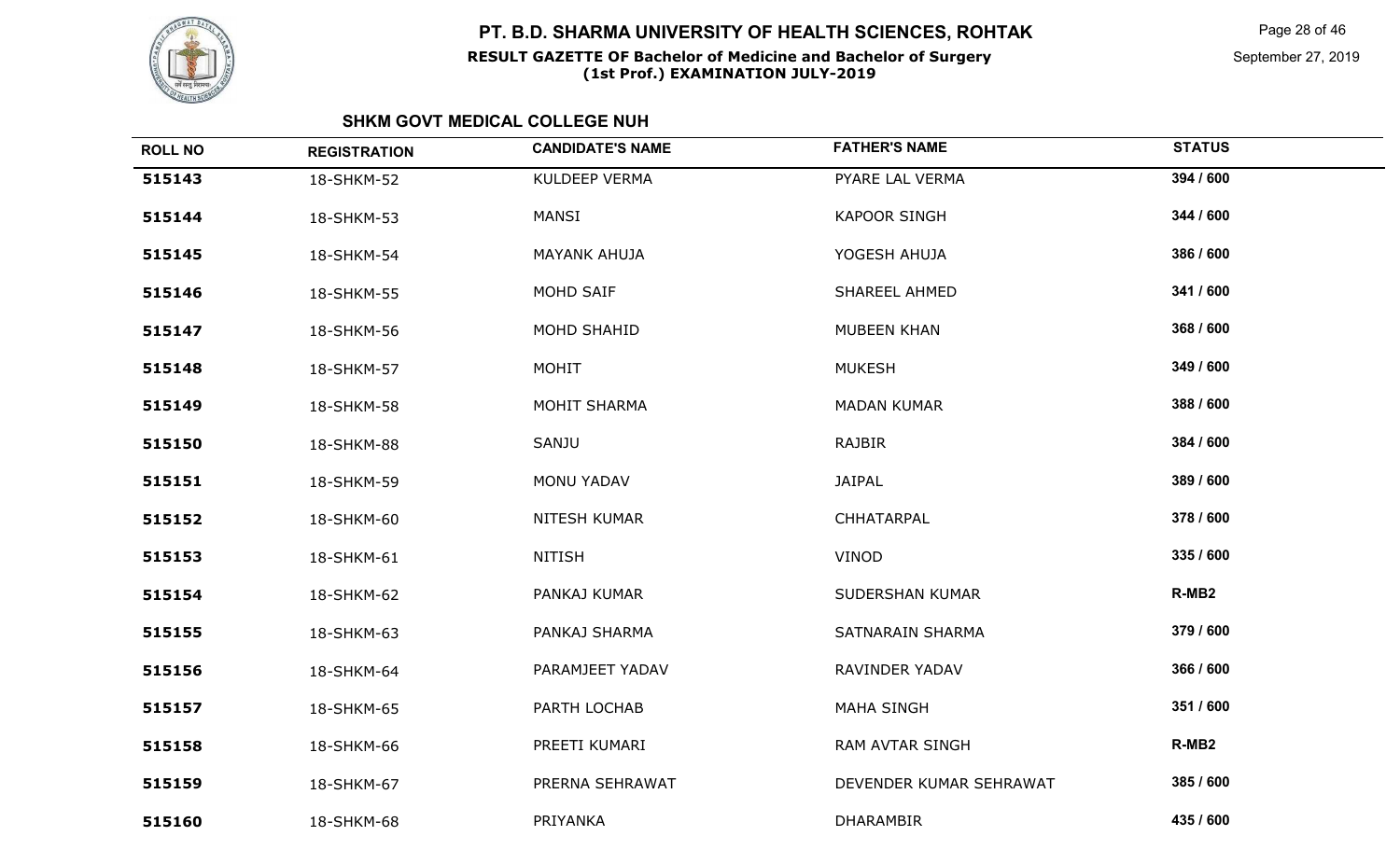

Page 28 of 46

September 27, 2019

| <b>ROLL NO</b> | <b>REGISTRATION</b> | <b>CANDIDATE'S NAME</b> | <b>FATHER'S NAME</b>    | <b>STATUS</b>     |
|----------------|---------------------|-------------------------|-------------------------|-------------------|
| 515143         | 18-SHKM-52          | KULDEEP VERMA           | PYARE LAL VERMA         | 394 / 600         |
| 515144         | 18-SHKM-53          | MANSI                   | <b>KAPOOR SINGH</b>     | 344 / 600         |
| 515145         | 18-SHKM-54          | <b>MAYANK AHUJA</b>     | YOGESH AHUJA            | 386 / 600         |
| 515146         | 18-SHKM-55          | MOHD SAIF               | SHAREEL AHMED           | 341 / 600         |
| 515147         | 18-SHKM-56          | MOHD SHAHID             | MUBEEN KHAN             | 368 / 600         |
| 515148         | 18-SHKM-57          | MOHIT                   | <b>MUKESH</b>           | 349 / 600         |
| 515149         | 18-SHKM-58          | MOHIT SHARMA            | <b>MADAN KUMAR</b>      | 388 / 600         |
| 515150         | 18-SHKM-88          | SANJU                   | <b>RAJBIR</b>           | 384 / 600         |
| 515151         | 18-SHKM-59          | MONU YADAV              | <b>JAIPAL</b>           | 389 / 600         |
| 515152         | 18-SHKM-60          | NITESH KUMAR            | CHHATARPAL              | 378 / 600         |
| 515153         | 18-SHKM-61          | <b>NITISH</b>           | VINOD                   | 335 / 600         |
| 515154         | 18-SHKM-62          | PANKAJ KUMAR            | SUDERSHAN KUMAR         | R-MB <sub>2</sub> |
| 515155         | 18-SHKM-63          | PANKAJ SHARMA           | <b>SATNARAIN SHARMA</b> | 379 / 600         |
| 515156         | 18-SHKM-64          | PARAMJEET YADAV         | RAVINDER YADAV          | 366 / 600         |
| 515157         | 18-SHKM-65          | PARTH LOCHAB            | <b>MAHA SINGH</b>       | 351 / 600         |
| 515158         | 18-SHKM-66          | PREETI KUMARI           | <b>RAM AVTAR SINGH</b>  | R-MB <sub>2</sub> |
| 515159         | 18-SHKM-67          | PRERNA SEHRAWAT         | DEVENDER KUMAR SEHRAWAT | 385 / 600         |
| 515160         | 18-SHKM-68          | PRIYANKA                | <b>DHARAMBIR</b>        | 435 / 600         |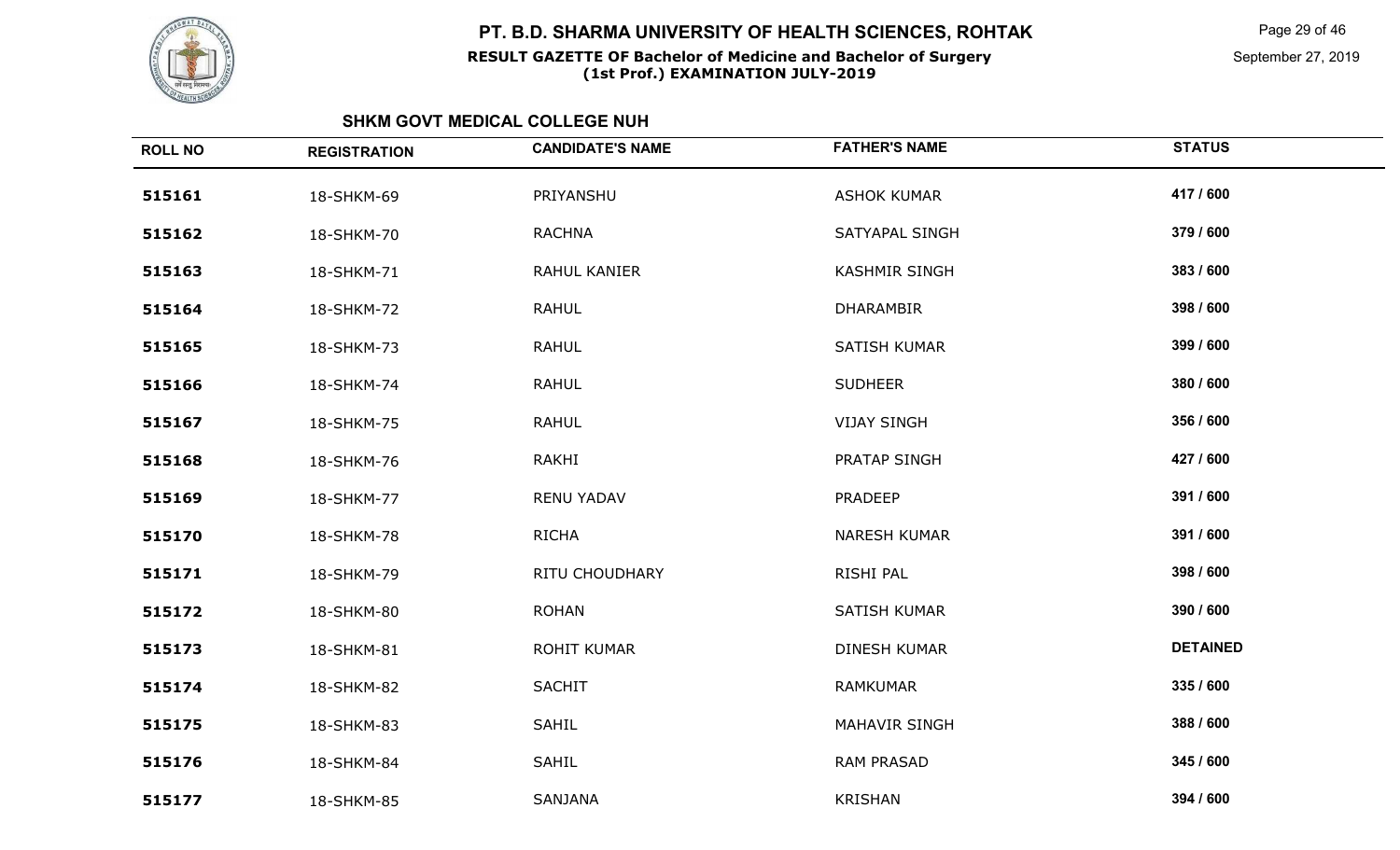

Page 29 of 46

September 27, 2019

| <b>REGISTRATION</b> | <b>CANDIDATE'S NAME</b> | <b>FATHER'S NAME</b> | <b>STATUS</b>   |
|---------------------|-------------------------|----------------------|-----------------|
| 18-SHKM-69          | PRIYANSHU               | <b>ASHOK KUMAR</b>   | 417 / 600       |
| 18-SHKM-70          | <b>RACHNA</b>           | SATYAPAL SINGH       | 379 / 600       |
| 18-SHKM-71          | RAHUL KANIER            | <b>KASHMIR SINGH</b> | 383 / 600       |
| 18-SHKM-72          | <b>RAHUL</b>            | DHARAMBIR            | 398 / 600       |
| 18-SHKM-73          | <b>RAHUL</b>            | SATISH KUMAR         | 399 / 600       |
| 18-SHKM-74          | <b>RAHUL</b>            | <b>SUDHEER</b>       | 380 / 600       |
| 18-SHKM-75          | <b>RAHUL</b>            | <b>VIJAY SINGH</b>   | 356 / 600       |
| 18-SHKM-76          | <b>RAKHI</b>            | PRATAP SINGH         | 427 / 600       |
| 18-SHKM-77          | <b>RENU YADAV</b>       | <b>PRADEEP</b>       | 391 / 600       |
| 18-SHKM-78          | <b>RICHA</b>            | <b>NARESH KUMAR</b>  | 391 / 600       |
| 18-SHKM-79          | RITU CHOUDHARY          | RISHI PAL            | 398 / 600       |
| 18-SHKM-80          | <b>ROHAN</b>            | SATISH KUMAR         | 390 / 600       |
| 18-SHKM-81          | <b>ROHIT KUMAR</b>      | <b>DINESH KUMAR</b>  | <b>DETAINED</b> |
| 18-SHKM-82          | <b>SACHIT</b>           | <b>RAMKUMAR</b>      | 335 / 600       |
| 18-SHKM-83          | <b>SAHIL</b>            | MAHAVIR SINGH        | 388 / 600       |
| 18-SHKM-84          | <b>SAHIL</b>            | <b>RAM PRASAD</b>    | 345 / 600       |
| 18-SHKM-85          | SANJANA                 | <b>KRISHAN</b>       | 394 / 600       |
|                     |                         |                      |                 |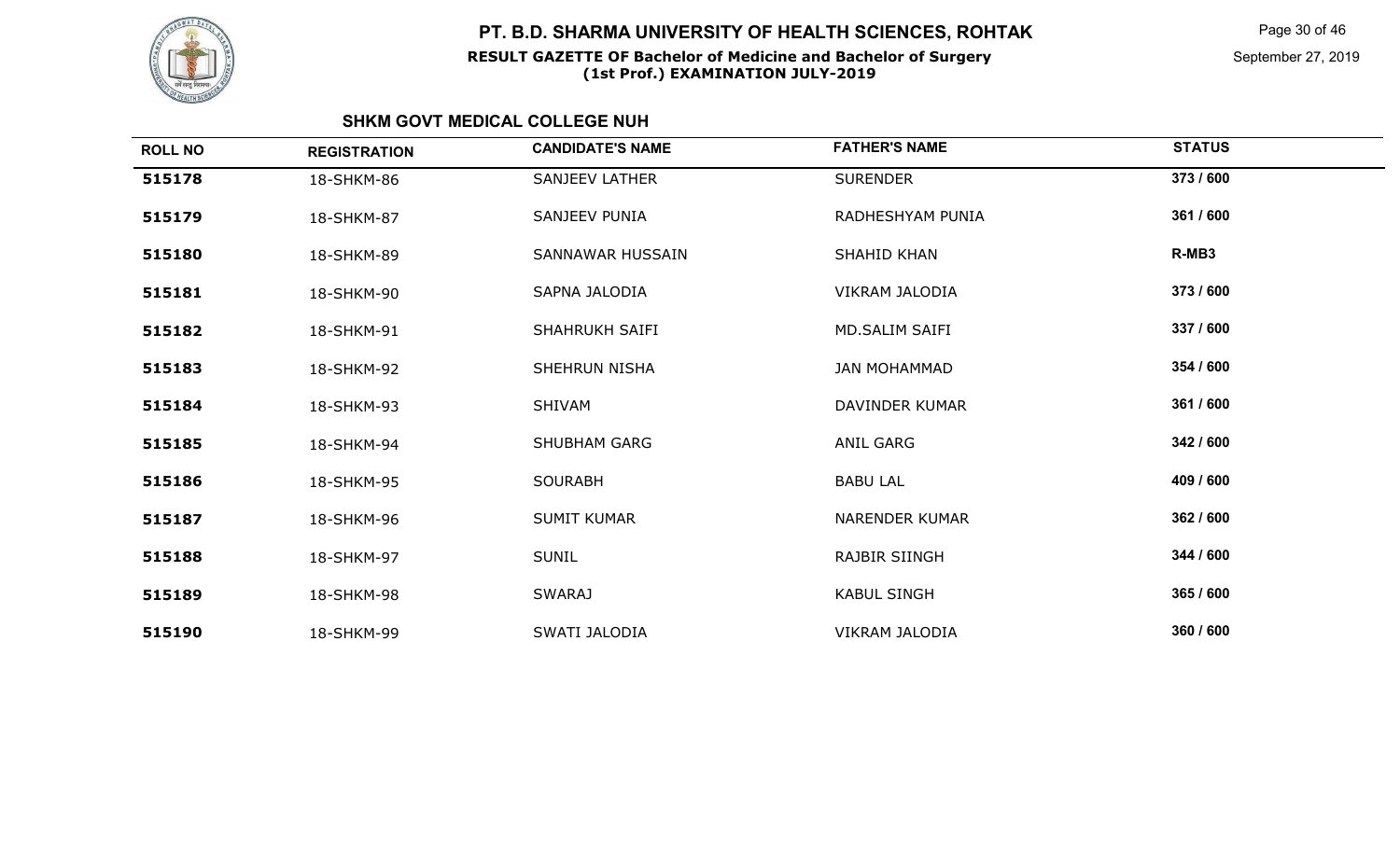

Page 30 of 46

September 27, 2019

| <b>ROLL NO</b> | <b>REGISTRATION</b> | <b>CANDIDATE'S NAME</b> | <b>FATHER'S NAME</b>  | <b>STATUS</b> |
|----------------|---------------------|-------------------------|-----------------------|---------------|
| 515178         | 18-SHKM-86          | <b>SANJEEV LATHER</b>   | <b>SURENDER</b>       | 373 / 600     |
| 515179         | 18-SHKM-87          | SANJEEV PUNIA           | RADHESHYAM PUNIA      | 361 / 600     |
| 515180         | 18-SHKM-89          | SANNAWAR HUSSAIN        | SHAHID KHAN           | R-MB3         |
| 515181         | 18-SHKM-90          | SAPNA JALODIA           | VIKRAM JALODIA        | 373 / 600     |
| 515182         | 18-SHKM-91          | <b>SHAHRUKH SAIFI</b>   | <b>MD.SALIM SAIFI</b> | 337 / 600     |
| 515183         | 18-SHKM-92          | <b>SHEHRUN NISHA</b>    | <b>JAN MOHAMMAD</b>   | 354 / 600     |
| 515184         | 18-SHKM-93          | SHIVAM                  | DAVINDER KUMAR        | 361 / 600     |
| 515185         | 18-SHKM-94          | <b>SHUBHAM GARG</b>     | <b>ANIL GARG</b>      | 342 / 600     |
| 515186         | 18-SHKM-95          | <b>SOURABH</b>          | <b>BABU LAL</b>       | 409 / 600     |
| 515187         | 18-SHKM-96          | <b>SUMIT KUMAR</b>      | <b>NARENDER KUMAR</b> | 362 / 600     |
| 515188         | 18-SHKM-97          | <b>SUNIL</b>            | <b>RAJBIR SIINGH</b>  | 344 / 600     |
| 515189         | 18-SHKM-98          | <b>SWARAJ</b>           | <b>KABUL SINGH</b>    | 365 / 600     |
| 515190         | 18-SHKM-99          | SWATI JALODIA           | VIKRAM JALODIA        | 360 / 600     |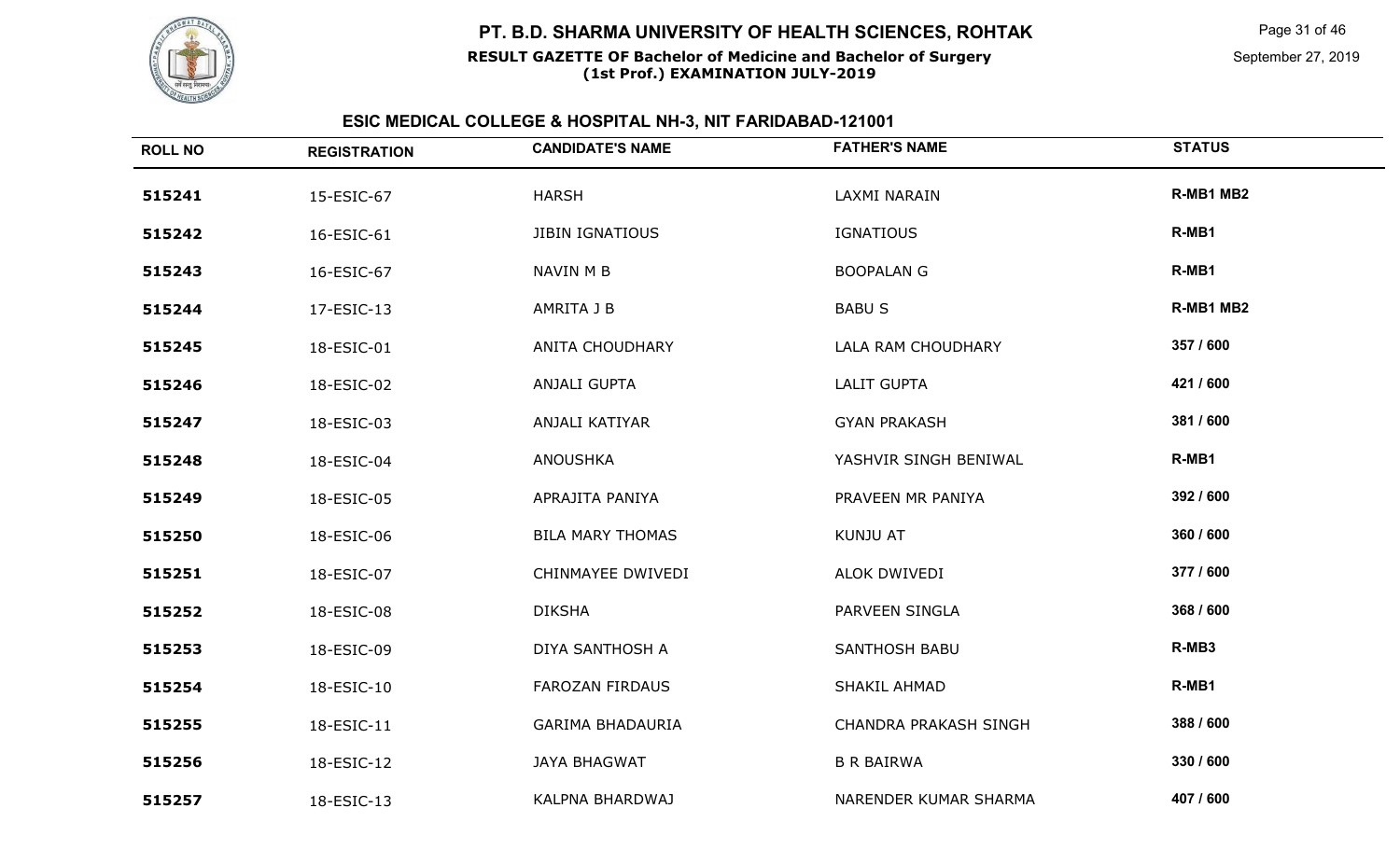

#### **RESULT GAZETTE OF Bachelor of Medicine and Bachelor of Surgery(1st Prof.) EXAMINATION JULY-2019**

Page 31 of 46

September 27, 2019

| <b>ROLL NO</b> | <b>REGISTRATION</b> | <b>CANDIDATE'S NAME</b> | <b>FATHER'S NAME</b>  | <b>STATUS</b> |
|----------------|---------------------|-------------------------|-----------------------|---------------|
| 515241         | 15-ESIC-67          | <b>HARSH</b>            | LAXMI NARAIN          | R-MB1 MB2     |
| 515242         | 16-ESIC-61          | <b>JIBIN IGNATIOUS</b>  | <b>IGNATIOUS</b>      | R-MB1         |
| 515243         | 16-ESIC-67          | NAVIN M B               | <b>BOOPALAN G</b>     | R-MB1         |
| 515244         | 17-ESIC-13          | AMRITA J B              | <b>BABUS</b>          | R-MB1 MB2     |
| 515245         | 18-ESIC-01          | ANITA CHOUDHARY         | LALA RAM CHOUDHARY    | 357 / 600     |
| 515246         | 18-ESIC-02          | ANJALI GUPTA            | <b>LALIT GUPTA</b>    | 421 / 600     |
| 515247         | 18-ESIC-03          | ANJALI KATIYAR          | <b>GYAN PRAKASH</b>   | 381 / 600     |
| 515248         | 18-ESIC-04          | <b>ANOUSHKA</b>         | YASHVIR SINGH BENIWAL | R-MB1         |
| 515249         | 18-ESIC-05          | APRAJITA PANIYA         | PRAVEEN MR PANIYA     | 392 / 600     |
| 515250         | 18-ESIC-06          | <b>BILA MARY THOMAS</b> | KUNJU AT              | 360 / 600     |
| 515251         | 18-ESIC-07          | CHINMAYEE DWIVEDI       | ALOK DWIVEDI          | 377 / 600     |
| 515252         | 18-ESIC-08          | <b>DIKSHA</b>           | PARVEEN SINGLA        | 368 / 600     |
| 515253         | 18-ESIC-09          | DIYA SANTHOSH A         | <b>SANTHOSH BABU</b>  | R-MB3         |
| 515254         | 18-ESIC-10          | <b>FAROZAN FIRDAUS</b>  | SHAKIL AHMAD          | R-MB1         |
| 515255         | 18-ESIC-11          | <b>GARIMA BHADAURIA</b> | CHANDRA PRAKASH SINGH | 388 / 600     |
| 515256         | 18-ESIC-12          | <b>JAYA BHAGWAT</b>     | <b>B R BAIRWA</b>     | 330 / 600     |
| 515257         | 18-ESIC-13          | KALPNA BHARDWAJ         | NARENDER KUMAR SHARMA | 407 / 600     |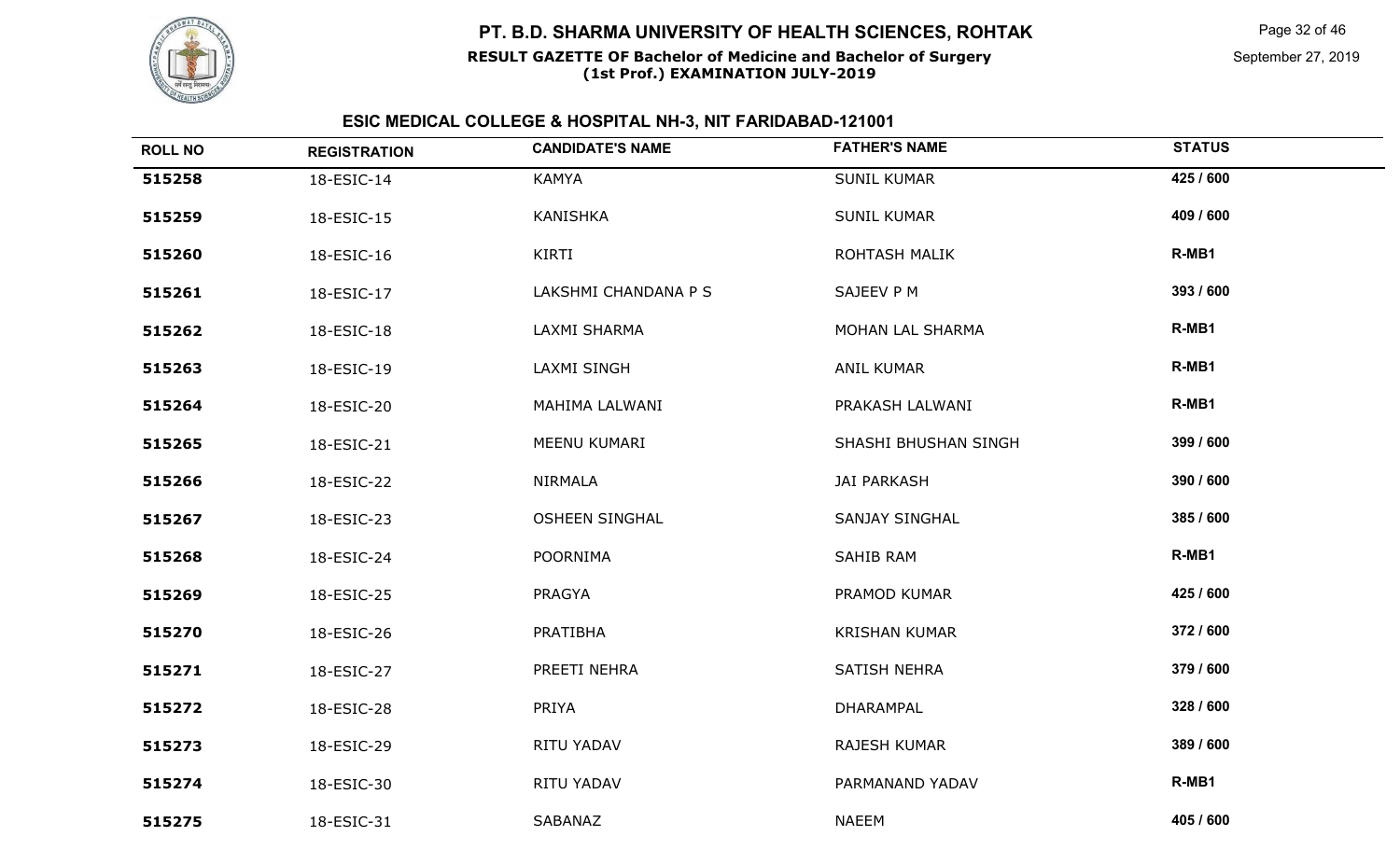

#### **RESULT GAZETTE OF Bachelor of Medicine and Bachelor of Surgery(1st Prof.) EXAMINATION JULY-2019**

Page 32 of 46

September 27, 2019

| <b>ROLL NO</b> | <b>REGISTRATION</b> | <b>CANDIDATE'S NAME</b> | <b>FATHER'S NAME</b>  | <b>STATUS</b> |
|----------------|---------------------|-------------------------|-----------------------|---------------|
| 515258         | 18-ESIC-14          | <b>KAMYA</b>            | <b>SUNIL KUMAR</b>    | 425 / 600     |
| 515259         | 18-ESIC-15          | <b>KANISHKA</b>         | <b>SUNIL KUMAR</b>    | 409 / 600     |
| 515260         | 18-ESIC-16          | KIRTI                   | <b>ROHTASH MALIK</b>  | R-MB1         |
| 515261         | 18-ESIC-17          | LAKSHMI CHANDANA P S    | SAJEEV P M            | 393 / 600     |
| 515262         | 18-ESIC-18          | LAXMI SHARMA            | MOHAN LAL SHARMA      | R-MB1         |
| 515263         | 18-ESIC-19          | <b>LAXMI SINGH</b>      | <b>ANIL KUMAR</b>     | R-MB1         |
| 515264         | 18-ESIC-20          | MAHIMA LALWANI          | PRAKASH LALWANI       | R-MB1         |
| 515265         | 18-ESIC-21          | MEENU KUMARI            | SHASHI BHUSHAN SINGH  | 399 / 600     |
| 515266         | 18-ESIC-22          | NIRMALA                 | <b>JAI PARKASH</b>    | 390 / 600     |
| 515267         | 18-ESIC-23          | <b>OSHEEN SINGHAL</b>   | <b>SANJAY SINGHAL</b> | 385 / 600     |
| 515268         | 18-ESIC-24          | <b>POORNIMA</b>         | SAHIB RAM             | R-MB1         |
| 515269         | 18-ESIC-25          | <b>PRAGYA</b>           | PRAMOD KUMAR          | 425 / 600     |
| 515270         | 18-ESIC-26          | PRATIBHA                | <b>KRISHAN KUMAR</b>  | 372 / 600     |
| 515271         | 18-ESIC-27          | PREETI NEHRA            | <b>SATISH NEHRA</b>   | 379 / 600     |
| 515272         | 18-ESIC-28          | PRIYA                   | DHARAMPAL             | 328 / 600     |
| 515273         | 18-ESIC-29          | RITU YADAV              | <b>RAJESH KUMAR</b>   | 389 / 600     |
| 515274         | 18-ESIC-30          | RITU YADAV              | PARMANAND YADAV       | R-MB1         |
| 515275         | 18-ESIC-31          | SABANAZ                 | <b>NAEEM</b>          | 405 / 600     |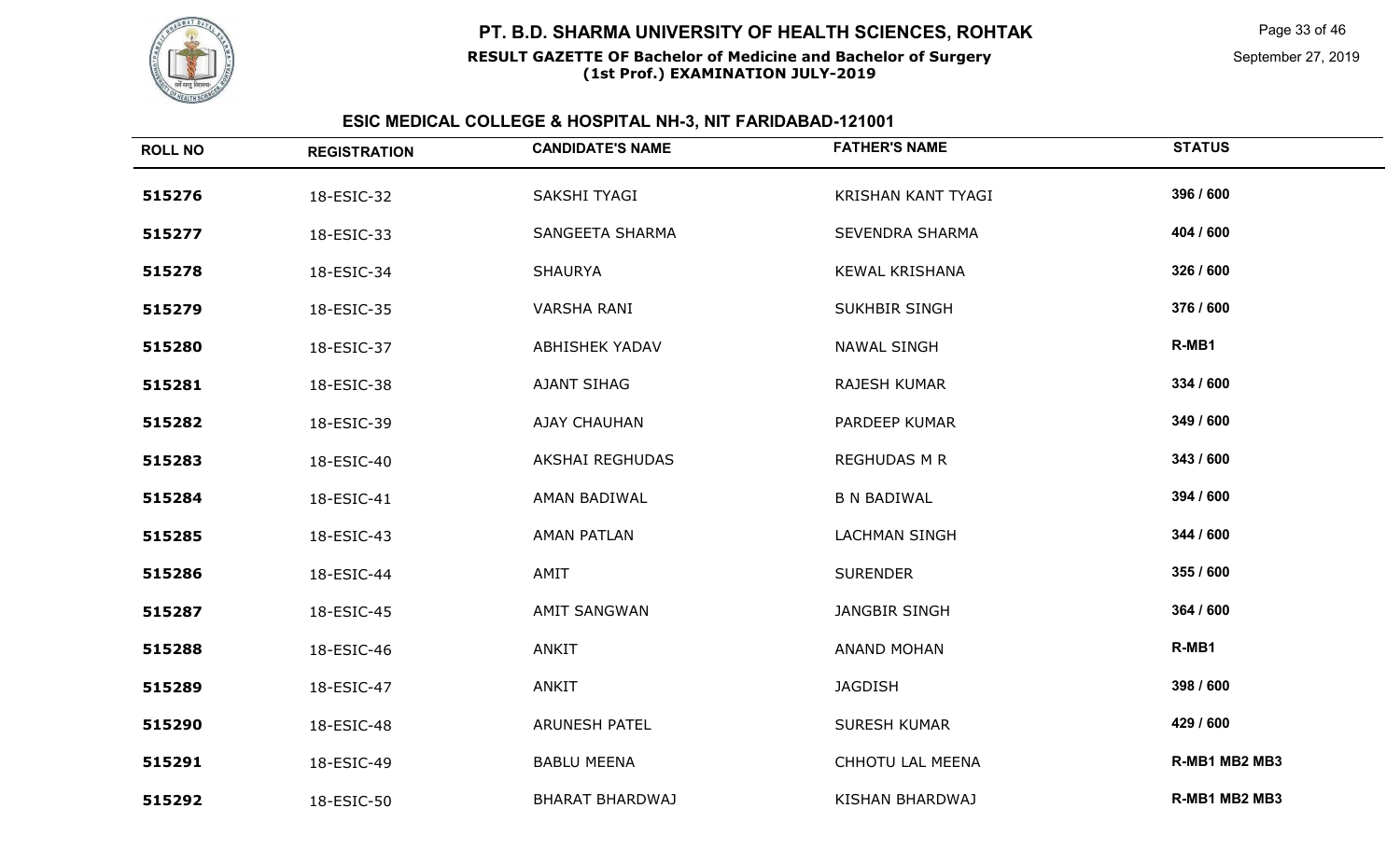

#### **RESULT GAZETTE OF Bachelor of Medicine and Bachelor of Surgery(1st Prof.) EXAMINATION JULY-2019**

Page 33 of 46

September 27, 2019

| <b>ROLL NO</b> | <b>REGISTRATION</b> | <b>CANDIDATE'S NAME</b> | <b>FATHER'S NAME</b>   | <b>STATUS</b> |
|----------------|---------------------|-------------------------|------------------------|---------------|
| 515276         | 18-ESIC-32          | SAKSHI TYAGI            | KRISHAN KANT TYAGI     | 396 / 600     |
| 515277         | 18-ESIC-33          | SANGEETA SHARMA         | <b>SEVENDRA SHARMA</b> | 404 / 600     |
| 515278         | 18-ESIC-34          | <b>SHAURYA</b>          | <b>KEWAL KRISHANA</b>  | 326 / 600     |
| 515279         | 18-ESIC-35          | <b>VARSHA RANI</b>      | SUKHBIR SINGH          | 376 / 600     |
| 515280         | 18-ESIC-37          | <b>ABHISHEK YADAV</b>   | <b>NAWAL SINGH</b>     | R-MB1         |
| 515281         | 18-ESIC-38          | AJANT SIHAG             | <b>RAJESH KUMAR</b>    | 334 / 600     |
| 515282         | 18-ESIC-39          | <b>AJAY CHAUHAN</b>     | PARDEEP KUMAR          | 349 / 600     |
| 515283         | 18-ESIC-40          | AKSHAI REGHUDAS         | <b>REGHUDAS M R</b>    | 343 / 600     |
| 515284         | 18-ESIC-41          | AMAN BADIWAL            | <b>B N BADIWAL</b>     | 394 / 600     |
| 515285         | 18-ESIC-43          | <b>AMAN PATLAN</b>      | <b>LACHMAN SINGH</b>   | 344 / 600     |
| 515286         | 18-ESIC-44          | AMIT                    | <b>SURENDER</b>        | 355 / 600     |
| 515287         | 18-ESIC-45          | <b>AMIT SANGWAN</b>     | <b>JANGBIR SINGH</b>   | 364 / 600     |
| 515288         | 18-ESIC-46          | ANKIT                   | <b>ANAND MOHAN</b>     | R-MB1         |
| 515289         | 18-ESIC-47          | ANKIT                   | <b>JAGDISH</b>         | 398 / 600     |
| 515290         | 18-ESIC-48          | <b>ARUNESH PATEL</b>    | <b>SURESH KUMAR</b>    | 429 / 600     |
| 515291         | 18-ESIC-49          | <b>BABLU MEENA</b>      | CHHOTU LAL MEENA       | R-MB1 MB2 MB3 |
| 515292         | 18-ESIC-50          | <b>BHARAT BHARDWAJ</b>  | <b>KISHAN BHARDWAJ</b> | R-MB1 MB2 MB3 |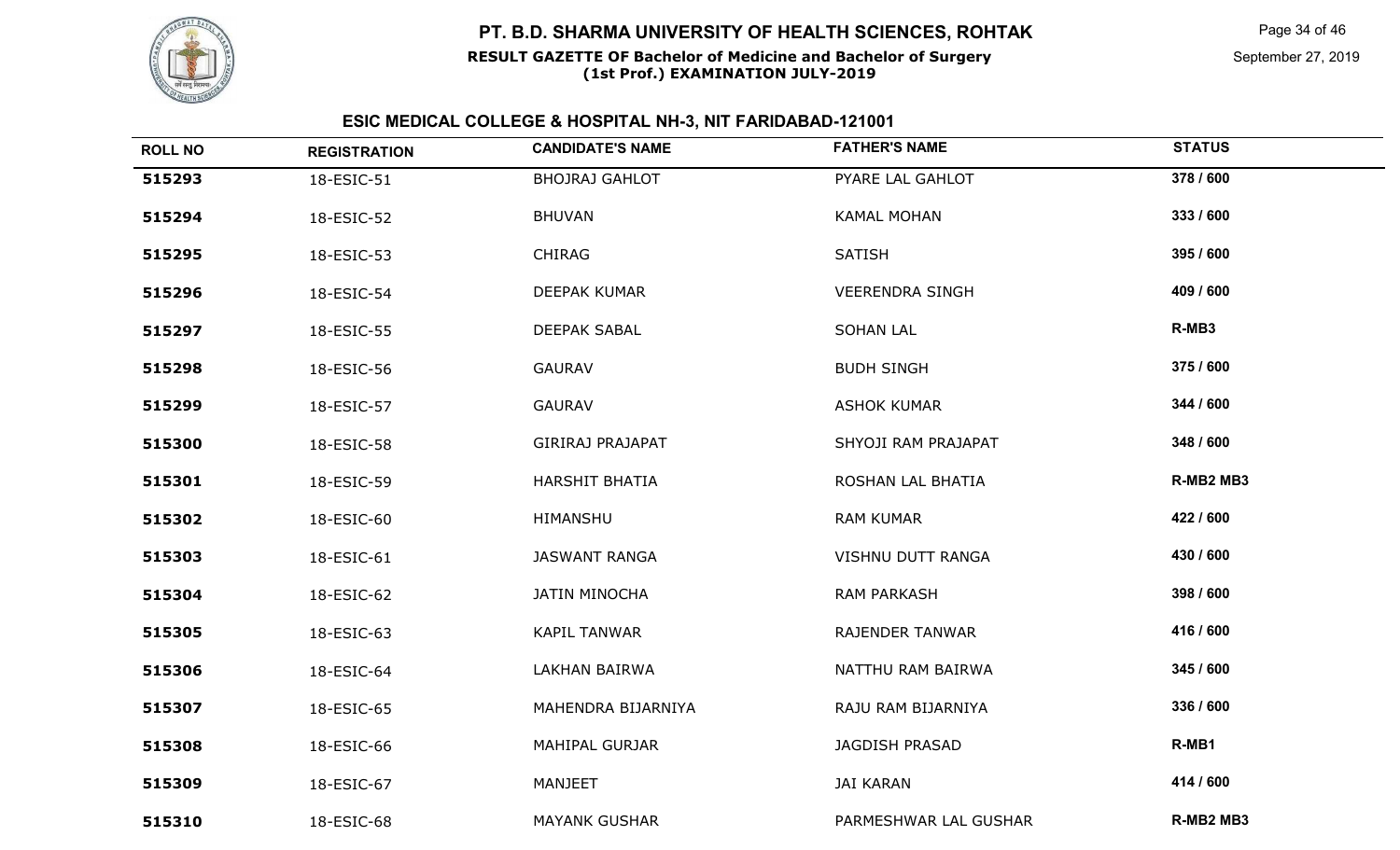

#### **RESULT GAZETTE OF Bachelor of Medicine and Bachelor of Surgery(1st Prof.) EXAMINATION JULY-2019**

Page 34 of 46

September 27, 2019

| <b>ROLL NO</b> | <b>REGISTRATION</b> | <b>CANDIDATE'S NAME</b> | <b>FATHER'S NAME</b>   | <b>STATUS</b> |
|----------------|---------------------|-------------------------|------------------------|---------------|
| 515293         | 18-ESIC-51          | <b>BHOJRAJ GAHLOT</b>   | PYARE LAL GAHLOT       | 378 / 600     |
| 515294         | 18-ESIC-52          | <b>BHUVAN</b>           | <b>KAMAL MOHAN</b>     | 333 / 600     |
| 515295         | 18-ESIC-53          | <b>CHIRAG</b>           | <b>SATISH</b>          | 395 / 600     |
| 515296         | 18-ESIC-54          | DEEPAK KUMAR            | <b>VEERENDRA SINGH</b> | 409 / 600     |
| 515297         | 18-ESIC-55          | <b>DEEPAK SABAL</b>     | <b>SOHAN LAL</b>       | R-MB3         |
| 515298         | 18-ESIC-56          | <b>GAURAV</b>           | <b>BUDH SINGH</b>      | 375 / 600     |
| 515299         | 18-ESIC-57          | <b>GAURAV</b>           | <b>ASHOK KUMAR</b>     | 344 / 600     |
| 515300         | 18-ESIC-58          | GIRIRAJ PRAJAPAT        | SHYOJI RAM PRAJAPAT    | 348 / 600     |
| 515301         | 18-ESIC-59          | <b>HARSHIT BHATIA</b>   | ROSHAN LAL BHATIA      | R-MB2 MB3     |
| 515302         | 18-ESIC-60          | HIMANSHU                | <b>RAM KUMAR</b>       | 422 / 600     |
| 515303         | 18-ESIC-61          | <b>JASWANT RANGA</b>    | VISHNU DUTT RANGA      | 430 / 600     |
| 515304         | 18-ESIC-62          | <b>JATIN MINOCHA</b>    | <b>RAM PARKASH</b>     | 398 / 600     |
| 515305         | 18-ESIC-63          | <b>KAPIL TANWAR</b>     | RAJENDER TANWAR        | 416 / 600     |
| 515306         | 18-ESIC-64          | LAKHAN BAIRWA           | NATTHU RAM BAIRWA      | 345 / 600     |
| 515307         | 18-ESIC-65          | MAHENDRA BIJARNIYA      | RAJU RAM BIJARNIYA     | 336 / 600     |
| 515308         | 18-ESIC-66          | MAHIPAL GURJAR          | JAGDISH PRASAD         | R-MB1         |
| 515309         | 18-ESIC-67          | MANJEET                 | <b>JAI KARAN</b>       | 414 / 600     |
| 515310         | 18-ESIC-68          | <b>MAYANK GUSHAR</b>    | PARMESHWAR LAL GUSHAR  | R-MB2 MB3     |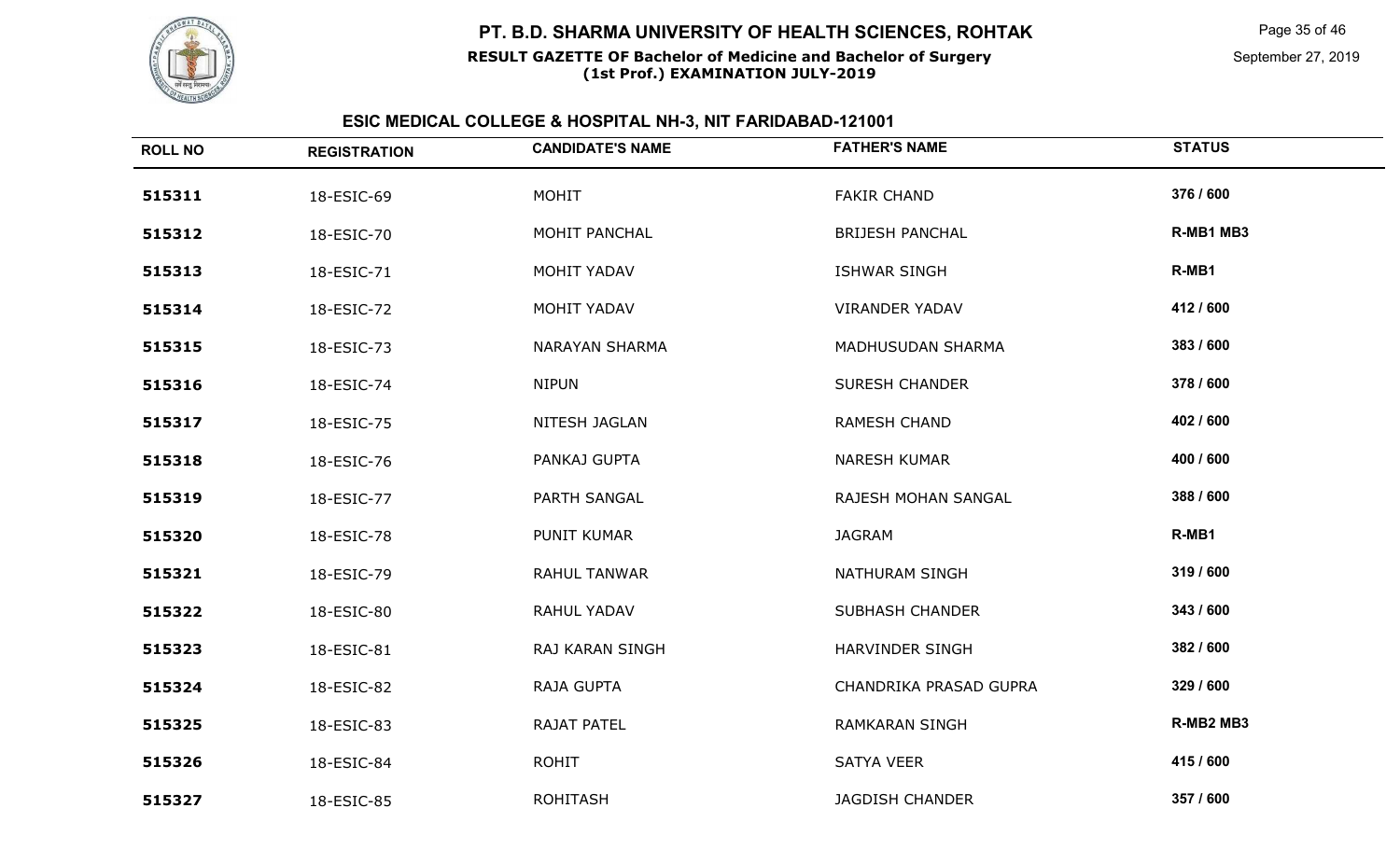

#### **RESULT GAZETTE OF Bachelor of Medicine and Bachelor of Surgery(1st Prof.) EXAMINATION JULY-2019**

Page 35 of 46

September 27, 2019

| <b>ROLL NO</b> | <b>REGISTRATION</b> | <b>CANDIDATE'S NAME</b> | <b>FATHER'S NAME</b>   | <b>STATUS</b> |
|----------------|---------------------|-------------------------|------------------------|---------------|
| 515311         | 18-ESIC-69          | <b>MOHIT</b>            | <b>FAKIR CHAND</b>     | 376 / 600     |
| 515312         | 18-ESIC-70          | MOHIT PANCHAL           | <b>BRIJESH PANCHAL</b> | R-MB1 MB3     |
| 515313         | 18-ESIC-71          | MOHIT YADAV             | ISHWAR SINGH           | R-MB1         |
| 515314         | 18-ESIC-72          | MOHIT YADAV             | <b>VIRANDER YADAV</b>  | 412 / 600     |
| 515315         | 18-ESIC-73          | <b>NARAYAN SHARMA</b>   | MADHUSUDAN SHARMA      | 383 / 600     |
| 515316         | 18-ESIC-74          | <b>NIPUN</b>            | <b>SURESH CHANDER</b>  | 378 / 600     |
| 515317         | 18-ESIC-75          | NITESH JAGLAN           | RAMESH CHAND           | 402 / 600     |
| 515318         | 18-ESIC-76          | PANKAJ GUPTA            | <b>NARESH KUMAR</b>    | 400 / 600     |
| 515319         | 18-ESIC-77          | PARTH SANGAL            | RAJESH MOHAN SANGAL    | 388 / 600     |
| 515320         | 18-ESIC-78          | PUNIT KUMAR             | <b>JAGRAM</b>          | R-MB1         |
| 515321         | 18-ESIC-79          | RAHUL TANWAR            | NATHURAM SINGH         | 319 / 600     |
| 515322         | 18-ESIC-80          | RAHUL YADAV             | <b>SUBHASH CHANDER</b> | 343 / 600     |
| 515323         | 18-ESIC-81          | RAJ KARAN SINGH         | HARVINDER SINGH        | 382 / 600     |
| 515324         | 18-ESIC-82          | RAJA GUPTA              | CHANDRIKA PRASAD GUPRA | 329 / 600     |
| 515325         | 18-ESIC-83          | RAJAT PATEL             | <b>RAMKARAN SINGH</b>  | R-MB2 MB3     |
| 515326         | 18-ESIC-84          | <b>ROHIT</b>            | <b>SATYA VEER</b>      | 415 / 600     |
| 515327         | 18-ESIC-85          | <b>ROHITASH</b>         | <b>JAGDISH CHANDER</b> | 357 / 600     |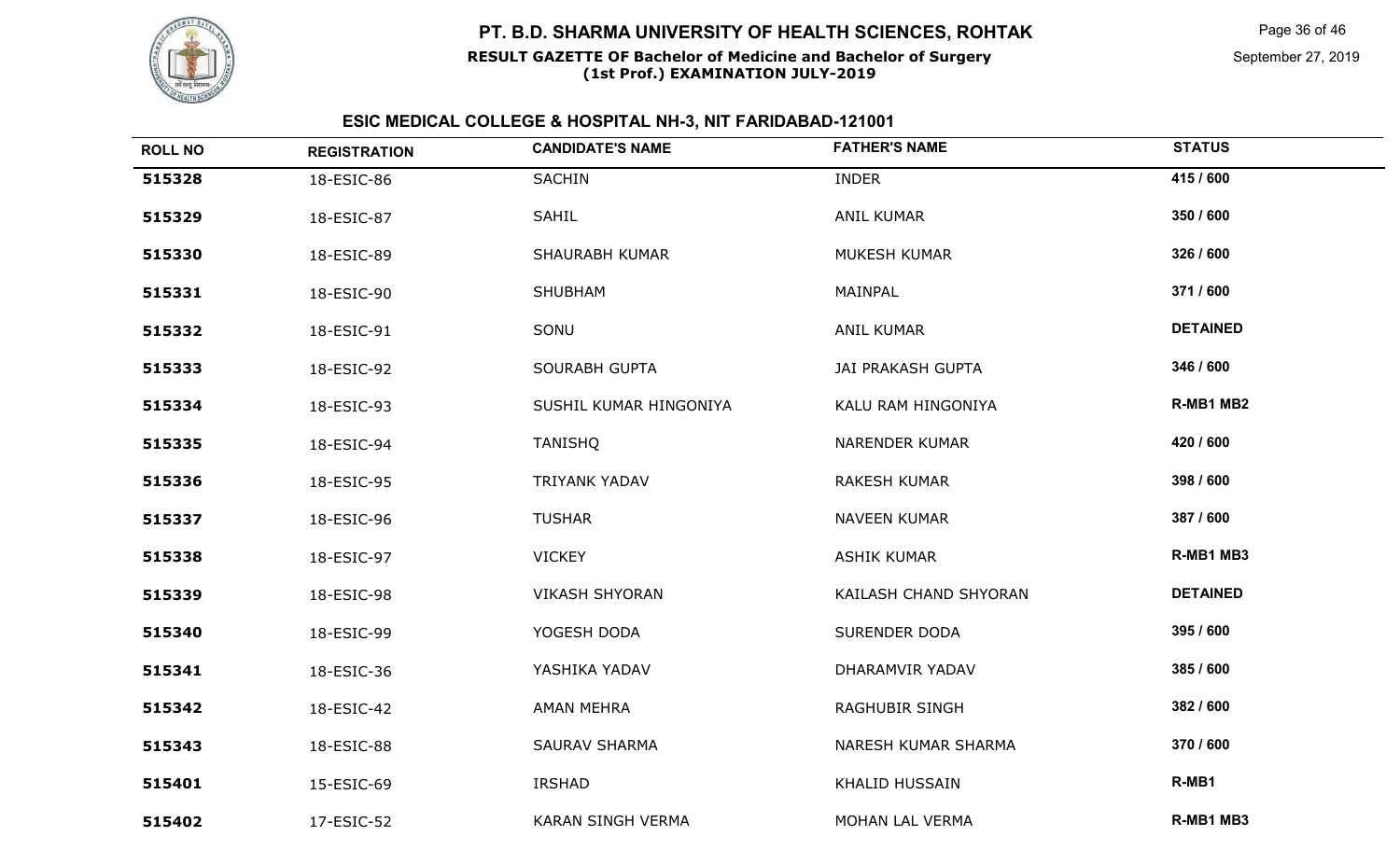

#### **RESULT GAZETTE OF Bachelor of Medicine and Bachelor of Surgery(1st Prof.) EXAMINATION JULY-2019**

| <b>ROLL NO</b> | <b>REGISTRATION</b> | <b>CANDIDATE'S NAME</b>  | <b>FATHER'S NAME</b>     | <b>STATUS</b>   |
|----------------|---------------------|--------------------------|--------------------------|-----------------|
| 515328         | 18-ESIC-86          | SACHIN                   | <b>INDER</b>             | 415 / 600       |
| 515329         | 18-ESIC-87          | SAHIL                    | <b>ANIL KUMAR</b>        | 350 / 600       |
| 515330         | 18-ESIC-89          | <b>SHAURABH KUMAR</b>    | MUKESH KUMAR             | 326 / 600       |
| 515331         | 18-ESIC-90          | SHUBHAM                  | MAINPAL                  | 371 / 600       |
| 515332         | 18-ESIC-91          | SONU                     | <b>ANIL KUMAR</b>        | <b>DETAINED</b> |
| 515333         | 18-ESIC-92          | <b>SOURABH GUPTA</b>     | <b>JAI PRAKASH GUPTA</b> | 346 / 600       |
| 515334         | 18-ESIC-93          | SUSHIL KUMAR HINGONIYA   | KALU RAM HINGONIYA       | R-MB1 MB2       |
| 515335         | 18-ESIC-94          | <b>TANISHQ</b>           | NARENDER KUMAR           | 420 / 600       |
| 515336         | 18-ESIC-95          | TRIYANK YADAV            | <b>RAKESH KUMAR</b>      | 398 / 600       |
| 515337         | 18-ESIC-96          | <b>TUSHAR</b>            | <b>NAVEEN KUMAR</b>      | 387 / 600       |
| 515338         | 18-ESIC-97          | <b>VICKEY</b>            | <b>ASHIK KUMAR</b>       | R-MB1 MB3       |
| 515339         | 18-ESIC-98          | <b>VIKASH SHYORAN</b>    | KAILASH CHAND SHYORAN    | <b>DETAINED</b> |
| 515340         | 18-ESIC-99          | YOGESH DODA              | <b>SURENDER DODA</b>     | 395 / 600       |
| 515341         | 18-ESIC-36          | YASHIKA YADAV            | DHARAMVIR YADAV          | 385 / 600       |
| 515342         | 18-ESIC-42          | <b>AMAN MEHRA</b>        | RAGHUBIR SINGH           | 382 / 600       |
| 515343         | 18-ESIC-88          | <b>SAURAV SHARMA</b>     | NARESH KUMAR SHARMA      | 370 / 600       |
| 515401         | 15-ESIC-69          | IRSHAD                   | <b>KHALID HUSSAIN</b>    | R-MB1           |
| 515402         | 17-ESIC-52          | <b>KARAN SINGH VERMA</b> | MOHAN LAL VERMA          | R-MB1 MB3       |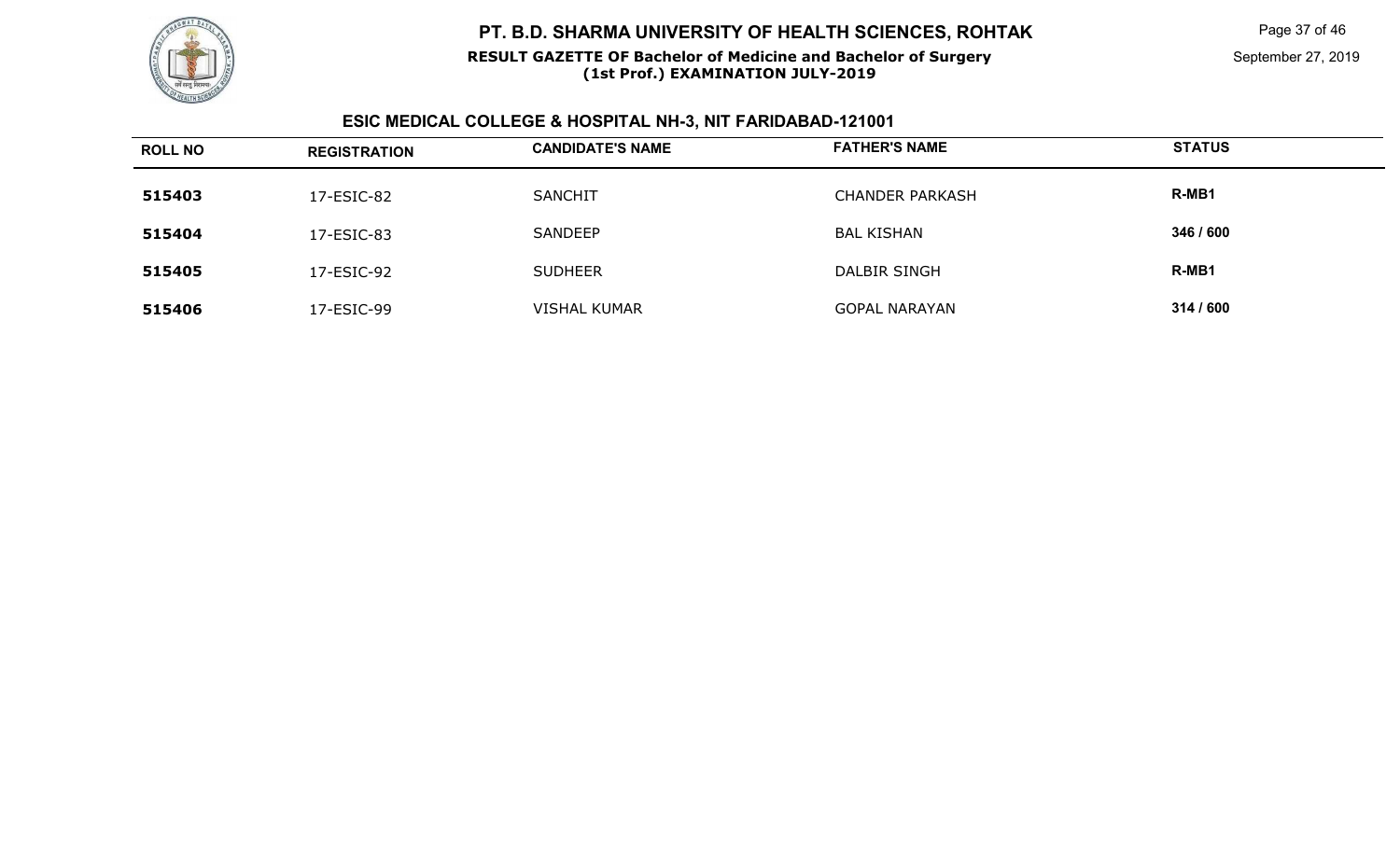

#### **RESULT GAZETTE OF Bachelor of Medicine and Bachelor of Surgery(1st Prof.) EXAMINATION JULY-2019**

Page 37 of 46

September 27, 2019

| <b>ROLL NO</b> | <b>REGISTRATION</b> | <b>CANDIDATE'S NAME</b> | <b>FATHER'S NAME</b>   | <b>STATUS</b> |
|----------------|---------------------|-------------------------|------------------------|---------------|
| 515403         | 17-ESIC-82          | <b>SANCHIT</b>          | <b>CHANDER PARKASH</b> | R-MB1         |
| 515404         | 17-ESIC-83          | SANDEEP                 | <b>BAL KISHAN</b>      | 346 / 600     |
| 515405         | 17-ESIC-92          | <b>SUDHEER</b>          | DALBIR SINGH           | R-MB1         |
| 515406         | 17-ESIC-99          | <b>VISHAL KUMAR</b>     | <b>GOPAL NARAYAN</b>   | 314 / 600     |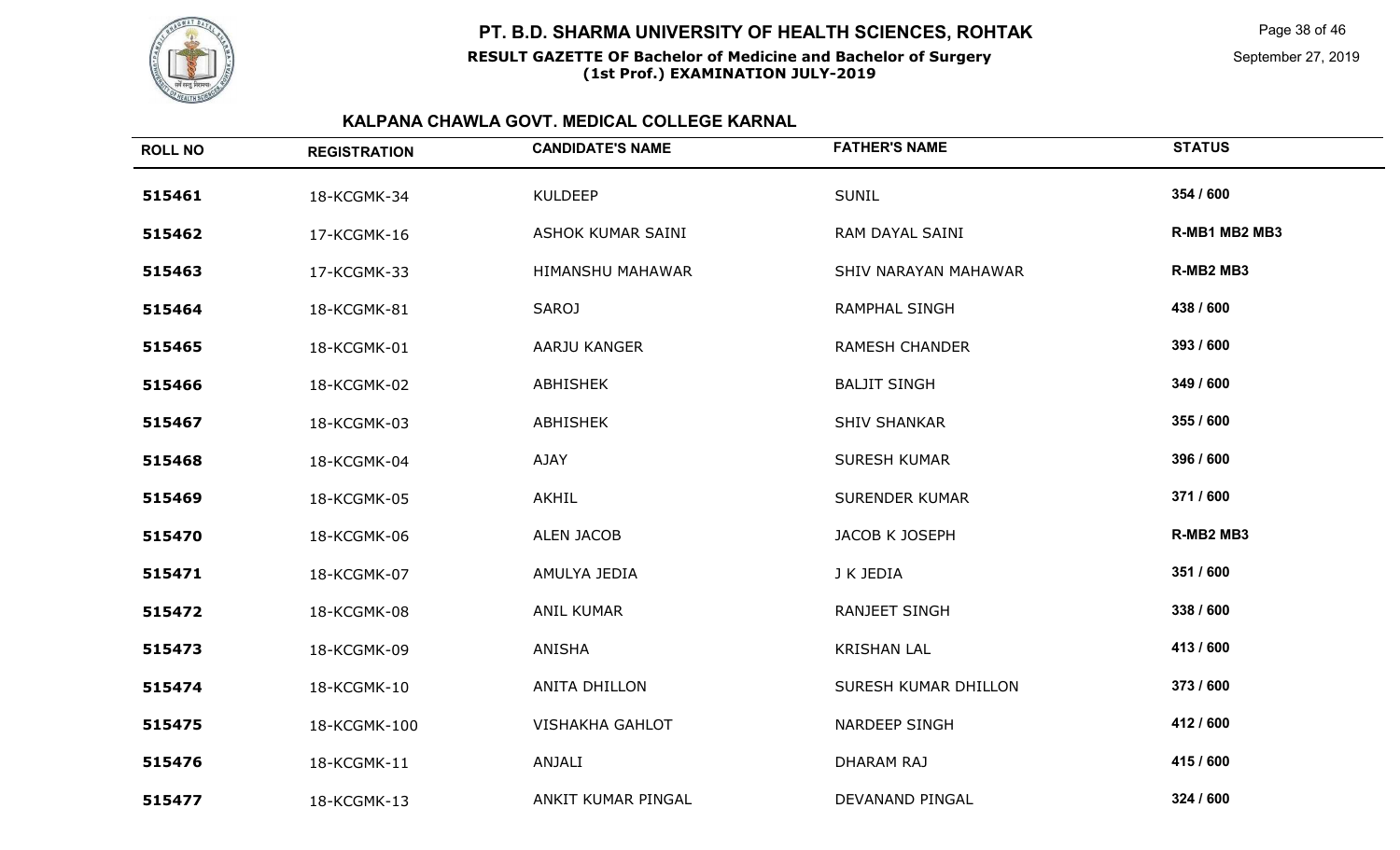

Page 38 of 46

September 27, 2019

| <b>ROLL NO</b> | <b>REGISTRATION</b> | <b>CANDIDATE'S NAME</b> | <b>FATHER'S NAME</b>  | <b>STATUS</b> |
|----------------|---------------------|-------------------------|-----------------------|---------------|
| 515461         | 18-KCGMK-34         | <b>KULDEEP</b>          | <b>SUNIL</b>          | 354 / 600     |
| 515462         | 17-KCGMK-16         | ASHOK KUMAR SAINI       | RAM DAYAL SAINI       | R-MB1 MB2 MB3 |
| 515463         | 17-KCGMK-33         | HIMANSHU MAHAWAR        | SHIV NARAYAN MAHAWAR  | R-MB2 MB3     |
| 515464         | 18-KCGMK-81         | <b>SAROJ</b>            | RAMPHAL SINGH         | 438 / 600     |
| 515465         | 18-KCGMK-01         | AARJU KANGER            | <b>RAMESH CHANDER</b> | 393 / 600     |
| 515466         | 18-KCGMK-02         | ABHISHEK                | <b>BALJIT SINGH</b>   | 349 / 600     |
| 515467         | 18-KCGMK-03         | <b>ABHISHEK</b>         | <b>SHIV SHANKAR</b>   | 355 / 600     |
| 515468         | 18-KCGMK-04         | <b>AJAY</b>             | <b>SURESH KUMAR</b>   | 396 / 600     |
| 515469         | 18-KCGMK-05         | AKHIL                   | <b>SURENDER KUMAR</b> | 371/600       |
| 515470         | 18-KCGMK-06         | <b>ALEN JACOB</b>       | JACOB K JOSEPH        | R-MB2 MB3     |
| 515471         | 18-KCGMK-07         | AMULYA JEDIA            | J K JEDIA             | 351 / 600     |
| 515472         | 18-KCGMK-08         | <b>ANIL KUMAR</b>       | <b>RANJEET SINGH</b>  | 338 / 600     |
| 515473         | 18-KCGMK-09         | ANISHA                  | <b>KRISHAN LAL</b>    | 413 / 600     |
| 515474         | 18-KCGMK-10         | ANITA DHILLON           | SURESH KUMAR DHILLON  | 373 / 600     |
| 515475         | 18-KCGMK-100        | <b>VISHAKHA GAHLOT</b>  | <b>NARDEEP SINGH</b>  | 412 / 600     |
| 515476         | 18-KCGMK-11         | ANJALI                  | DHARAM RAJ            | 415 / 600     |
| 515477         | 18-KCGMK-13         | ANKIT KUMAR PINGAL      | DEVANAND PINGAL       | 324 / 600     |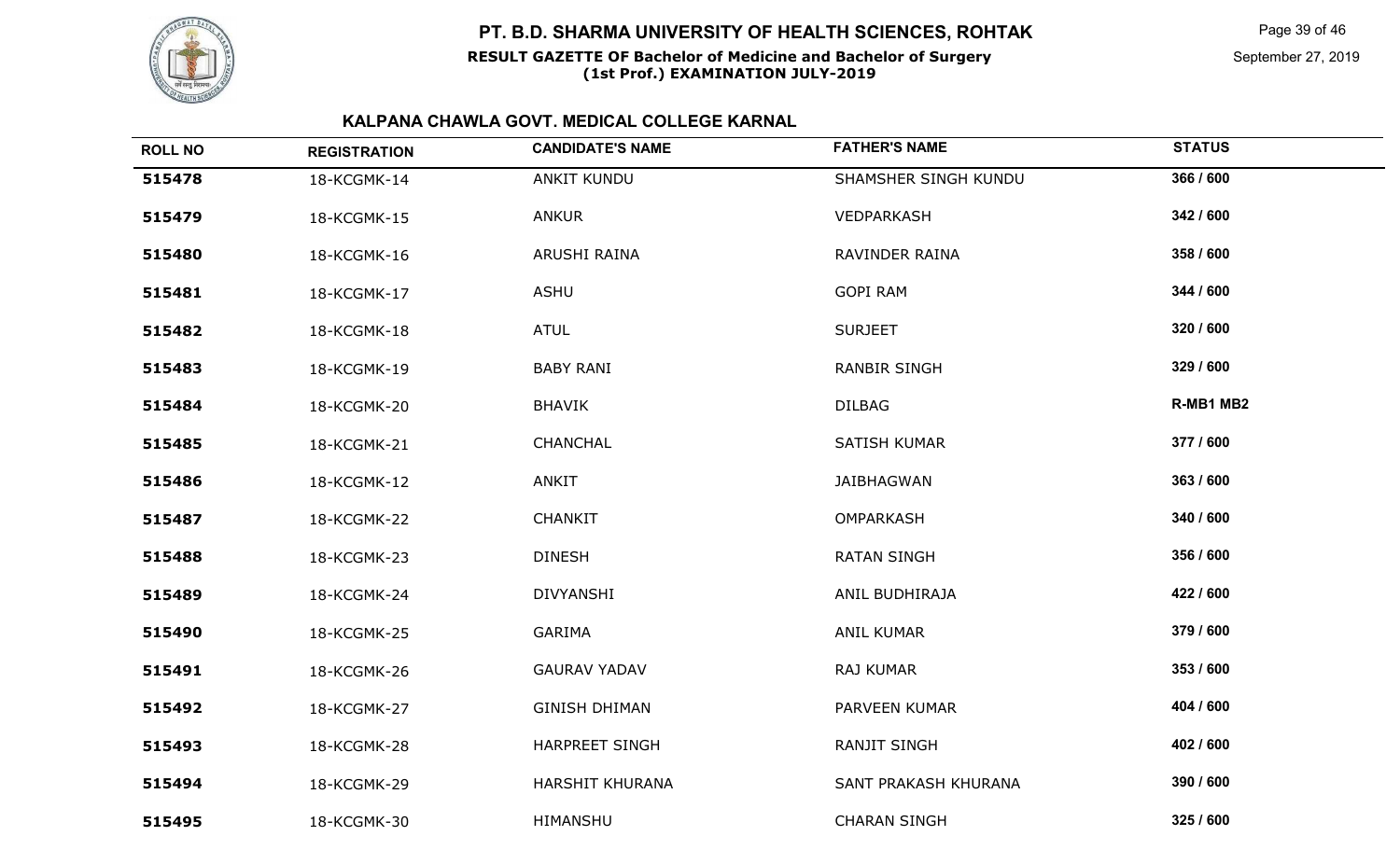

Page 39 of 46

September 27, 2019

| <b>ROLL NO</b> | <b>REGISTRATION</b> | <b>CANDIDATE'S NAME</b> | <b>FATHER'S NAME</b> | <b>STATUS</b> |
|----------------|---------------------|-------------------------|----------------------|---------------|
| 515478         | 18-KCGMK-14         | <b>ANKIT KUNDU</b>      | SHAMSHER SINGH KUNDU | 366 / 600     |
| 515479         | 18-KCGMK-15         | <b>ANKUR</b>            | VEDPARKASH           | 342 / 600     |
| 515480         | 18-KCGMK-16         | ARUSHI RAINA            | RAVINDER RAINA       | 358 / 600     |
| 515481         | 18-KCGMK-17         | <b>ASHU</b>             | <b>GOPI RAM</b>      | 344 / 600     |
| 515482         | 18-KCGMK-18         | <b>ATUL</b>             | <b>SURJEET</b>       | 320 / 600     |
| 515483         | 18-KCGMK-19         | <b>BABY RANI</b>        | <b>RANBIR SINGH</b>  | 329 / 600     |
| 515484         | 18-KCGMK-20         | <b>BHAVIK</b>           | <b>DILBAG</b>        | R-MB1 MB2     |
| 515485         | 18-KCGMK-21         | CHANCHAL                | SATISH KUMAR         | 377 / 600     |
| 515486         | 18-KCGMK-12         | <b>ANKIT</b>            | <b>JAIBHAGWAN</b>    | 363 / 600     |
| 515487         | 18-KCGMK-22         | <b>CHANKIT</b>          | OMPARKASH            | 340 / 600     |
| 515488         | 18-KCGMK-23         | <b>DINESH</b>           | <b>RATAN SINGH</b>   | 356 / 600     |
| 515489         | 18-KCGMK-24         | <b>DIVYANSHI</b>        | ANIL BUDHIRAJA       | 422 / 600     |
| 515490         | 18-KCGMK-25         | <b>GARIMA</b>           | <b>ANIL KUMAR</b>    | 379 / 600     |
| 515491         | 18-KCGMK-26         | <b>GAURAV YADAV</b>     | RAJ KUMAR            | 353 / 600     |
| 515492         | 18-KCGMK-27         | <b>GINISH DHIMAN</b>    | PARVEEN KUMAR        | 404 / 600     |
| 515493         | 18-KCGMK-28         | <b>HARPREET SINGH</b>   | <b>RANJIT SINGH</b>  | 402 / 600     |
| 515494         | 18-KCGMK-29         | HARSHIT KHURANA         | SANT PRAKASH KHURANA | 390 / 600     |
| 515495         | 18-KCGMK-30         | HIMANSHU                | <b>CHARAN SINGH</b>  | 325 / 600     |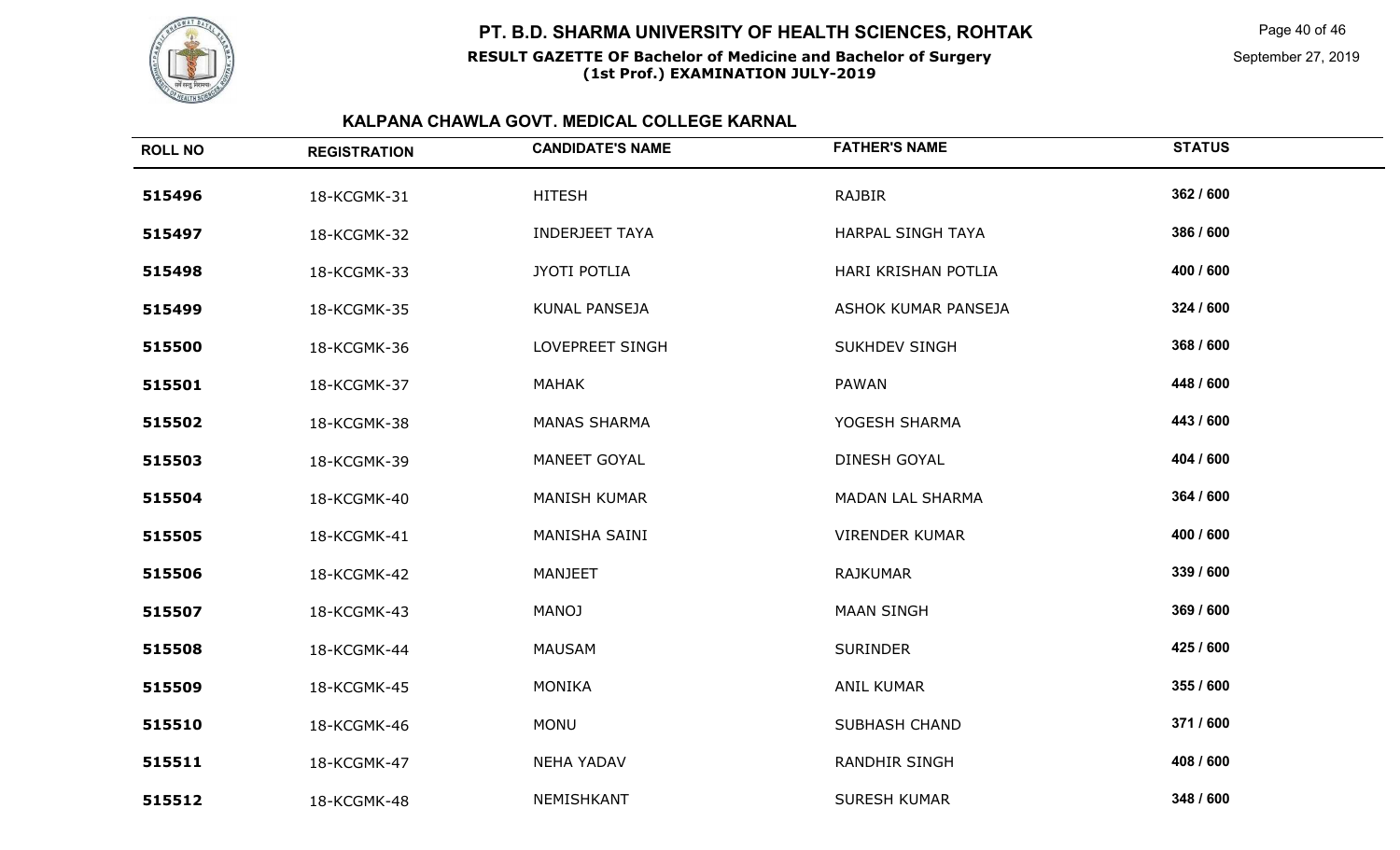

Page 40 of 46

September 27, 2019

| <b>ROLL NO</b> | <b>REGISTRATION</b> | <b>CANDIDATE'S NAME</b> | <b>FATHER'S NAME</b>  | <b>STATUS</b> |
|----------------|---------------------|-------------------------|-----------------------|---------------|
| 515496         | 18-KCGMK-31         | <b>HITESH</b>           | <b>RAJBIR</b>         | 362 / 600     |
| 515497         | 18-KCGMK-32         | <b>INDERJEET TAYA</b>   | HARPAL SINGH TAYA     | 386 / 600     |
| 515498         | 18-KCGMK-33         | <b>JYOTI POTLIA</b>     | HARI KRISHAN POTLIA   | 400 / 600     |
| 515499         | 18-KCGMK-35         | KUNAL PANSEJA           | ASHOK KUMAR PANSEJA   | 324 / 600     |
| 515500         | 18-KCGMK-36         | LOVEPREET SINGH         | <b>SUKHDEV SINGH</b>  | 368 / 600     |
| 515501         | 18-KCGMK-37         | MAHAK                   | PAWAN                 | 448 / 600     |
| 515502         | 18-KCGMK-38         | <b>MANAS SHARMA</b>     | YOGESH SHARMA         | 443 / 600     |
| 515503         | 18-KCGMK-39         | MANEET GOYAL            | DINESH GOYAL          | 404 / 600     |
| 515504         | 18-KCGMK-40         | <b>MANISH KUMAR</b>     | MADAN LAL SHARMA      | 364 / 600     |
| 515505         | 18-KCGMK-41         | MANISHA SAINI           | <b>VIRENDER KUMAR</b> | 400 / 600     |
| 515506         | 18-KCGMK-42         | <b>MANJEET</b>          | <b>RAJKUMAR</b>       | 339 / 600     |
| 515507         | 18-KCGMK-43         | <b>MANOJ</b>            | <b>MAAN SINGH</b>     | 369 / 600     |
| 515508         | 18-KCGMK-44         | <b>MAUSAM</b>           | <b>SURINDER</b>       | 425 / 600     |
| 515509         | 18-KCGMK-45         | <b>MONIKA</b>           | <b>ANIL KUMAR</b>     | 355 / 600     |
| 515510         | 18-KCGMK-46         | <b>MONU</b>             | <b>SUBHASH CHAND</b>  | 371/600       |
| 515511         | 18-KCGMK-47         | <b>NEHA YADAV</b>       | <b>RANDHIR SINGH</b>  | 408 / 600     |
| 515512         | 18-KCGMK-48         | NEMISHKANT              | <b>SURESH KUMAR</b>   | 348 / 600     |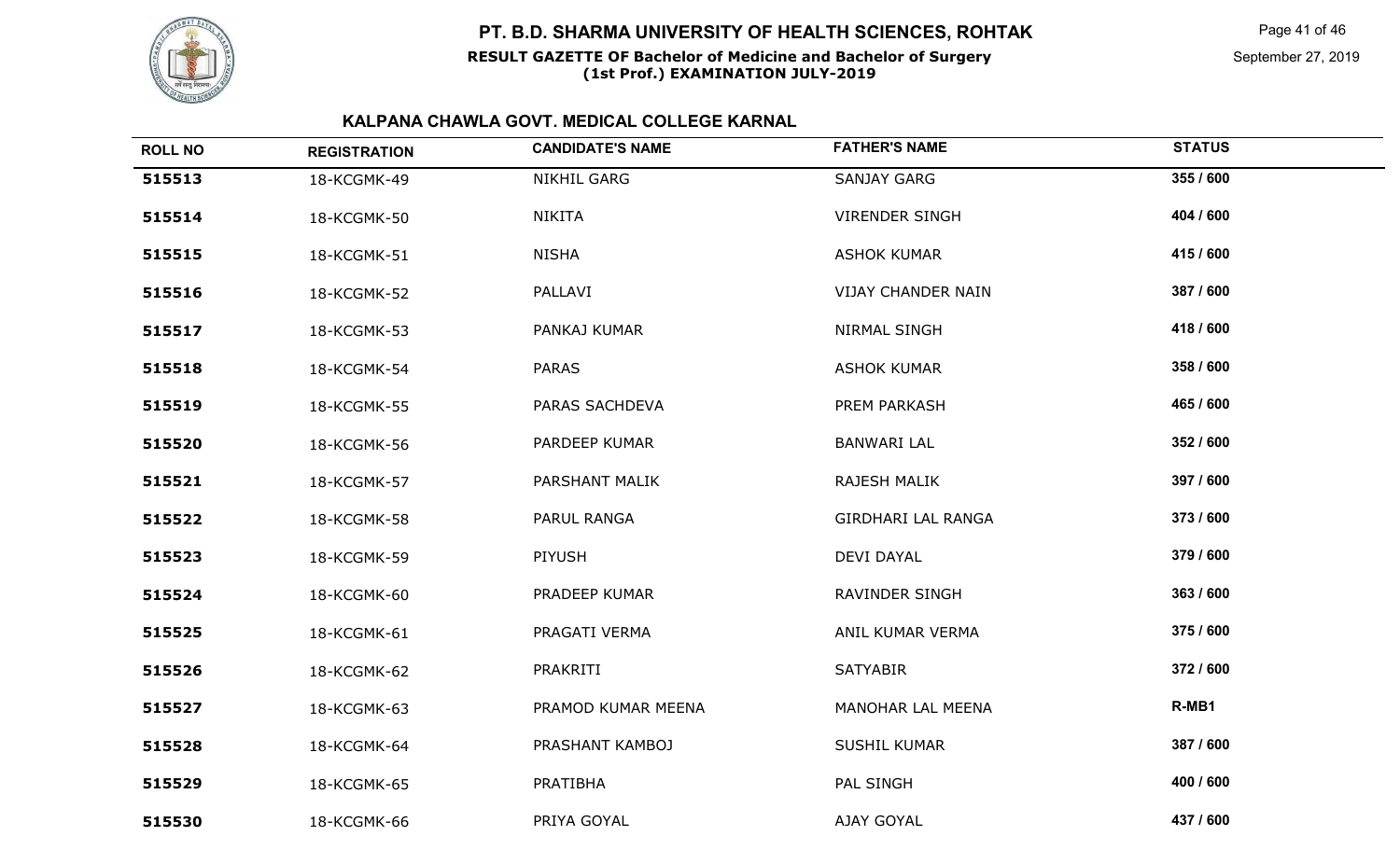

## **RESULT GAZETTE OF Bachelor of Medicine and Bachelor of SurgeryPT. B.D. SHARMA UNIVERSITY OF HEALTH SCIENCES, ROHTAK**

# **(1st Prof.) EXAMINATION JULY-2019**

Page 41 of 46

September 27, 2019

| <b>ROLL NO</b> | <b>REGISTRATION</b> | <b>CANDIDATE'S NAME</b> | <b>FATHER'S NAME</b>      | <b>STATUS</b> |
|----------------|---------------------|-------------------------|---------------------------|---------------|
| 515513         | 18-KCGMK-49         | <b>NIKHIL GARG</b>      | <b>SANJAY GARG</b>        | 355 / 600     |
| 515514         | 18-KCGMK-50         | <b>NIKITA</b>           | <b>VIRENDER SINGH</b>     | 404 / 600     |
| 515515         | 18-KCGMK-51         | <b>NISHA</b>            | <b>ASHOK KUMAR</b>        | 415 / 600     |
| 515516         | 18-KCGMK-52         | PALLAVI                 | <b>VIJAY CHANDER NAIN</b> | 387 / 600     |
| 515517         | 18-KCGMK-53         | PANKAJ KUMAR            | NIRMAL SINGH              | 418 / 600     |
| 515518         | 18-KCGMK-54         | <b>PARAS</b>            | <b>ASHOK KUMAR</b>        | 358 / 600     |
| 515519         | 18-KCGMK-55         | PARAS SACHDEVA          | PREM PARKASH              | 465 / 600     |
| 515520         | 18-KCGMK-56         | PARDEEP KUMAR           | <b>BANWARI LAL</b>        | 352 / 600     |
| 515521         | 18-KCGMK-57         | PARSHANT MALIK          | RAJESH MALIK              | 397 / 600     |
| 515522         | 18-KCGMK-58         | PARUL RANGA             | <b>GIRDHARI LAL RANGA</b> | 373 / 600     |
| 515523         | 18-KCGMK-59         | PIYUSH                  | <b>DEVI DAYAL</b>         | 379 / 600     |
| 515524         | 18-KCGMK-60         | PRADEEP KUMAR           | RAVINDER SINGH            | 363 / 600     |
| 515525         | 18-KCGMK-61         | PRAGATI VERMA           | ANIL KUMAR VERMA          | 375 / 600     |
| 515526         | 18-KCGMK-62         | PRAKRITI                | <b>SATYABIR</b>           | 372 / 600     |
| 515527         | 18-KCGMK-63         | PRAMOD KUMAR MEENA      | MANOHAR LAL MEENA         | R-MB1         |
| 515528         | 18-KCGMK-64         | PRASHANT KAMBOJ         | <b>SUSHIL KUMAR</b>       | 387 / 600     |
| 515529         | 18-KCGMK-65         | PRATIBHA                | PAL SINGH                 | 400 / 600     |
| 515530         | 18-KCGMK-66         | PRIYA GOYAL             | AJAY GOYAL                | 437 / 600     |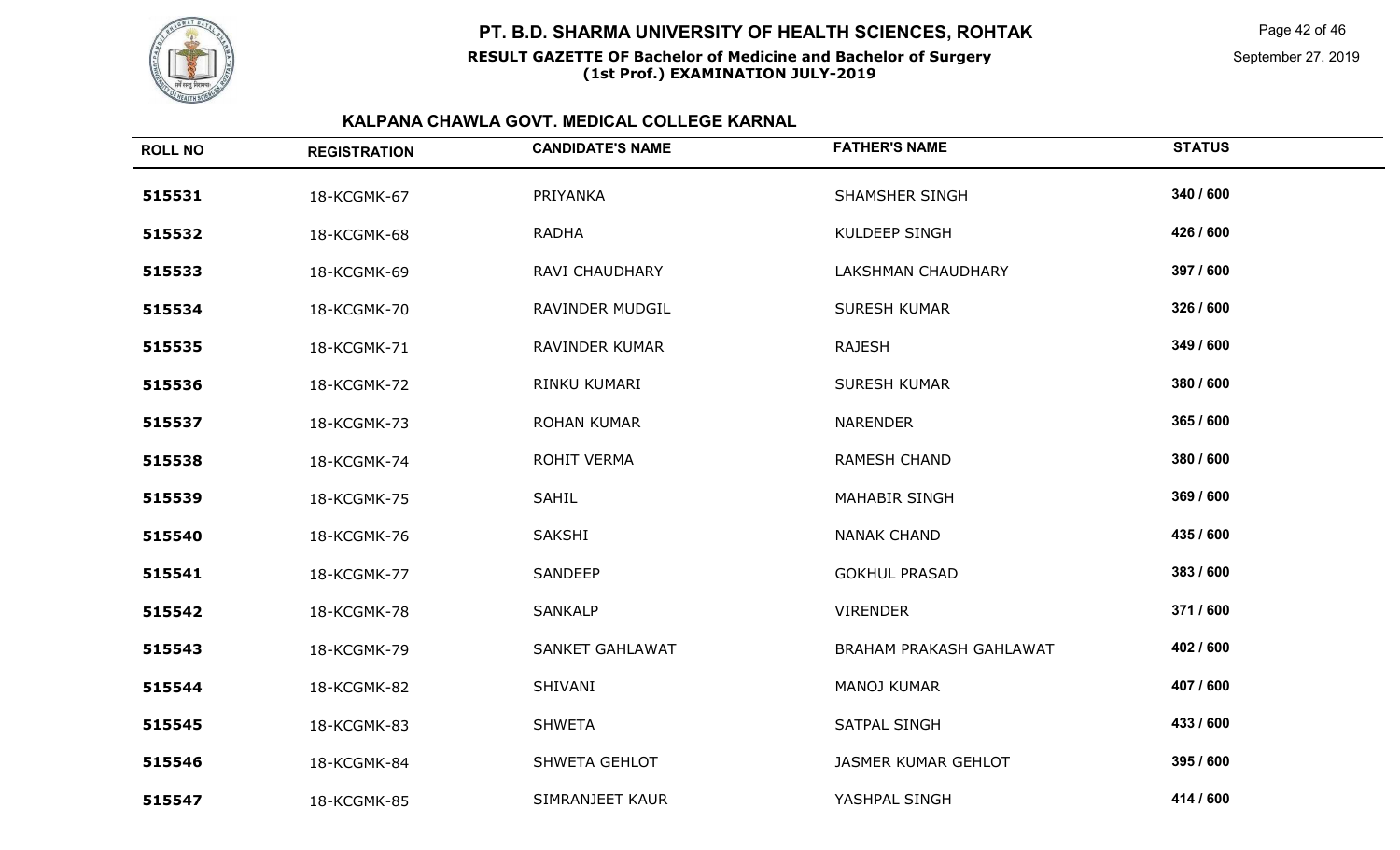

Page 42 of 46

September 27, 2019

| <b>ROLL NO</b> | <b>REGISTRATION</b> | <b>CANDIDATE'S NAME</b> | <b>FATHER'S NAME</b>           | <b>STATUS</b> |
|----------------|---------------------|-------------------------|--------------------------------|---------------|
| 515531         | 18-KCGMK-67         | PRIYANKA                | <b>SHAMSHER SINGH</b>          | 340 / 600     |
| 515532         | 18-KCGMK-68         | <b>RADHA</b>            | <b>KULDEEP SINGH</b>           | 426 / 600     |
| 515533         | 18-KCGMK-69         | RAVI CHAUDHARY          | <b>LAKSHMAN CHAUDHARY</b>      | 397 / 600     |
| 515534         | 18-KCGMK-70         | RAVINDER MUDGIL         | <b>SURESH KUMAR</b>            | 326 / 600     |
| 515535         | 18-KCGMK-71         | RAVINDER KUMAR          | <b>RAJESH</b>                  | 349 / 600     |
| 515536         | 18-KCGMK-72         | RINKU KUMARI            | <b>SURESH KUMAR</b>            | 380 / 600     |
| 515537         | 18-KCGMK-73         | <b>ROHAN KUMAR</b>      | <b>NARENDER</b>                | 365 / 600     |
| 515538         | 18-KCGMK-74         | <b>ROHIT VERMA</b>      | RAMESH CHAND                   | 380 / 600     |
| 515539         | 18-KCGMK-75         | <b>SAHIL</b>            | <b>MAHABIR SINGH</b>           | 369 / 600     |
| 515540         | 18-KCGMK-76         | SAKSHI                  | <b>NANAK CHAND</b>             | 435 / 600     |
| 515541         | 18-KCGMK-77         | <b>SANDEEP</b>          | <b>GOKHUL PRASAD</b>           | 383 / 600     |
| 515542         | 18-KCGMK-78         | <b>SANKALP</b>          | <b>VIRENDER</b>                | 371 / 600     |
| 515543         | 18-KCGMK-79         | <b>SANKET GAHLAWAT</b>  | <b>BRAHAM PRAKASH GAHLAWAT</b> | 402 / 600     |
| 515544         | 18-KCGMK-82         | SHIVANI                 | MANOJ KUMAR                    | 407 / 600     |
| 515545         | 18-KCGMK-83         | <b>SHWETA</b>           | SATPAL SINGH                   | 433 / 600     |
| 515546         | 18-KCGMK-84         | SHWETA GEHLOT           | <b>JASMER KUMAR GEHLOT</b>     | 395 / 600     |
| 515547         | 18-KCGMK-85         | SIMRANJEET KAUR         | YASHPAL SINGH                  | 414 / 600     |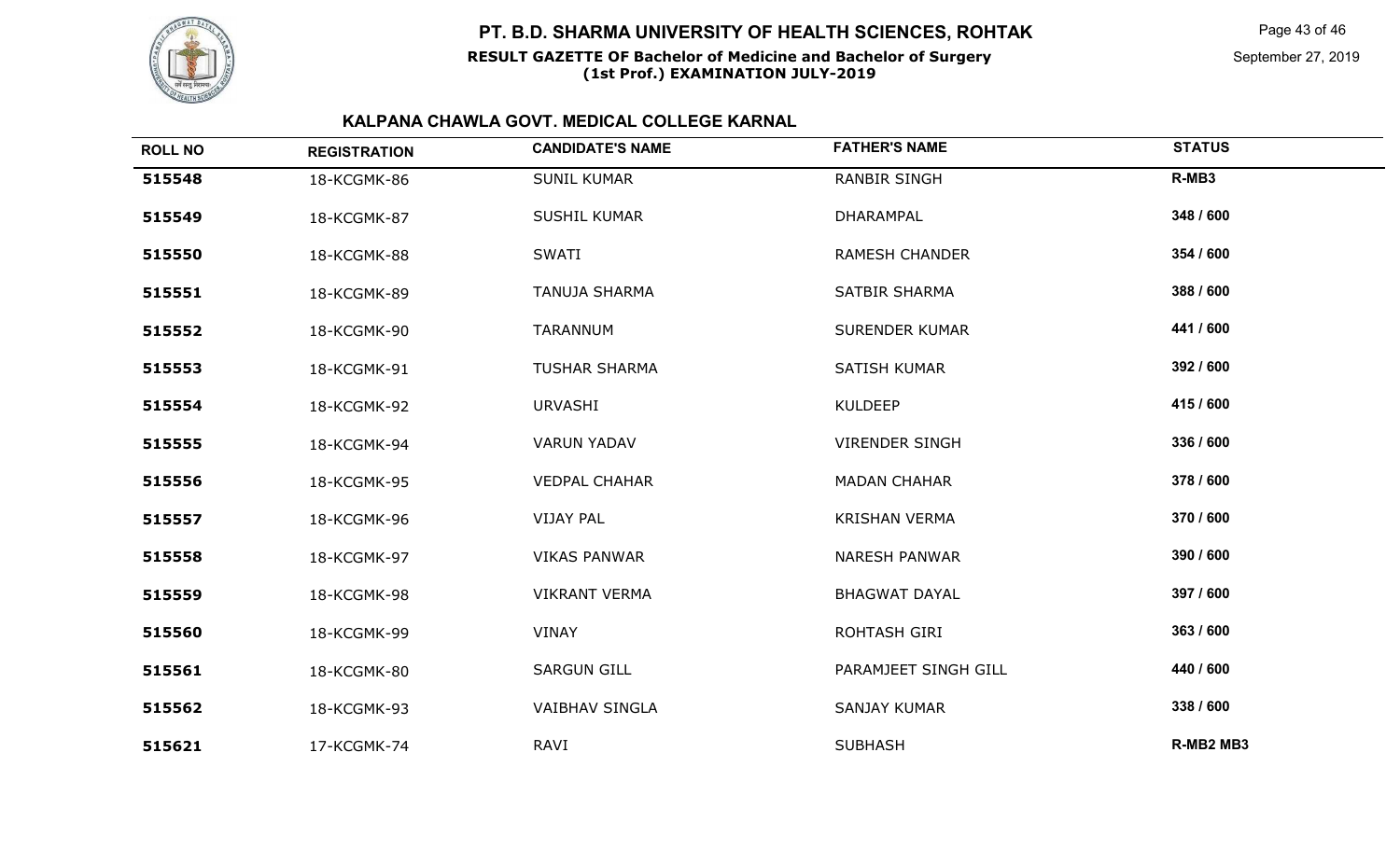

### **RESULT GAZETTE OF Bachelor of Medicine and Bachelor of SurgeryPT. B.D. SHARMA UNIVERSITY OF HEALTH SCIENCES, ROHTAK**

# **(1st Prof.) EXAMINATION JULY-2019**

Page 43 of 46

September 27, 2019

| <b>ROLL NO</b> | <b>REGISTRATION</b> | <b>CANDIDATE'S NAME</b> | <b>FATHER'S NAME</b>  | <b>STATUS</b> |
|----------------|---------------------|-------------------------|-----------------------|---------------|
| 515548         | 18-KCGMK-86         | <b>SUNIL KUMAR</b>      | <b>RANBIR SINGH</b>   | R-MB3         |
| 515549         | 18-KCGMK-87         | SUSHIL KUMAR            | DHARAMPAL             | 348 / 600     |
| 515550         | 18-KCGMK-88         | <b>SWATI</b>            | <b>RAMESH CHANDER</b> | 354 / 600     |
| 515551         | 18-KCGMK-89         | <b>TANUJA SHARMA</b>    | <b>SATBIR SHARMA</b>  | 388 / 600     |
| 515552         | 18-KCGMK-90         | <b>TARANNUM</b>         | <b>SURENDER KUMAR</b> | 441 / 600     |
| 515553         | 18-KCGMK-91         | <b>TUSHAR SHARMA</b>    | SATISH KUMAR          | 392 / 600     |
| 515554         | 18-KCGMK-92         | <b>URVASHI</b>          | <b>KULDEEP</b>        | 415 / 600     |
| 515555         | 18-KCGMK-94         | <b>VARUN YADAV</b>      | <b>VIRENDER SINGH</b> | 336 / 600     |
| 515556         | 18-KCGMK-95         | <b>VEDPAL CHAHAR</b>    | <b>MADAN CHAHAR</b>   | 378 / 600     |
| 515557         | 18-KCGMK-96         | <b>VIJAY PAL</b>        | <b>KRISHAN VERMA</b>  | 370 / 600     |
| 515558         | 18-KCGMK-97         | <b>VIKAS PANWAR</b>     | <b>NARESH PANWAR</b>  | 390 / 600     |
| 515559         | 18-KCGMK-98         | <b>VIKRANT VERMA</b>    | <b>BHAGWAT DAYAL</b>  | 397 / 600     |
| 515560         | 18-KCGMK-99         | VINAY                   | ROHTASH GIRI          | 363 / 600     |
| 515561         | 18-KCGMK-80         | <b>SARGUN GILL</b>      | PARAMJEET SINGH GILL  | 440 / 600     |
| 515562         | 18-KCGMK-93         | <b>VAIBHAV SINGLA</b>   | SANJAY KUMAR          | 338 / 600     |
| 515621         | 17-KCGMK-74         | RAVI                    | <b>SUBHASH</b>        | R-MB2 MB3     |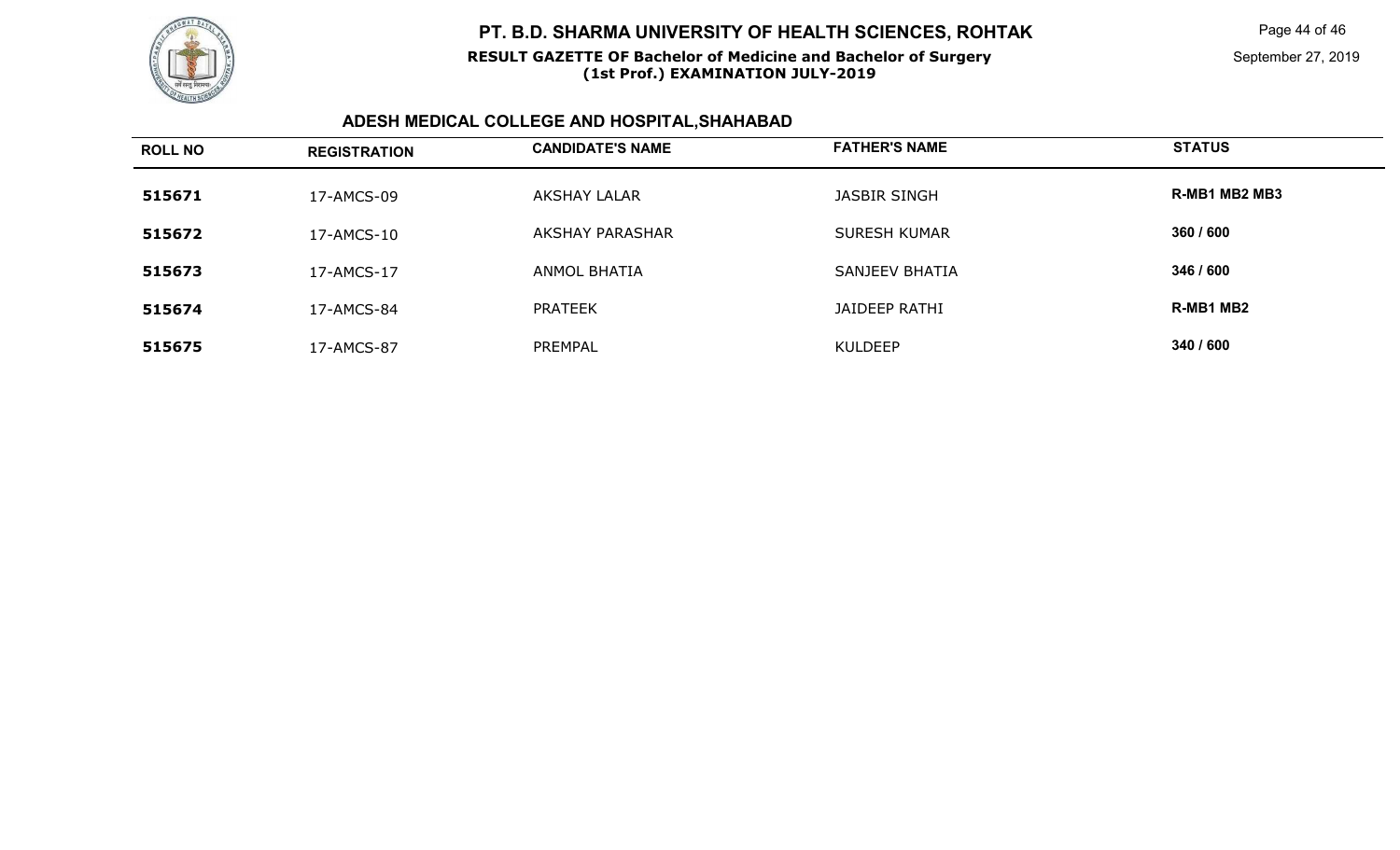

#### **RESULT GAZETTE OF Bachelor of Medicine and Bachelor of Surgery(1st Prof.) EXAMINATION JULY-2019**

Page 44 of 46

September 27, 2019

## **ADESH MEDICAL COLLEGE AND HOSPITAL,SHAHABAD**

| <b>ROLL NO</b> | <b>REGISTRATION</b> | <b>CANDIDATE'S NAME</b> | <b>FATHER'S NAME</b> | <b>STATUS</b> |
|----------------|---------------------|-------------------------|----------------------|---------------|
| 515671         | 17-AMCS-09          | AKSHAY LALAR            | JASBIR SINGH         | R-MB1 MB2 MB3 |
| 515672         | 17-AMCS-10          | <b>AKSHAY PARASHAR</b>  | <b>SURESH KUMAR</b>  | 360 / 600     |
| 515673         | 17-AMCS-17          | <b>ANMOL BHATIA</b>     | SANJEEV BHATIA       | 346 / 600     |
| 515674         | 17-AMCS-84          | <b>PRATEEK</b>          | JAIDEEP RATHI        | R-MB1 MB2     |
| 515675         | 17-AMCS-87          | PREMPAL                 | KULDEEP              | 340 / 600     |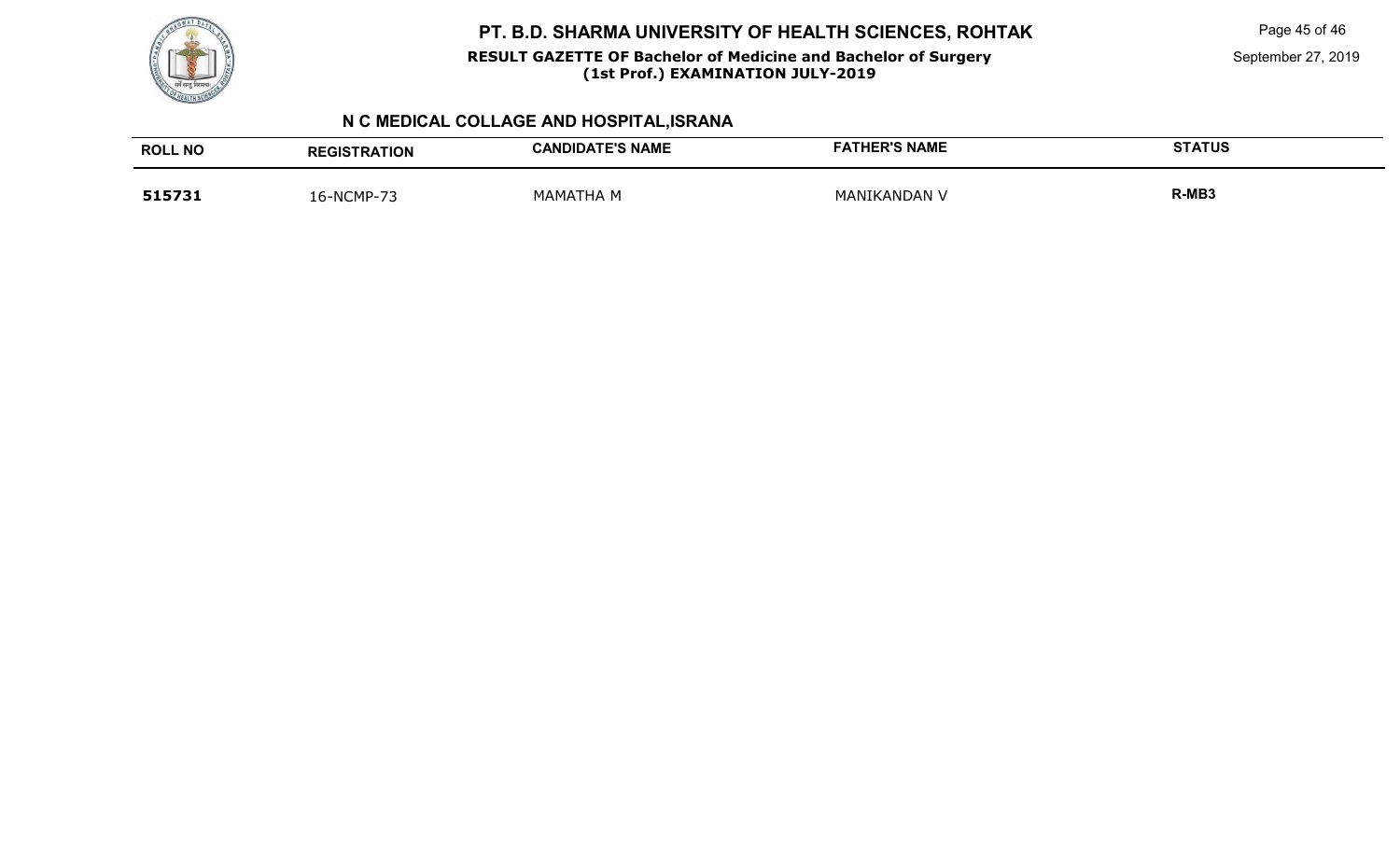

#### **RESULT GAZETTE OF Bachelor of Medicine and Bachelor of Surgery(1st Prof.) EXAMINATION JULY-2019**

Page 45 of 46

September 27, 2019

## **N C MEDICAL COLLAGE AND HOSPITAL,ISRANA**

| <b>ROLL NO</b> | <b>REGISTRATION</b> | <b>CANDIDATE'S NAME</b> | <b>FATHER'S NAME</b> | <b>STATUS</b> |
|----------------|---------------------|-------------------------|----------------------|---------------|
| 515731         | 16-NCMP-7?          | <b>MAMATHA M</b>        | MANIKANDAN V         | R-MB3         |